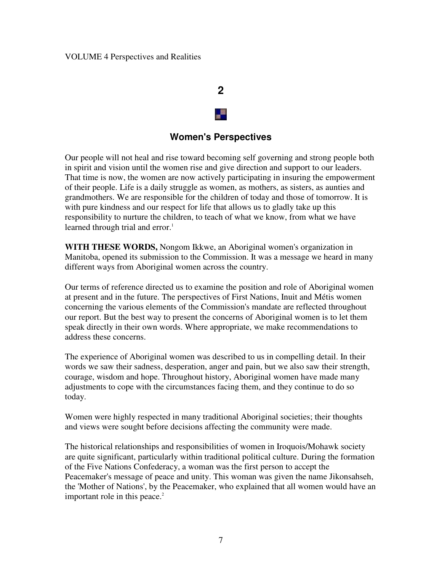# **2**

÷

## **Women's Perspectives**

Our people will not heal and rise toward becoming self governing and strong people both in spirit and vision until the women rise and give direction and support to our leaders. That time is now, the women are now actively participating in insuring the empowerment of their people. Life is a daily struggle as women, as mothers, as sisters, as aunties and grandmothers. We are responsible for the children of today and those of tomorrow. It is with pure kindness and our respect for life that allows us to gladly take up this responsibility to nurture the children, to teach of what we know, from what we have learned through trial and error.<sup>1</sup>

**WITH THESE WORDS,** Nongom Ikkwe, an Aboriginal women's organization in Manitoba, opened its submission to the Commission. It was a message we heard in many different ways from Aboriginal women across the country.

Our terms of reference directed us to examine the position and role of Aboriginal women at present and in the future. The perspectives of First Nations, Inuit and Métis women concerning the various elements of the Commission's mandate are reflected throughout our report. But the best way to present the concerns of Aboriginal women is to let them speak directly in their own words. Where appropriate, we make recommendations to address these concerns.

The experience of Aboriginal women was described to us in compelling detail. In their words we saw their sadness, desperation, anger and pain, but we also saw their strength, courage, wisdom and hope. Throughout history, Aboriginal women have made many adjustments to cope with the circumstances facing them, and they continue to do so today.

Women were highly respected in many traditional Aboriginal societies; their thoughts and views were sought before decisions affecting the community were made.

The historical relationships and responsibilities of women in Iroquois/Mohawk society are quite significant, particularly within traditional political culture. During the formation of the Five Nations Confederacy, a woman was the first person to accept the Peacemaker's message of peace and unity. This woman was given the name Jikonsahseh, the 'Mother of Nations', by the Peacemaker, who explained that all women would have an important role in this peace. 2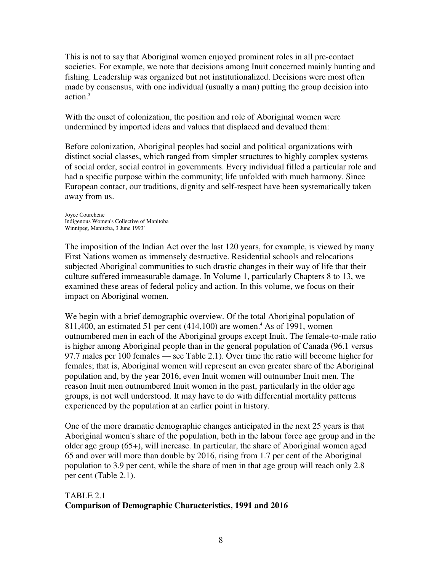This is not to say that Aboriginal women enjoyed prominent roles in all pre-contact societies. For example, we note that decisions among Inuit concerned mainly hunting and fishing. Leadership was organized but not institutionalized. Decisions were most often made by consensus, with one individual (usually a man) putting the group decision into action. 3

With the onset of colonization, the position and role of Aboriginal women were undermined by imported ideas and values that displaced and devalued them:

Before colonization, Aboriginal peoples had social and political organizations with distinct social classes, which ranged from simpler structures to highly complex systems of social order, social control in governments. Every individual filled a particular role and had a specific purpose within the community; life unfolded with much harmony. Since European contact, our traditions, dignity and self-respect have been systematically taken away from us.

Joyce Courchene Indigenous Women's Collective of Manitoba Winnipeg, Manitoba, 3 June 1993 \*

The imposition of the Indian Act over the last 120 years, for example, is viewed by many First Nations women as immensely destructive. Residential schools and relocations subjected Aboriginal communities to such drastic changes in their way of life that their culture suffered immeasurable damage. In Volume 1, particularly Chapters 8 to 13, we examined these areas of federal policy and action. In this volume, we focus on their impact on Aboriginal women.

We begin with a brief demographic overview. Of the total Aboriginal population of 811,400, an estimated 51 per cent (414,100) are women. <sup>4</sup> As of 1991, women outnumbered men in each of the Aboriginal groups except Inuit. The female-to-male ratio is higher among Aboriginal people than in the general population of Canada (96.1 versus 97.7 males per 100 females — see Table 2.1). Over time the ratio will become higher for females; that is, Aboriginal women will represent an even greater share of the Aboriginal population and, by the year 2016, even Inuit women will outnumber Inuit men. The reason Inuit men outnumbered Inuit women in the past, particularly in the older age groups, is not well understood. It may have to do with differential mortality patterns experienced by the population at an earlier point in history.

One of the more dramatic demographic changes anticipated in the next 25 years is that Aboriginal women's share of the population, both in the labour force age group and in the older age group (65+), will increase. In particular, the share of Aboriginal women aged 65 and over will more than double by 2016, rising from 1.7 per cent of the Aboriginal population to 3.9 per cent, while the share of men in that age group will reach only 2.8 per cent (Table 2.1).

## TABLE 2.1 **Comparison of Demographic Characteristics, 1991 and 2016**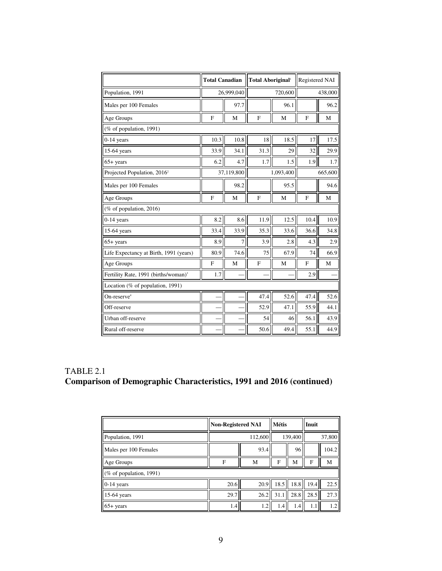|                                                  | <b>Total Canadian</b> |            | Total Aboriginal <sup>1</sup> |           |             | Registered NAI |  |
|--------------------------------------------------|-----------------------|------------|-------------------------------|-----------|-------------|----------------|--|
| Population, 1991                                 |                       | 26,999,040 |                               | 720,600   |             | 438,000        |  |
| Males per 100 Females                            |                       | 97.7       |                               | 96.1      |             | 96.2           |  |
| Age Groups                                       | $\mathbf F$           | M          | $\mathbf{F}$                  | М         | F           | М              |  |
| (% of population, 1991)                          |                       |            |                               |           |             |                |  |
| $0-14$ years                                     | 10.3                  | $10.8\,$   | 18                            | 18.5      | 17          | 17.5           |  |
| $15-64$ years                                    | 33.9                  | 34.1       | 31.3                          | 29        | 32          | 29.9           |  |
| $65+$ years                                      | 6.2                   | 4.7        | 1.7                           | 1.5       | 1.9         | 1.7            |  |
| Projected Population, 2016 <sup>2</sup>          |                       | 37,119,800 |                               | 1,093,400 |             | 665,600        |  |
| Males per 100 Females                            |                       | 98.2       |                               | 95.5      |             | 94.6           |  |
| Age Groups                                       | $\mathbf{F}$          | M          | $\mathbf{F}$                  | M         | $\mathbf F$ | M              |  |
| (% of population, 2016)                          |                       |            |                               |           |             |                |  |
| $0-14$ years                                     | 8.2                   | 8.6        | 11.9                          | 12.5      | 10.4        | 10.9           |  |
| $15-64$ years                                    | 33.4                  | 33.9       | 35.3                          | 33.6      | 36.6        | 34.8           |  |
| $65+$ years                                      | 8.9                   | 7          | 3.9                           | 2.8       | 4.3         | 2.9            |  |
| Life Expectancy at Birth, 1991 (years)           | 80.9                  | 74.6       | 75                            | 67.9      | 74          | 66.9           |  |
| Age Groups                                       | $\overline{F}$        | M          | $\overline{F}$                | M         | $\mathbf F$ | M              |  |
| Fertility Rate, 1991 (births/woman) <sup>3</sup> | 1.7                   |            |                               |           | 2.9         |                |  |
| Location (% of population, 1991)                 |                       |            |                               |           |             |                |  |
| On-reserve <sup>4</sup>                          |                       |            | 47.4                          | 52.6      | 47.4        | 52.6           |  |
| Off-reserve                                      |                       |            | 52.9                          | 47.1      | 55.9        | 44.1           |  |
| Urban off-reserve                                |                       |            | 54                            | 46        | 56.1        | 43.9           |  |
| Rural off-reserve                                |                       |            | 50.6                          | 49.4      | 55.1        | 44.9           |  |

## TABLE 2.1 **Comparison of Demographic Characteristics, 1991 and 2016 (continued)**

|                         | <b>Non-Registered NAI</b> | <b>Métis</b> |      | Inuit |        |       |
|-------------------------|---------------------------|--------------|------|-------|--------|-------|
| Population, 1991        |                           | 139,400      |      |       | 37,800 |       |
| Males per 100 Females   |                           | 93.4         |      | 96    |        | 104.2 |
| Age Groups              | F                         | М            | F    | М     | F      | М     |
| (% of population, 1991) |                           |              |      |       |        |       |
| $0-14$ years            | 20.6                      | 20.9         | 18.5 | 18.8  | 19.4   | 22.5  |
| $15-64$ years           | 29.7                      | 26.2         | 31.1 | 28.8  | 28.5   | 27.3  |
| $65+$ years             | 1.4                       | 1.2          | 1.4  | 1.4   | 1.1    | 1.2   |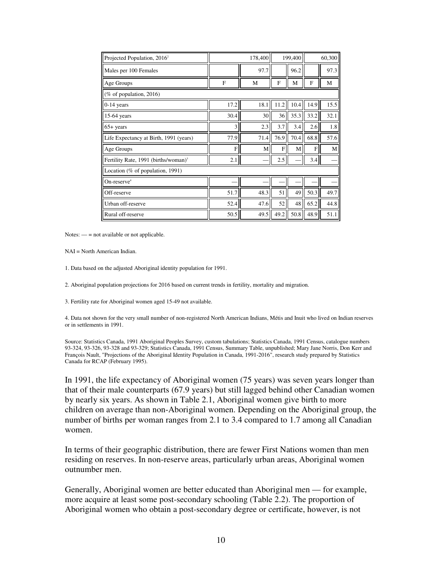| Projected Population, 2016 <sup>2</sup>          |              | 178,400 |             | 199,400 | 60,300       |      |
|--------------------------------------------------|--------------|---------|-------------|---------|--------------|------|
| Males per 100 Females                            |              | 97.7    |             | 96.2    |              | 97.3 |
| Age Groups                                       | $\mathbf{F}$ | М       | $\mathbf F$ | M       | $\mathbf{F}$ | М    |
| (% of population, 2016)                          |              |         |             |         |              |      |
| $0-14$ years                                     | 17.2         | 18.1    | 11.2        | 10.4    | 14.9         | 15.5 |
| 15-64 years                                      | 30.4         | 30      | 36          | 35.3    | 33.2         | 32.1 |
| $65+$ years                                      | 3            | 2.3     | 3.7         | 3.4     | 2.6          | 1.8  |
| Life Expectancy at Birth, 1991 (years)           | 77.9         | 71.4    | 76.9        | 70.4    | 68.8         | 57.6 |
| Age Groups                                       | F            | M       | F           | М       | F            | М    |
| Fertility Rate, 1991 (births/woman) <sup>3</sup> | 2.1          |         | 2.5         |         | 3.4          |      |
| Location (% of population, 1991)                 |              |         |             |         |              |      |
| $On-reserve4$                                    |              |         |             |         |              |      |
| Off-reserve                                      | 51.7         | 48.3    | 51          | 49      | 50.3         | 49.7 |
| Urban off-reserve                                | 52.4         | 47.6    | 52          | 48      | 65.2         | 44.8 |
| Rural off-reserve                                | 50.5         | 49.5    | 49.2        | 50.8    | 48.9         | 51.1 |

Notes: — = not available or not applicable.

NAI = North American Indian.

1. Data based on the adjusted Aboriginal identity population for 1991.

2. Aboriginal population projections for 2016 based on current trends in fertility, mortality and migration.

3. Fertility rate for Aboriginal women aged 15-49 not available.

4. Data not shown for the very small number of non-registered North American Indians, Métis and Inuit who lived on Indian reserves or in settlements in 1991.

Source: Statistics Canada, 1991 Aboriginal Peoples Survey, custom tabulations; Statistics Canada, 1991 Census, catalogue numbers 93-324, 93-326, 93-328 and 93-329; Statistics Canada, 1991 Census, Summary Table, unpublished; Mary Jane Norris, Don Kerr and François Nault, "Projections of the Aboriginal Identity Population in Canada, 1991-2016", research study prepared by Statistics Canada for RCAP (February 1995).

In 1991, the life expectancy of Aboriginal women (75 years) was seven years longer than that of their male counterparts (67.9 years) but still lagged behind other Canadian women by nearly six years. As shown in Table 2.1, Aboriginal women give birth to more children on average than non-Aboriginal women. Depending on the Aboriginal group, the number of births per woman ranges from 2.1 to 3.4 compared to 1.7 among all Canadian women.

In terms of their geographic distribution, there are fewer First Nations women than men residing on reserves. In non-reserve areas, particularly urban areas, Aboriginal women outnumber men.

Generally, Aboriginal women are better educated than Aboriginal men — for example, more acquire at least some post-secondary schooling (Table 2.2). The proportion of Aboriginal women who obtain a post-secondary degree or certificate, however, is not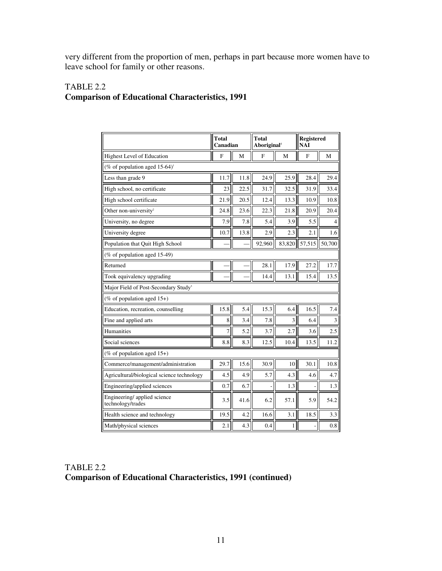very different from the proportion of men, perhaps in part because more women have to leave school for family or other reasons.

## TABLE 2.2 **Comparison of Educational Characteristics, 1991**

|                                                  | <b>Total</b><br>Canadian |      | <b>Total</b><br>Aboriginal <sup>4</sup> |              | <b>Registered</b><br><b>NAI</b> |        |
|--------------------------------------------------|--------------------------|------|-----------------------------------------|--------------|---------------------------------|--------|
| <b>Highest Level of Education</b>                | F                        | М    | F                                       | M            | F                               | М      |
| (% of population aged $15-64$ ) <sup>1</sup>     |                          |      |                                         |              |                                 |        |
| Less than grade 9                                | 11.7                     | 11.8 | 24.9                                    | 25.9         | 28.4                            | 29.4   |
| High school, no certificate                      | 23                       | 22.5 | 31.7                                    | 32.5         | 31.9                            | 33.4   |
| High school certificate                          | 21.9                     | 20.5 | 12.4                                    | 13.3         | 10.9                            | 10.8   |
| Other non-university <sup>2</sup>                | 24.8                     | 23.6 | 22.3                                    | 21.8         | 20.9                            | 20.4   |
| University, no degree                            | 7.9                      | 7.8  | 5.4                                     | 3.9          | 5.5                             | 4      |
| University degree                                | 10.7                     | 13.8 | 2.9                                     | 2.3          | 2.1                             | 1.6    |
| Population that Quit High School                 |                          |      | 92,960                                  | 83,820       | 57,515                          | 50,700 |
| (% of population aged 15-49)                     |                          |      |                                         |              |                                 |        |
| Returned                                         |                          |      | 28.1                                    | 17.9         | 27.2                            | 17.7   |
| Took equivalency upgrading                       |                          |      | 14.4                                    | 13.1         | 15.4                            | 13.5   |
| Major Field of Post-Secondary Study <sup>3</sup> |                          |      |                                         |              |                                 |        |
| (% of population aged $15+$ )                    |                          |      |                                         |              |                                 |        |
| Education, recreation, counselling               | 15.8                     | 5.4  | 15.3                                    | 6.4          | 16.5                            | 7.4    |
| Fine and applied arts                            | 8                        | 3.4  | 7.8                                     | 3            | 6.4                             | 3      |
| Humanities                                       | 7                        | 5.2  | 3.7                                     | 2.7          | 3.6                             | 2.5    |
| Social sciences                                  | 8.8                      | 8.3  | 12.5                                    | 10.4         | 13.5                            | 11.2   |
| (% of population aged $15+$ )                    |                          |      |                                         |              |                                 |        |
| Commerce/management/administration               | 29.7                     | 15.6 | 30.9                                    | 10           | 30.1                            | 10.8   |
| Agricultural/biological science technology       | 4.5                      | 4.9  | 5.7                                     | 4.3          | 4.6                             | 4.7    |
| Engineering/applied sciences                     | 0.7                      | 6.7  |                                         | 1.3          |                                 | 1.3    |
| Engineering/applied science<br>technology/trades | 3.5                      | 41.6 | 6.2                                     | 57.1         | 5.9                             | 54.2   |
| Health science and technology                    | 19.5                     | 4.2  | 16.6                                    | 3.1          | 18.5                            | 3.3    |
| Math/physical sciences                           | 2.1                      | 4.3  | 0.4                                     | $\mathbf{1}$ |                                 | 0.8    |

TABLE 2.2 **Comparison of Educational Characteristics, 1991 (continued)**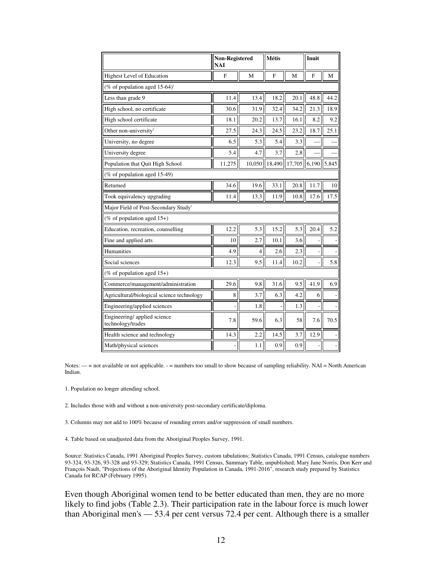|                                                   | Non-Registered<br>NAI |        | <b>Métis</b> |        | <b>Inuit</b> |       |
|---------------------------------------------------|-----------------------|--------|--------------|--------|--------------|-------|
| <b>Highest Level of Education</b>                 | F                     | M      | F            | M      | F            | M     |
| (% of population aged 15-64) <sup>1</sup>         |                       |        |              |        |              |       |
| Less than grade 9                                 | 11.4                  | 13.4   | 18.2         | 20.1   | 48.8         | 44.2  |
| High school, no certificate                       | 30.6                  | 31.9   | 32.4         | 34.2   | 21.3         | 18.9  |
| High school certificate                           | 18.1                  | 20.2   | 13.7         | 16.1   | 8.2          | 9.2   |
| Other non-university <sup>2</sup>                 | 27.5                  | 24.3   | 24.5         | 23.2   | 18.7         | 25.1  |
| University, no degree                             | 6.5                   | 5.3    | 5.4          | 3.3    |              |       |
| University degree                                 | 5.4                   | 4.7    | 3.7          | 2.8    |              |       |
| Population that Quit High School                  | 11,275                | 10,050 | 18,490       | 17,705 | 6,190        | 5,845 |
| (% of population aged 15-49)                      |                       |        |              |        |              |       |
| Returned                                          | 34.6                  | 19.6   | 33.1         | 20.8   | 11.7         | 10    |
| Took equivalency upgrading                        | 11.4                  | 13.3   | 11.9         | 10.8   | 17.6         | 17.5  |
| Major Field of Post-Secondary Study <sup>3</sup>  |                       |        |              |        |              |       |
| (% of population aged $15+$ )                     |                       |        |              |        |              |       |
| Education, recreation, counselling                | 12.2                  | 5.3    | 15.2         | 5.3    | 20.4         | 5.2   |
| Fine and applied arts                             | 10                    | 2.7    | 10.1         | 3.6    |              |       |
| Humanities                                        | 4.9                   | 4      | 2.6          | 2.3    |              |       |
| Social sciences                                   | 12.3                  | 9.5    | 11.4         | 10.2   |              | 5.8   |
| (% of population aged 15+)                        |                       |        |              |        |              |       |
| Commerce/management/administration                | 29.6                  | 9.8    | 31.6         | 9.5    | 41.9         | 6.9   |
| Agricultural/biological science technology        | 8                     | 3.7    | 6.3          | 4.2    | 6            |       |
| Engineering/applied sciences                      |                       | 1.8    |              | 1.3    |              |       |
| Engineering/ applied science<br>technology/trades | 7.8                   | 59.6   | 6.3          | 58     | 7.6          | 70.5  |
| Health science and technology                     | 14.3                  | 2.2    | 14.5         | 3.7    | 12.9         |       |
| Math/physical sciences                            |                       | 1.1    | 0.9          | 0.9    |              |       |

Notes: — = not available or not applicable. - = numbers too small to show because of sampling reliability. NAI = North American Indian.

1. Population no longer attending school.

2. Includes those with and without a non-university post-secondary certificate/diploma.

3. Columns may not add to 100% because of rounding errors and/or suppression of small numbers.

4. Table based on unadjusted data from the Aboriginal Peoples Survey, 1991.

Source: Statistics Canada, 1991 Aboriginal Peoples Survey, custom tabulations; Statistics Canada, 1991 Census, catalogue numbers 93-324, 93-326, 93-328 and 93-329; Statistics Canada, 1991 Census, Summary Table, unpublished; Mary Jane Norris, Don Kerr and François Nault, "Projections of the Aboriginal Identity Population in Canada, 1991-2016", research study prepared by Statistics Canada for RCAP (February 1995).

Even though Aboriginal women tend to be better educated than men, they are no more likely to find jobs (Table 2.3). Their participation rate in the labour force is much lower than Aboriginal men's — 53.4 per cent versus 72.4 per cent. Although there is a smaller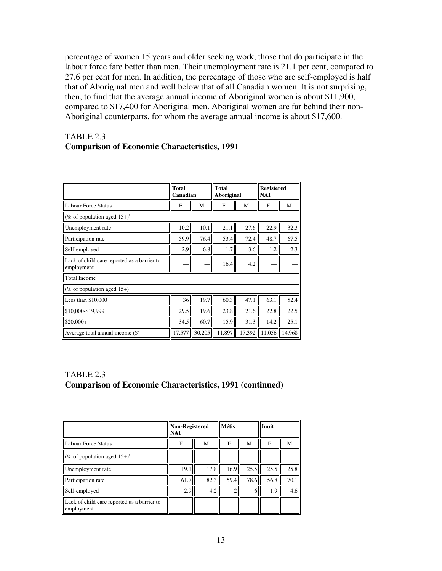percentage of women 15 years and older seeking work, those that do participate in the labour force fare better than men. Their unemployment rate is 21.1 per cent, compared to 27.6 per cent for men. In addition, the percentage of those who are self-employed is half that of Aboriginal men and well below that of all Canadian women. It is not surprising, then, to find that the average annual income of Aboriginal women is about \$11,900, compared to \$17,400 for Aboriginal men. Aboriginal women are far behind their non-Aboriginal counterparts, for whom the average annual income is about \$17,600.

## TABLE 2.3 **Comparison of Economic Characteristics, 1991**

|                                                           | <b>Total</b><br>Canadian |        | <b>Total</b><br>Aboriginal <sup>1</sup> |        | <b>Registered</b><br>NAI |        |
|-----------------------------------------------------------|--------------------------|--------|-----------------------------------------|--------|--------------------------|--------|
| Labour Force Status                                       | $\mathbf{F}$             | М      | F                                       | М      | F                        | M      |
| (% of population aged $15+$ ) <sup>1</sup>                |                          |        |                                         |        |                          |        |
| Unemployment rate                                         | 10.2                     | 10.1   | 21.1                                    | 27.6   | 22.9                     | 32.3   |
| Participation rate                                        | 59.9                     | 76.4   | 53.4                                    | 72.4   | 48.7                     | 67.5   |
| Self-employed                                             | 2.9                      | 6.8    | 1.7                                     | 3.6    | 1.2                      | 2.3    |
| Lack of child care reported as a barrier to<br>employment |                          |        | 16.4                                    | 4.2    |                          |        |
| <b>Total Income</b>                                       |                          |        |                                         |        |                          |        |
| (% of population aged $15+$ )                             |                          |        |                                         |        |                          |        |
| Less than $$10,000$                                       | 36                       | 19.7   | 60.3                                    | 47.1   | 63.1                     | 52.4   |
| \$10,000-\$19,999                                         | 29.5                     | 19.6   | 23.8                                    | 21.6   | 22.8                     | 22.5   |
| $$20,000+$                                                | 34.5                     | 60.7   | 15.9                                    | 31.3   | 14.2                     | 25.1   |
| Average total annual income (\$)                          | 17,577                   | 30,205 | 11,897                                  | 17,392 | 11,056                   | 14,968 |

## TABLE 2.3 **Comparison of Economic Characteristics, 1991 (continued)**

|                                                           | Non-Registered<br><b>NAI</b> |      | <b>Métis</b> |      | Inuit |      |
|-----------------------------------------------------------|------------------------------|------|--------------|------|-------|------|
| Labour Force Status                                       | F                            | M    | F            | М    | F     | М    |
| $\left  \right $ (% of population aged 15+) <sup>1</sup>  |                              |      |              |      |       |      |
| Unemployment rate                                         | 19.1                         | 17.8 | 16.9         | 25.5 | 25.5  | 25.8 |
| Participation rate                                        | 61.7                         | 82.3 | 59.4         | 78.6 | 56.8  | 70.1 |
| Self-employed                                             | 2.9                          | 4.2  | 2            | 6    | 1.9   | 4.6  |
| Lack of child care reported as a barrier to<br>employment |                              |      |              |      |       |      |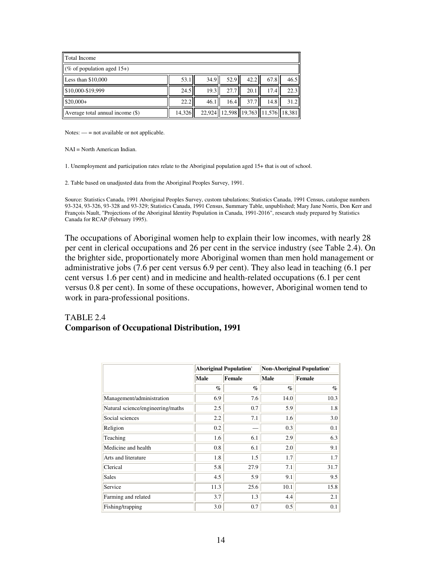| Total Income                                |        |      |                                            |      |      |      |  |  |
|---------------------------------------------|--------|------|--------------------------------------------|------|------|------|--|--|
| $\left  \right $ (% of population aged 15+) |        |      |                                            |      |      |      |  |  |
| Less than $$10,000$                         | 53.1   | 34.9 | 52.9                                       | 42.2 | 67.8 | 46.5 |  |  |
| \$10,000-\$19,999                           | 24.5   | 19.3 | 27.7                                       | 20.1 | 17.4 | 22.3 |  |  |
| $$20,000+$                                  | 22.2   | 46.1 | 16.4                                       | 37.7 | 14.8 | 31.2 |  |  |
| Average total annual income (\$)            | 14,326 |      | 22,924   12,598   19,763   11,576   18,381 |      |      |      |  |  |

Notes:  $\_\ =$  not available or not applicable.

NAI = North American Indian.

1. Unemployment and participation rates relate to the Aboriginal population aged 15+ that is out of school.

2. Table based on unadjusted data from the Aboriginal Peoples Survey, 1991.

Source: Statistics Canada, 1991 Aboriginal Peoples Survey, custom tabulations; Statistics Canada, 1991 Census, catalogue numbers 93-324, 93-326, 93-328 and 93-329; Statistics Canada, 1991 Census, Summary Table, unpublished; Mary Jane Norris, Don Kerr and François Nault, "Projections of the Aboriginal Identity Population in Canada, 1991-2016", research study prepared by Statistics Canada for RCAP (February 1995).

The occupations of Aboriginal women help to explain their low incomes, with nearly 28 per cent in clerical occupations and 26 per cent in the service industry (see Table 2.4). On the brighter side, proportionately more Aboriginal women than men hold management or administrative jobs (7.6 per cent versus 6.9 per cent). They also lead in teaching (6.1 per cent versus 1.6 per cent) and in medicine and health-related occupations (6.1 per cent versus 0.8 per cent). In some of these occupations, however, Aboriginal women tend to work in para-professional positions.

## TABLE 2.4 **Comparison of Occupational Distribution, 1991**

|                                   |             | Aboriginal Population <sup>1</sup> | Non-Aboriginal Population <sup>1</sup> |        |  |
|-----------------------------------|-------------|------------------------------------|----------------------------------------|--------|--|
|                                   | <b>Male</b> | Female                             | <b>Male</b>                            | Female |  |
|                                   | $\%$        | $\%$                               | $\mathcal{G}_0$                        | $\%$   |  |
| Management/administration         | 6.9         | 7.6                                | 14.0                                   | 10.3   |  |
| Natural science/engineering/maths | 2.5         | 0.7                                | 5.9                                    | 1.8    |  |
| Social sciences                   | 2.2         | 7.1                                | 1.6                                    | 3.0    |  |
| Religion                          | 0.2         |                                    | 0.3                                    | 0.1    |  |
| Teaching                          | 1.6         | 6.1                                | 2.9                                    | 6.3    |  |
| Medicine and health               | 0.8         | 6.1                                | 2.0                                    | 9.1    |  |
| Arts and literature               | 1.8         | 1.5                                | 1.7                                    | 1.7    |  |
| Clerical                          | 5.8         | 27.9                               | 7.1                                    | 31.7   |  |
| Sales                             | 4.5         | 5.9                                | 9.1                                    | 9.5    |  |
| Service                           | 11.3        | 25.6                               | 10.1                                   | 15.8   |  |
| Farming and related               | 3.7         | 1.3                                | 4.4                                    | 2.1    |  |
| Fishing/trapping                  | 3.0         | 0.7                                | 0.5                                    | 0.1    |  |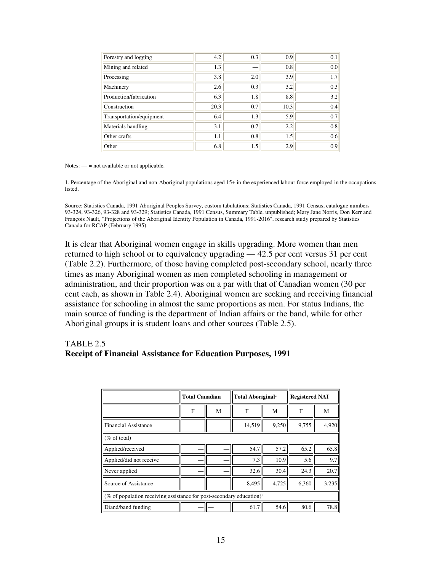| Forestry and logging     | 4.2  | 0.3 | 0.9  | 0.1 |
|--------------------------|------|-----|------|-----|
| Mining and related       | 1.3  |     | 0.8  | 0.0 |
| Processing               | 3.8  | 2.0 | 3.9  | 1.7 |
| Machinery                | 2.6  | 0.3 | 3.2  | 0.3 |
| Production/fabrication   | 6.3  | 1.8 | 8.8  | 3.2 |
| Construction             | 20.3 | 0.7 | 10.3 | 0.4 |
| Transportation/equipment | 6.4  | 1.3 | 5.9  | 0.7 |
| Materials handling       | 3.1  | 0.7 | 2.2  | 0.8 |
| Other crafts             | 1.1  | 0.8 | 1.5  | 0.6 |
| Other                    | 6.8  | 1.5 | 2.9  | 0.9 |

Notes:  $\frac{d}{dx}$  = not available or not applicable.

1. Percentage of the Aboriginal and non-Aboriginal populations aged 15+ in the experienced labour force employed in the occupations listed.

Source: Statistics Canada, 1991 Aboriginal Peoples Survey, custom tabulations; Statistics Canada, 1991 Census, catalogue numbers 93-324, 93-326, 93-328 and 93-329; Statistics Canada, 1991 Census, Summary Table, unpublished; Mary Jane Norris, Don Kerr and François Nault, "Projections of the Aboriginal Identity Population in Canada, 1991-2016", research study prepared by Statistics Canada for RCAP (February 1995).

It is clear that Aboriginal women engage in skills upgrading. More women than men returned to high school or to equivalency upgrading — 42.5 per cent versus 31 per cent (Table 2.2). Furthermore, of those having completed post-secondary school, nearly three times as many Aboriginal women as men completed schooling in management or administration, and their proportion was on a par with that of Canadian women (30 per cent each, as shown in Table 2.4). Aboriginal women are seeking and receiving financial assistance for schooling in almost the same proportions as men. For status Indians, the main source of funding is the department of Indian affairs or the band, while for other Aboriginal groups it is student loans and other sources (Table 2.5).

#### TABLE 2.5

#### **Receipt of Financial Assistance for Education Purposes, 1991**

|                                                                                  | <b>Total Canadian</b> |   | Total Aboriginal <sup>2</sup> |       | <b>Registered NAI</b> |       |  |  |  |
|----------------------------------------------------------------------------------|-----------------------|---|-------------------------------|-------|-----------------------|-------|--|--|--|
|                                                                                  | $\mathbf F$           | M | F                             | M     | F                     | M     |  |  |  |
| <b>Financial Assistance</b>                                                      |                       |   | 14,519                        | 9,250 | 9,755                 | 4,920 |  |  |  |
| $(\% \text{ of total})$                                                          |                       |   |                               |       |                       |       |  |  |  |
| Applied/received                                                                 |                       |   | 54.7                          | 57.2  | 65.2                  | 65.8  |  |  |  |
| Applied/did not receive                                                          |                       |   | 7.3                           | 10.9  | 5.6                   | 9.7   |  |  |  |
| Never applied                                                                    |                       |   | 32.6                          | 30.4  | 24.3                  | 20.7  |  |  |  |
| Source of Assistance                                                             |                       |   | 8,495                         | 4,725 | 6,360                 | 3,235 |  |  |  |
| (% of population receiving assistance for post-secondary education) <sup>1</sup> |                       |   |                               |       |                       |       |  |  |  |
| Diand/band funding                                                               |                       |   | 61.7                          | 54.6  | 80.6                  | 78.8  |  |  |  |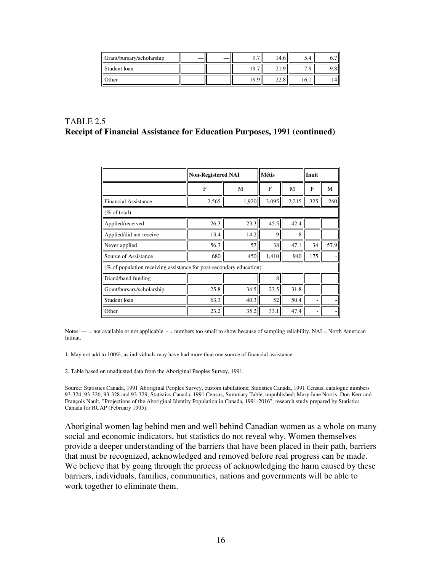| Grant/bursary/scholarship |  | $\overline{\phantom{0}}$<br>O<br>, . | 14.6                        |     | v. |
|---------------------------|--|--------------------------------------|-----------------------------|-----|----|
| Student loan              |  | 19.7                                 | 21 <sub>1</sub><br>$\Omega$ | 70  |    |
| Other                     |  | 19.9                                 | 220<br>∠∠.o                 | 16. |    |

## TABLE 2.5

## **Receipt of Financial Assistance for Education Purposes, 1991 (continued)**

|                                                                                  | <b>Non-Registered NAI</b> |       | <b>Métis</b> |       | Inuit |      |
|----------------------------------------------------------------------------------|---------------------------|-------|--------------|-------|-------|------|
|                                                                                  | F                         | M     | F            | M     | F     | M    |
| <b>Financial Assistance</b>                                                      | 2,565                     | 1,920 | 3,095        | 2,215 | 325   | 260  |
| $(\% \text{ of total})$                                                          |                           |       |              |       |       |      |
| Applied/received                                                                 | 26.3                      | 23.3  | 45.5         | 42.4  |       |      |
| Applied/did not receive                                                          | 13.4                      | 14.2  | 9            | 8     |       |      |
| Never applied                                                                    | 56.3                      | 57    | 38           | 47.1  | 34    | 57.9 |
| Source of Assistance                                                             | 680                       | 450   | 1,410        | 940   | 175   |      |
| (% of population receiving assistance for post-secondary education) <sup>1</sup> |                           |       |              |       |       |      |
| Diand/band funding                                                               |                           |       | 8            |       |       |      |
| Grant/bursary/scholarship                                                        | 25.8                      | 34.5  | 23.5         | 31.8  |       |      |
| Student loan                                                                     | 63.3                      | 40.3  | 52           | 50.4  |       |      |
| Other                                                                            | 23.2                      | 35.2  | 33.1         | 47.4  |       |      |

Notes:  $-$  = not available or not applicable.  $-$  = numbers too small to show because of sampling reliability. NAI = North American Indian.

1. May not add to 100%, as individuals may have had more than one source of financial assistance.

2. Table based on unadjusted data from the Aboriginal Peoples Survey, 1991.

Source: Statistics Canada, 1991 Aboriginal Peoples Survey, custom tabulations; Statistics Canada, 1991 Census, catalogue numbers 93-324, 93-326, 93-328 and 93-329; Statistics Canada, 1991 Census, Summary Table, unpublished; Mary Jane Norris, Don Kerr and François Nault, "Projections of the Aboriginal Identity Population in Canada, 1991-2016", research study prepared by Statistics Canada for RCAP (February 1995).

Aboriginal women lag behind men and well behind Canadian women as a whole on many social and economic indicators, but statistics do not reveal why. Women themselves provide a deeper understanding of the barriers that have been placed in their path, barriers that must be recognized, acknowledged and removed before real progress can be made. We believe that by going through the process of acknowledging the harm caused by these barriers, individuals, families, communities, nations and governments will be able to work together to eliminate them.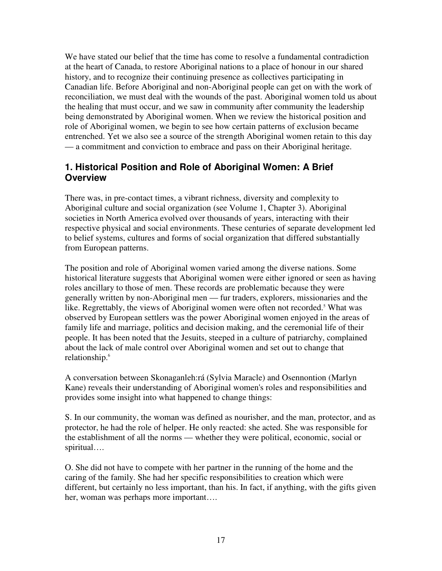We have stated our belief that the time has come to resolve a fundamental contradiction at the heart of Canada, to restore Aboriginal nations to a place of honour in our shared history, and to recognize their continuing presence as collectives participating in Canadian life. Before Aboriginal and non-Aboriginal people can get on with the work of reconciliation, we must deal with the wounds of the past. Aboriginal women told us about the healing that must occur, and we saw in community after community the leadership being demonstrated by Aboriginal women. When we review the historical position and role of Aboriginal women, we begin to see how certain patterns of exclusion became entrenched. Yet we also see a source of the strength Aboriginal women retain to this day — a commitment and conviction to embrace and pass on their Aboriginal heritage.

# **1. Historical Position and Role of Aboriginal Women: A Brief Overview**

There was, in pre-contact times, a vibrant richness, diversity and complexity to Aboriginal culture and social organization (see Volume 1, Chapter 3). Aboriginal societies in North America evolved over thousands of years, interacting with their respective physical and social environments. These centuries of separate development led to belief systems, cultures and forms of social organization that differed substantially from European patterns.

The position and role of Aboriginal women varied among the diverse nations. Some historical literature suggests that Aboriginal women were either ignored or seen as having roles ancillary to those of men. These records are problematic because they were generally written by non-Aboriginal men — fur traders, explorers, missionaries and the like. Regrettably, the views of Aboriginal women were often not recorded.<sup>5</sup> What was observed by European settlers was the power Aboriginal women enjoyed in the areas of family life and marriage, politics and decision making, and the ceremonial life of their people. It has been noted that the Jesuits, steeped in a culture of patriarchy, complained about the lack of male control over Aboriginal women and set out to change that relationship. 6

A conversation between Skonaganleh:rá (Sylvia Maracle) and Osennontion (Marlyn Kane) reveals their understanding of Aboriginal women's roles and responsibilities and provides some insight into what happened to change things:

S. In our community, the woman was defined as nourisher, and the man, protector, and as protector, he had the role of helper. He only reacted: she acted. She was responsible for the establishment of all the norms — whether they were political, economic, social or spiritual….

O. She did not have to compete with her partner in the running of the home and the caring of the family. She had her specific responsibilities to creation which were different, but certainly no less important, than his. In fact, if anything, with the gifts given her, woman was perhaps more important….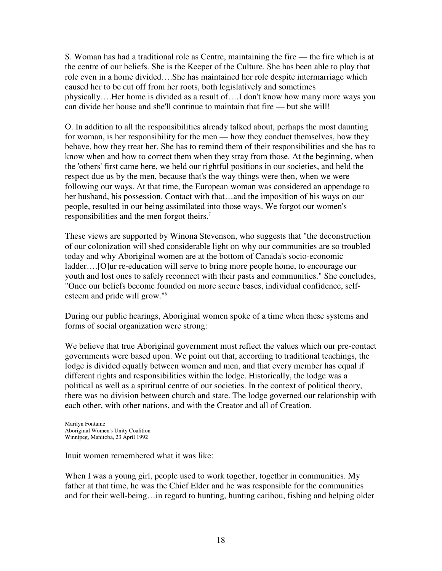S. Woman has had a traditional role as Centre, maintaining the fire — the fire which is at the centre of our beliefs. She is the Keeper of the Culture. She has been able to play that role even in a home divided….She has maintained her role despite intermarriage which caused her to be cut off from her roots, both legislatively and sometimes physically….Her home is divided as a result of….I don't know how many more ways you can divide her house and she'll continue to maintain that fire — but she will!

O. In addition to all the responsibilities already talked about, perhaps the most daunting for woman, is her responsibility for the men — how they conduct themselves, how they behave, how they treat her. She has to remind them of their responsibilities and she has to know when and how to correct them when they stray from those. At the beginning, when the 'others' first came here, we held our rightful positions in our societies, and held the respect due us by the men, because that's the way things were then, when we were following our ways. At that time, the European woman was considered an appendage to her husband, his possession. Contact with that…and the imposition of his ways on our people, resulted in our being assimilated into those ways. We forgot our women's responsibilities and the men forgot theirs. 7

These views are supported by Winona Stevenson, who suggests that "the deconstruction of our colonization will shed considerable light on why our communities are so troubled today and why Aboriginal women are at the bottom of Canada's socio-economic ladder….[O]ur re-education will serve to bring more people home, to encourage our youth and lost ones to safely reconnect with their pasts and communities." She concludes, "Once our beliefs become founded on more secure bases, individual confidence, selfesteem and pride will grow." 8

During our public hearings, Aboriginal women spoke of a time when these systems and forms of social organization were strong:

We believe that true Aboriginal government must reflect the values which our pre-contact governments were based upon. We point out that, according to traditional teachings, the lodge is divided equally between women and men, and that every member has equal if different rights and responsibilities within the lodge. Historically, the lodge was a political as well as a spiritual centre of our societies. In the context of political theory, there was no division between church and state. The lodge governed our relationship with each other, with other nations, and with the Creator and all of Creation.

Marilyn Fontaine Aboriginal Women's Unity Coalition Winnipeg, Manitoba, 23 April 1992

Inuit women remembered what it was like:

When I was a young girl, people used to work together, together in communities. My father at that time, he was the Chief Elder and he was responsible for the communities and for their well-being…in regard to hunting, hunting caribou, fishing and helping older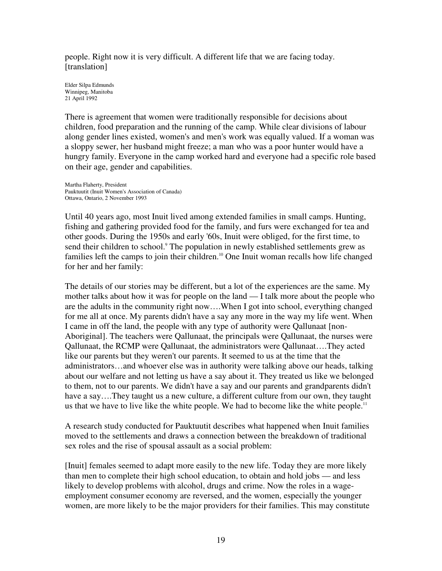people. Right now it is very difficult. A different life that we are facing today. [translation]

Elder Silpa Edmunds Winnipeg, Manitoba 21 April 1992

There is agreement that women were traditionally responsible for decisions about children, food preparation and the running of the camp. While clear divisions of labour along gender lines existed, women's and men's work was equally valued. If a woman was a sloppy sewer, her husband might freeze; a man who was a poor hunter would have a hungry family. Everyone in the camp worked hard and everyone had a specific role based on their age, gender and capabilities.

Martha Flaherty, President Pauktuutit (Inuit Women's Association of Canada) Ottawa, Ontario, 2 November 1993

Until 40 years ago, most Inuit lived among extended families in small camps. Hunting, fishing and gathering provided food for the family, and furs were exchanged for tea and other goods. During the 1950s and early '60s, Inuit were obliged, for the first time, to send their children to school. <sup>9</sup> The population in newly established settlements grew as families left the camps to join their children. <sup>10</sup> One Inuit woman recalls how life changed for her and her family:

The details of our stories may be different, but a lot of the experiences are the same. My mother talks about how it was for people on the land — I talk more about the people who are the adults in the community right now….When I got into school, everything changed for me all at once. My parents didn't have a say any more in the way my life went. When I came in off the land, the people with any type of authority were Qallunaat [non-Aboriginal]. The teachers were Qallunaat, the principals were Qallunaat, the nurses were Qallunaat, the RCMP were Qallunaat, the administrators were Qallunaat….They acted like our parents but they weren't our parents. It seemed to us at the time that the administrators…and whoever else was in authority were talking above our heads, talking about our welfare and not letting us have a say about it. They treated us like we belonged to them, not to our parents. We didn't have a say and our parents and grandparents didn't have a say....They taught us a new culture, a different culture from our own, they taught us that we have to live like the white people. We had to become like the white people.<sup>11</sup>

A research study conducted for Pauktuutit describes what happened when Inuit families moved to the settlements and draws a connection between the breakdown of traditional sex roles and the rise of spousal assault as a social problem:

[Inuit] females seemed to adapt more easily to the new life. Today they are more likely than men to complete their high school education, to obtain and hold jobs — and less likely to develop problems with alcohol, drugs and crime. Now the roles in a wageemployment consumer economy are reversed, and the women, especially the younger women, are more likely to be the major providers for their families. This may constitute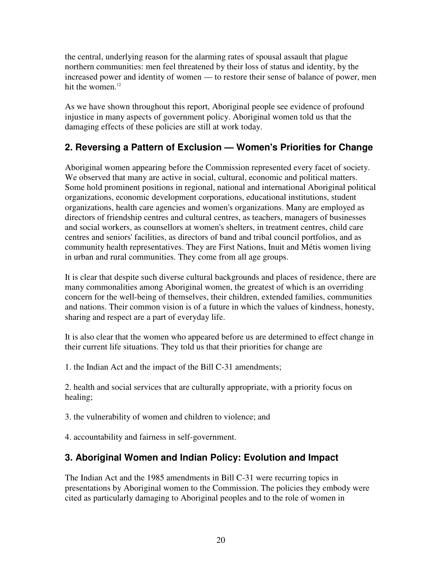the central, underlying reason for the alarming rates of spousal assault that plague northern communities: men feel threatened by their loss of status and identity, by the increased power and identity of women — to restore their sense of balance of power, men hit the women.<sup>12</sup>

As we have shown throughout this report, Aboriginal people see evidence of profound injustice in many aspects of government policy. Aboriginal women told us that the damaging effects of these policies are still at work today.

# **2. Reversing a Pattern of Exclusion — Women's Priorities for Change**

Aboriginal women appearing before the Commission represented every facet of society. We observed that many are active in social, cultural, economic and political matters. Some hold prominent positions in regional, national and international Aboriginal political organizations, economic development corporations, educational institutions, student organizations, health care agencies and women's organizations. Many are employed as directors of friendship centres and cultural centres, as teachers, managers of businesses and social workers, as counsellors at women's shelters, in treatment centres, child care centres and seniors' facilities, as directors of band and tribal council portfolios, and as community health representatives. They are First Nations, Inuit and Métis women living in urban and rural communities. They come from all age groups.

It is clear that despite such diverse cultural backgrounds and places of residence, there are many commonalities among Aboriginal women, the greatest of which is an overriding concern for the well-being of themselves, their children, extended families, communities and nations. Their common vision is of a future in which the values of kindness, honesty, sharing and respect are a part of everyday life.

It is also clear that the women who appeared before us are determined to effect change in their current life situations. They told us that their priorities for change are

1. the Indian Act and the impact of the Bill C-31 amendments;

2. health and social services that are culturally appropriate, with a priority focus on healing;

3. the vulnerability of women and children to violence; and

4. accountability and fairness in self-government.

# **3. Aboriginal Women and Indian Policy: Evolution and Impact**

The Indian Act and the 1985 amendments in Bill C-31 were recurring topics in presentations by Aboriginal women to the Commission. The policies they embody were cited as particularly damaging to Aboriginal peoples and to the role of women in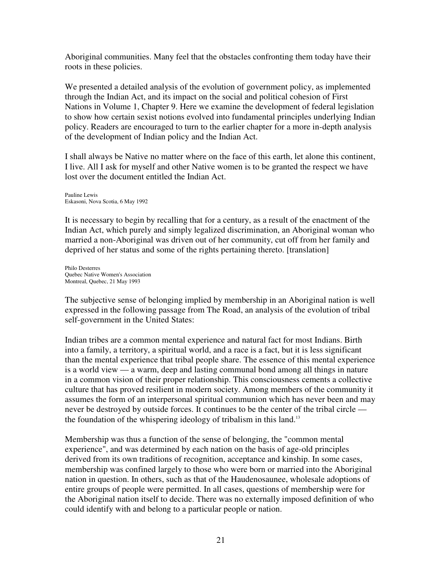Aboriginal communities. Many feel that the obstacles confronting them today have their roots in these policies.

We presented a detailed analysis of the evolution of government policy, as implemented through the Indian Act, and its impact on the social and political cohesion of First Nations in Volume 1, Chapter 9. Here we examine the development of federal legislation to show how certain sexist notions evolved into fundamental principles underlying Indian policy. Readers are encouraged to turn to the earlier chapter for a more in-depth analysis of the development of Indian policy and the Indian Act.

I shall always be Native no matter where on the face of this earth, let alone this continent, I live. All I ask for myself and other Native women is to be granted the respect we have lost over the document entitled the Indian Act.

Pauline Lewis Eskasoni, Nova Scotia, 6 May 1992

It is necessary to begin by recalling that for a century, as a result of the enactment of the Indian Act, which purely and simply legalized discrimination, an Aboriginal woman who married a non-Aboriginal was driven out of her community, cut off from her family and deprived of her status and some of the rights pertaining thereto. [translation]

Philo Desterres Quebec Native Women's Association Montreal, Quebec, 21 May 1993

The subjective sense of belonging implied by membership in an Aboriginal nation is well expressed in the following passage from The Road, an analysis of the evolution of tribal self-government in the United States:

Indian tribes are a common mental experience and natural fact for most Indians. Birth into a family, a territory, a spiritual world, and a race is a fact, but it is less significant than the mental experience that tribal people share. The essence of this mental experience is a world view — a warm, deep and lasting communal bond among all things in nature in a common vision of their proper relationship. This consciousness cements a collective culture that has proved resilient in modern society. Among members of the community it assumes the form of an interpersonal spiritual communion which has never been and may never be destroyed by outside forces. It continues to be the center of the tribal circle the foundation of the whispering ideology of tribalism in this land.<sup>13</sup>

Membership was thus a function of the sense of belonging, the "common mental experience", and was determined by each nation on the basis of age-old principles derived from its own traditions of recognition, acceptance and kinship. In some cases, membership was confined largely to those who were born or married into the Aboriginal nation in question. In others, such as that of the Haudenosaunee, wholesale adoptions of entire groups of people were permitted. In all cases, questions of membership were for the Aboriginal nation itself to decide. There was no externally imposed definition of who could identify with and belong to a particular people or nation.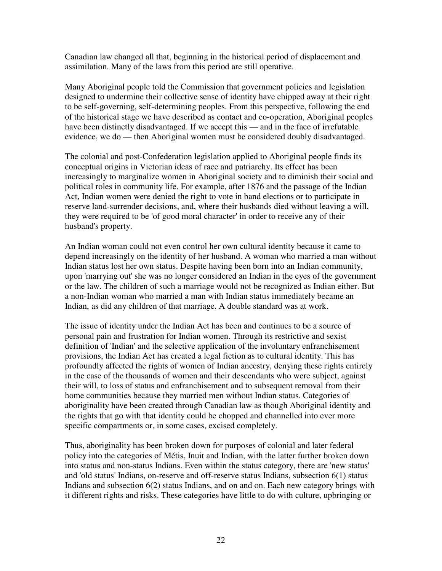Canadian law changed all that, beginning in the historical period of displacement and assimilation. Many of the laws from this period are still operative.

Many Aboriginal people told the Commission that government policies and legislation designed to undermine their collective sense of identity have chipped away at their right to be self-governing, self-determining peoples. From this perspective, following the end of the historical stage we have described as contact and co-operation, Aboriginal peoples have been distinctly disadvantaged. If we accept this — and in the face of irrefutable evidence, we do — then Aboriginal women must be considered doubly disadvantaged.

The colonial and post-Confederation legislation applied to Aboriginal people finds its conceptual origins in Victorian ideas of race and patriarchy. Its effect has been increasingly to marginalize women in Aboriginal society and to diminish their social and political roles in community life. For example, after 1876 and the passage of the Indian Act, Indian women were denied the right to vote in band elections or to participate in reserve land-surrender decisions, and, where their husbands died without leaving a will, they were required to be 'of good moral character' in order to receive any of their husband's property.

An Indian woman could not even control her own cultural identity because it came to depend increasingly on the identity of her husband. A woman who married a man without Indian status lost her own status. Despite having been born into an Indian community, upon 'marrying out' she was no longer considered an Indian in the eyes of the government or the law. The children of such a marriage would not be recognized as Indian either. But a non-Indian woman who married a man with Indian status immediately became an Indian, as did any children of that marriage. A double standard was at work.

The issue of identity under the Indian Act has been and continues to be a source of personal pain and frustration for Indian women. Through its restrictive and sexist definition of 'Indian' and the selective application of the involuntary enfranchisement provisions, the Indian Act has created a legal fiction as to cultural identity. This has profoundly affected the rights of women of Indian ancestry, denying these rights entirely in the case of the thousands of women and their descendants who were subject, against their will, to loss of status and enfranchisement and to subsequent removal from their home communities because they married men without Indian status. Categories of aboriginality have been created through Canadian law as though Aboriginal identity and the rights that go with that identity could be chopped and channelled into ever more specific compartments or, in some cases, excised completely.

Thus, aboriginality has been broken down for purposes of colonial and later federal policy into the categories of Métis, Inuit and Indian, with the latter further broken down into status and non-status Indians. Even within the status category, there are 'new status' and 'old status' Indians, on-reserve and off-reserve status Indians, subsection 6(1) status Indians and subsection 6(2) status Indians, and on and on. Each new category brings with it different rights and risks. These categories have little to do with culture, upbringing or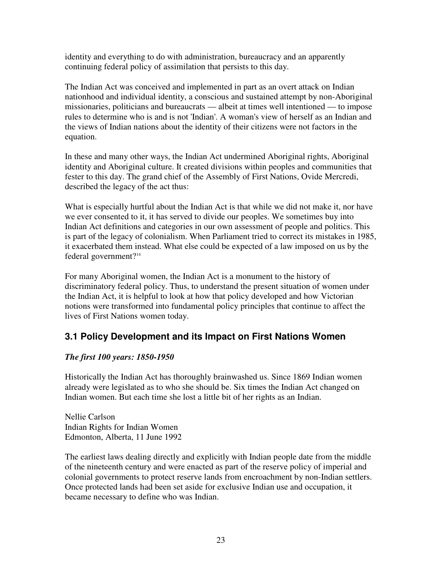identity and everything to do with administration, bureaucracy and an apparently continuing federal policy of assimilation that persists to this day.

The Indian Act was conceived and implemented in part as an overt attack on Indian nationhood and individual identity, a conscious and sustained attempt by non-Aboriginal missionaries, politicians and bureaucrats — albeit at times well intentioned — to impose rules to determine who is and is not 'Indian'. A woman's view of herself as an Indian and the views of Indian nations about the identity of their citizens were not factors in the equation.

In these and many other ways, the Indian Act undermined Aboriginal rights, Aboriginal identity and Aboriginal culture. It created divisions within peoples and communities that fester to this day. The grand chief of the Assembly of First Nations, Ovide Mercredi, described the legacy of the act thus:

What is especially hurtful about the Indian Act is that while we did not make it, nor have we ever consented to it, it has served to divide our peoples. We sometimes buy into Indian Act definitions and categories in our own assessment of people and politics. This is part of the legacy of colonialism. When Parliament tried to correct its mistakes in 1985, it exacerbated them instead. What else could be expected of a law imposed on us by the federal government? 14

For many Aboriginal women, the Indian Act is a monument to the history of discriminatory federal policy. Thus, to understand the present situation of women under the Indian Act, it is helpful to look at how that policy developed and how Victorian notions were transformed into fundamental policy principles that continue to affect the lives of First Nations women today.

# **3.1 Policy Development and its Impact on First Nations Women**

## *The first 100 years: 1850-1950*

Historically the Indian Act has thoroughly brainwashed us. Since 1869 Indian women already were legislated as to who she should be. Six times the Indian Act changed on Indian women. But each time she lost a little bit of her rights as an Indian.

Nellie Carlson Indian Rights for Indian Women Edmonton, Alberta, 11 June 1992

The earliest laws dealing directly and explicitly with Indian people date from the middle of the nineteenth century and were enacted as part of the reserve policy of imperial and colonial governments to protect reserve lands from encroachment by non-Indian settlers. Once protected lands had been set aside for exclusive Indian use and occupation, it became necessary to define who was Indian.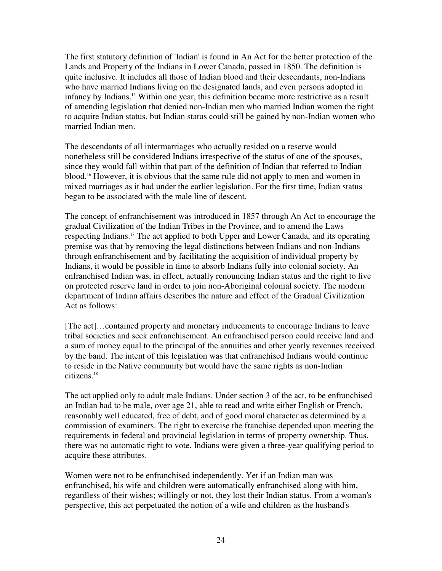The first statutory definition of 'Indian' is found in An Act for the better protection of the Lands and Property of the Indians in Lower Canada, passed in 1850. The definition is quite inclusive. It includes all those of Indian blood and their descendants, non-Indians who have married Indians living on the designated lands, and even persons adopted in infancy by Indians. <sup>15</sup> Within one year, this definition became more restrictive as a result of amending legislation that denied non-Indian men who married Indian women the right to acquire Indian status, but Indian status could still be gained by non-Indian women who married Indian men.

The descendants of all intermarriages who actually resided on a reserve would nonetheless still be considered Indians irrespective of the status of one of the spouses, since they would fall within that part of the definition of Indian that referred to Indian blood. <sup>16</sup> However, it is obvious that the same rule did not apply to men and women in mixed marriages as it had under the earlier legislation. For the first time, Indian status began to be associated with the male line of descent.

The concept of enfranchisement was introduced in 1857 through An Act to encourage the gradual Civilization of the Indian Tribes in the Province, and to amend the Laws respecting Indians. <sup>17</sup> The act applied to both Upper and Lower Canada, and its operating premise was that by removing the legal distinctions between Indians and non-Indians through enfranchisement and by facilitating the acquisition of individual property by Indians, it would be possible in time to absorb Indians fully into colonial society. An enfranchised Indian was, in effect, actually renouncing Indian status and the right to live on protected reserve land in order to join non-Aboriginal colonial society. The modern department of Indian affairs describes the nature and effect of the Gradual Civilization Act as follows:

[The act]…contained property and monetary inducements to encourage Indians to leave tribal societies and seek enfranchisement. An enfranchised person could receive land and a sum of money equal to the principal of the annuities and other yearly revenues received by the band. The intent of this legislation was that enfranchised Indians would continue to reside in the Native community but would have the same rights as non-Indian citizens. 18

The act applied only to adult male Indians. Under section 3 of the act, to be enfranchised an Indian had to be male, over age 21, able to read and write either English or French, reasonably well educated, free of debt, and of good moral character as determined by a commission of examiners. The right to exercise the franchise depended upon meeting the requirements in federal and provincial legislation in terms of property ownership. Thus, there was no automatic right to vote. Indians were given a three-year qualifying period to acquire these attributes.

Women were not to be enfranchised independently. Yet if an Indian man was enfranchised, his wife and children were automatically enfranchised along with him, regardless of their wishes; willingly or not, they lost their Indian status. From a woman's perspective, this act perpetuated the notion of a wife and children as the husband's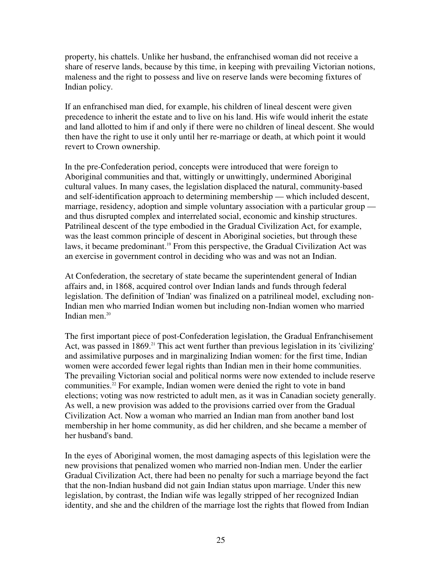property, his chattels. Unlike her husband, the enfranchised woman did not receive a share of reserve lands, because by this time, in keeping with prevailing Victorian notions, maleness and the right to possess and live on reserve lands were becoming fixtures of Indian policy.

If an enfranchised man died, for example, his children of lineal descent were given precedence to inherit the estate and to live on his land. His wife would inherit the estate and land allotted to him if and only if there were no children of lineal descent. She would then have the right to use it only until her re-marriage or death, at which point it would revert to Crown ownership.

In the pre-Confederation period, concepts were introduced that were foreign to Aboriginal communities and that, wittingly or unwittingly, undermined Aboriginal cultural values. In many cases, the legislation displaced the natural, community-based and self-identification approach to determining membership — which included descent, marriage, residency, adoption and simple voluntary association with a particular group and thus disrupted complex and interrelated social, economic and kinship structures. Patrilineal descent of the type embodied in the Gradual Civilization Act, for example, was the least common principle of descent in Aboriginal societies, but through these laws, it became predominant. <sup>19</sup> From this perspective, the Gradual Civilization Act was an exercise in government control in deciding who was and was not an Indian.

At Confederation, the secretary of state became the superintendent general of Indian affairs and, in 1868, acquired control over Indian lands and funds through federal legislation. The definition of 'Indian' was finalized on a patrilineal model, excluding non-Indian men who married Indian women but including non-Indian women who married Indian men. 20

The first important piece of post-Confederation legislation, the Gradual Enfranchisement Act, was passed in 1869.<sup>21</sup> This act went further than previous legislation in its 'civilizing' and assimilative purposes and in marginalizing Indian women: for the first time, Indian women were accorded fewer legal rights than Indian men in their home communities. The prevailing Victorian social and political norms were now extended to include reserve communities. <sup>22</sup> For example, Indian women were denied the right to vote in band elections; voting was now restricted to adult men, as it was in Canadian society generally. As well, a new provision was added to the provisions carried over from the Gradual Civilization Act. Now a woman who married an Indian man from another band lost membership in her home community, as did her children, and she became a member of her husband's band.

In the eyes of Aboriginal women, the most damaging aspects of this legislation were the new provisions that penalized women who married non-Indian men. Under the earlier Gradual Civilization Act, there had been no penalty for such a marriage beyond the fact that the non-Indian husband did not gain Indian status upon marriage. Under this new legislation, by contrast, the Indian wife was legally stripped of her recognized Indian identity, and she and the children of the marriage lost the rights that flowed from Indian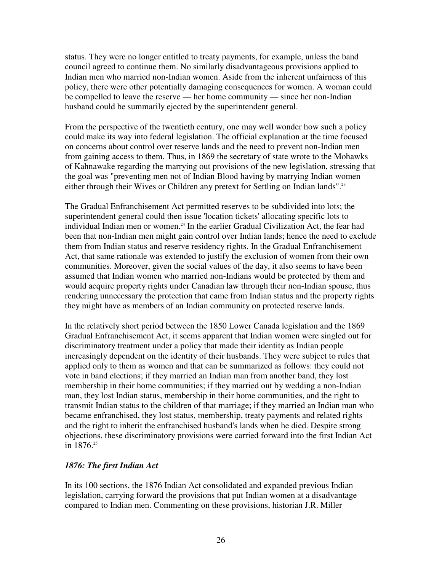status. They were no longer entitled to treaty payments, for example, unless the band council agreed to continue them. No similarly disadvantageous provisions applied to Indian men who married non-Indian women. Aside from the inherent unfairness of this policy, there were other potentially damaging consequences for women. A woman could be compelled to leave the reserve — her home community — since her non-Indian husband could be summarily ejected by the superintendent general.

From the perspective of the twentieth century, one may well wonder how such a policy could make its way into federal legislation. The official explanation at the time focused on concerns about control over reserve lands and the need to prevent non-Indian men from gaining access to them. Thus, in 1869 the secretary of state wrote to the Mohawks of Kahnawake regarding the marrying out provisions of the new legislation, stressing that the goal was "preventing men not of Indian Blood having by marrying Indian women either through their Wives or Children any pretext for Settling on Indian lands".<sup>23</sup>

The Gradual Enfranchisement Act permitted reserves to be subdivided into lots; the superintendent general could then issue 'location tickets' allocating specific lots to individual Indian men or women. 24 In the earlier Gradual Civilization Act, the fear had been that non-Indian men might gain control over Indian lands; hence the need to exclude them from Indian status and reserve residency rights. In the Gradual Enfranchisement Act, that same rationale was extended to justify the exclusion of women from their own communities. Moreover, given the social values of the day, it also seems to have been assumed that Indian women who married non-Indians would be protected by them and would acquire property rights under Canadian law through their non-Indian spouse, thus rendering unnecessary the protection that came from Indian status and the property rights they might have as members of an Indian community on protected reserve lands.

In the relatively short period between the 1850 Lower Canada legislation and the 1869 Gradual Enfranchisement Act, it seems apparent that Indian women were singled out for discriminatory treatment under a policy that made their identity as Indian people increasingly dependent on the identity of their husbands. They were subject to rules that applied only to them as women and that can be summarized as follows: they could not vote in band elections; if they married an Indian man from another band, they lost membership in their home communities; if they married out by wedding a non-Indian man, they lost Indian status, membership in their home communities, and the right to transmit Indian status to the children of that marriage; if they married an Indian man who became enfranchised, they lost status, membership, treaty payments and related rights and the right to inherit the enfranchised husband's lands when he died. Despite strong objections, these discriminatory provisions were carried forward into the first Indian Act in 1876. 25

## *1876: The first Indian Act*

In its 100 sections, the 1876 Indian Act consolidated and expanded previous Indian legislation, carrying forward the provisions that put Indian women at a disadvantage compared to Indian men. Commenting on these provisions, historian J.R. Miller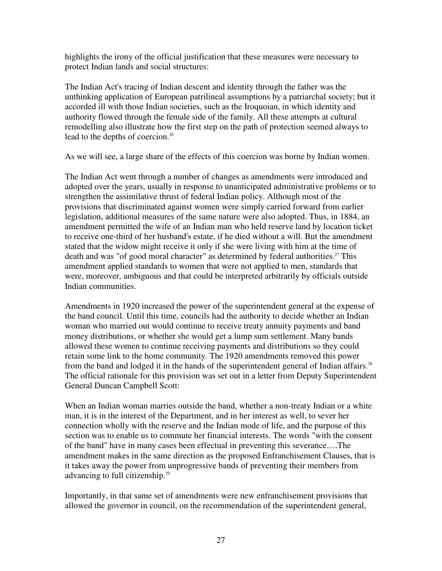highlights the irony of the official justification that these measures were necessary to protect Indian lands and social structures:

The Indian Act's tracing of Indian descent and identity through the father was the unthinking application of European patrilineal assumptions by a patriarchal society; but it accorded ill with those Indian societies, such as the Iroquoian, in which identity and authority flowed through the female side of the family. All these attempts at cultural remodelling also illustrate how the first step on the path of protection seemed always to lead to the depths of coercion. 26

As we will see, a large share of the effects of this coercion was borne by Indian women.

The Indian Act went through a number of changes as amendments were introduced and adopted over the years, usually in response to unanticipated administrative problems or to strengthen the assimilative thrust of federal Indian policy. Although most of the provisions that discriminated against women were simply carried forward from earlier legislation, additional measures of the same nature were also adopted. Thus, in 1884, an amendment permitted the wife of an Indian man who held reserve land by location ticket to receive one-third of her husband's estate, if he died without a will. But the amendment stated that the widow might receive it only if she were living with him at the time of death and was "of good moral character" as determined by federal authorities. <sup>27</sup> This amendment applied standards to women that were not applied to men, standards that were, moreover, ambiguous and that could be interpreted arbitrarily by officials outside Indian communities.

Amendments in 1920 increased the power of the superintendent general at the expense of the band council. Until this time, councils had the authority to decide whether an Indian woman who married out would continue to receive treaty annuity payments and band money distributions, or whether she would get a lump sum settlement. Many bands allowed these women to continue receiving payments and distributions so they could retain some link to the home community. The 1920 amendments removed this power from the band and lodged it in the hands of the superintendent general of Indian affairs.<sup>28</sup> The official rationale for this provision was set out in a letter from Deputy Superintendent General Duncan Campbell Scott:

When an Indian woman marries outside the band, whether a non-treaty Indian or a white man, it is in the interest of the Department, and in her interest as well, to sever her connection wholly with the reserve and the Indian mode of life, and the purpose of this section was to enable us to commute her financial interests. The words "with the consent of the band" have in many cases been effectual in preventing this severance….The amendment makes in the same direction as the proposed Enfranchisement Clauses, that is it takes away the power from unprogressive bands of preventing their members from advancing to full citizenship. 29

Importantly, in that same set of amendments were new enfranchisement provisions that allowed the governor in council, on the recommendation of the superintendent general,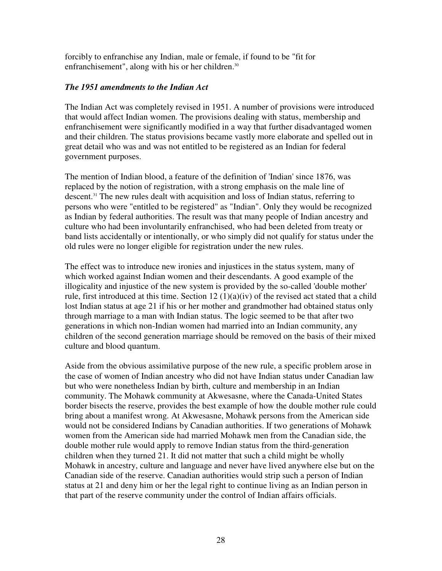forcibly to enfranchise any Indian, male or female, if found to be "fit for enfranchisement", along with his or her children.<sup>30</sup>

## *The 1951 amendments to the Indian Act*

The Indian Act was completely revised in 1951. A number of provisions were introduced that would affect Indian women. The provisions dealing with status, membership and enfranchisement were significantly modified in a way that further disadvantaged women and their children. The status provisions became vastly more elaborate and spelled out in great detail who was and was not entitled to be registered as an Indian for federal government purposes.

The mention of Indian blood, a feature of the definition of 'Indian' since 1876, was replaced by the notion of registration, with a strong emphasis on the male line of descent. <sup>31</sup> The new rules dealt with acquisition and loss of Indian status, referring to persons who were "entitled to be registered" as "Indian". Only they would be recognized as Indian by federal authorities. The result was that many people of Indian ancestry and culture who had been involuntarily enfranchised, who had been deleted from treaty or band lists accidentally or intentionally, or who simply did not qualify for status under the old rules were no longer eligible for registration under the new rules.

The effect was to introduce new ironies and injustices in the status system, many of which worked against Indian women and their descendants. A good example of the illogicality and injustice of the new system is provided by the so-called 'double mother' rule, first introduced at this time. Section 12 (1)(a)(iv) of the revised act stated that a child lost Indian status at age 21 if his or her mother and grandmother had obtained status only through marriage to a man with Indian status. The logic seemed to be that after two generations in which non-Indian women had married into an Indian community, any children of the second generation marriage should be removed on the basis of their mixed culture and blood quantum.

Aside from the obvious assimilative purpose of the new rule, a specific problem arose in the case of women of Indian ancestry who did not have Indian status under Canadian law but who were nonetheless Indian by birth, culture and membership in an Indian community. The Mohawk community at Akwesasne, where the Canada-United States border bisects the reserve, provides the best example of how the double mother rule could bring about a manifest wrong. At Akwesasne, Mohawk persons from the American side would not be considered Indians by Canadian authorities. If two generations of Mohawk women from the American side had married Mohawk men from the Canadian side, the double mother rule would apply to remove Indian status from the third-generation children when they turned 21. It did not matter that such a child might be wholly Mohawk in ancestry, culture and language and never have lived anywhere else but on the Canadian side of the reserve. Canadian authorities would strip such a person of Indian status at 21 and deny him or her the legal right to continue living as an Indian person in that part of the reserve community under the control of Indian affairs officials.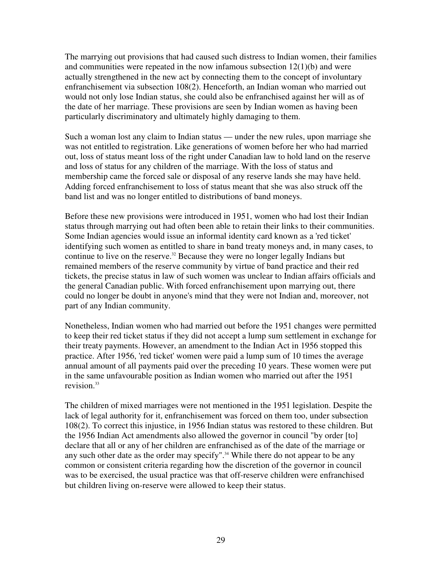The marrying out provisions that had caused such distress to Indian women, their families and communities were repeated in the now infamous subsection  $12(1)(b)$  and were actually strengthened in the new act by connecting them to the concept of involuntary enfranchisement via subsection 108(2). Henceforth, an Indian woman who married out would not only lose Indian status, she could also be enfranchised against her will as of the date of her marriage. These provisions are seen by Indian women as having been particularly discriminatory and ultimately highly damaging to them.

Such a woman lost any claim to Indian status — under the new rules, upon marriage she was not entitled to registration. Like generations of women before her who had married out, loss of status meant loss of the right under Canadian law to hold land on the reserve and loss of status for any children of the marriage. With the loss of status and membership came the forced sale or disposal of any reserve lands she may have held. Adding forced enfranchisement to loss of status meant that she was also struck off the band list and was no longer entitled to distributions of band moneys.

Before these new provisions were introduced in 1951, women who had lost their Indian status through marrying out had often been able to retain their links to their communities. Some Indian agencies would issue an informal identity card known as a 'red ticket' identifying such women as entitled to share in band treaty moneys and, in many cases, to continue to live on the reserve. <sup>32</sup> Because they were no longer legally Indians but remained members of the reserve community by virtue of band practice and their red tickets, the precise status in law of such women was unclear to Indian affairs officials and the general Canadian public. With forced enfranchisement upon marrying out, there could no longer be doubt in anyone's mind that they were not Indian and, moreover, not part of any Indian community.

Nonetheless, Indian women who had married out before the 1951 changes were permitted to keep their red ticket status if they did not accept a lump sum settlement in exchange for their treaty payments. However, an amendment to the Indian Act in 1956 stopped this practice. After 1956, 'red ticket' women were paid a lump sum of 10 times the average annual amount of all payments paid over the preceding 10 years. These women were put in the same unfavourable position as Indian women who married out after the 1951 revision. 33

The children of mixed marriages were not mentioned in the 1951 legislation. Despite the lack of legal authority for it, enfranchisement was forced on them too, under subsection 108(2). To correct this injustice, in 1956 Indian status was restored to these children. But the 1956 Indian Act amendments also allowed the governor in council "by order [to] declare that all or any of her children are enfranchised as of the date of the marriage or any such other date as the order may specify". <sup>34</sup> While there do not appear to be any common or consistent criteria regarding how the discretion of the governor in council was to be exercised, the usual practice was that off-reserve children were enfranchised but children living on-reserve were allowed to keep their status.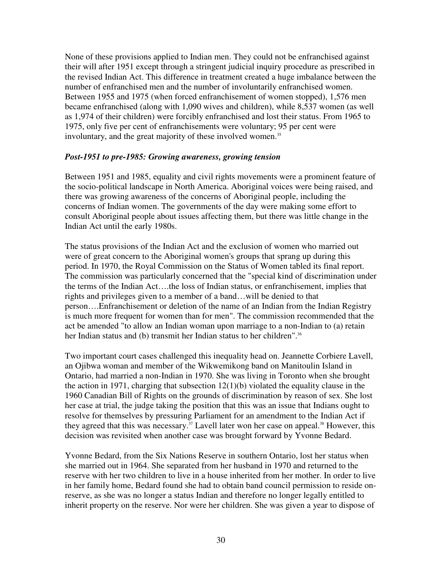None of these provisions applied to Indian men. They could not be enfranchised against their will after 1951 except through a stringent judicial inquiry procedure as prescribed in the revised Indian Act. This difference in treatment created a huge imbalance between the number of enfranchised men and the number of involuntarily enfranchised women. Between 1955 and 1975 (when forced enfranchisement of women stopped), 1,576 men became enfranchised (along with 1,090 wives and children), while 8,537 women (as well as 1,974 of their children) were forcibly enfranchised and lost their status. From 1965 to 1975, only five per cent of enfranchisements were voluntary; 95 per cent were involuntary, and the great majority of these involved women.<sup>35</sup>

## *Post-1951 to pre-1985: Growing awareness, growing tension*

Between 1951 and 1985, equality and civil rights movements were a prominent feature of the socio-political landscape in North America. Aboriginal voices were being raised, and there was growing awareness of the concerns of Aboriginal people, including the concerns of Indian women. The governments of the day were making some effort to consult Aboriginal people about issues affecting them, but there was little change in the Indian Act until the early 1980s.

The status provisions of the Indian Act and the exclusion of women who married out were of great concern to the Aboriginal women's groups that sprang up during this period. In 1970, the Royal Commission on the Status of Women tabled its final report. The commission was particularly concerned that the "special kind of discrimination under the terms of the Indian Act….the loss of Indian status, or enfranchisement, implies that rights and privileges given to a member of a band…will be denied to that person….Enfranchisement or deletion of the name of an Indian from the Indian Registry is much more frequent for women than for men". The commission recommended that the act be amended "to allow an Indian woman upon marriage to a non-Indian to (a) retain her Indian status and (b) transmit her Indian status to her children".<sup>36</sup>

Two important court cases challenged this inequality head on. Jeannette Corbiere Lavell, an Ojibwa woman and member of the Wikwemikong band on Manitoulin Island in Ontario, had married a non-Indian in 1970. She was living in Toronto when she brought the action in 1971, charging that subsection  $12(1)(b)$  violated the equality clause in the 1960 Canadian Bill of Rights on the grounds of discrimination by reason of sex. She lost her case at trial, the judge taking the position that this was an issue that Indians ought to resolve for themselves by pressuring Parliament for an amendment to the Indian Act if they agreed that this was necessary.<sup>37</sup> Lavell later won her case on appeal.<sup>38</sup> However, this decision was revisited when another case was brought forward by Yvonne Bedard.

Yvonne Bedard, from the Six Nations Reserve in southern Ontario, lost her status when she married out in 1964. She separated from her husband in 1970 and returned to the reserve with her two children to live in a house inherited from her mother. In order to live in her family home, Bedard found she had to obtain band council permission to reside onreserve, as she was no longer a status Indian and therefore no longer legally entitled to inherit property on the reserve. Nor were her children. She was given a year to dispose of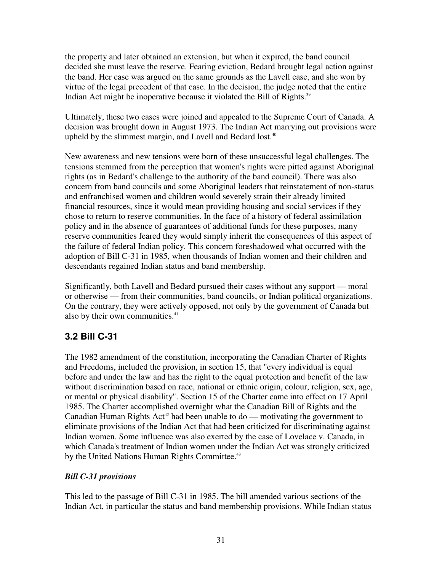the property and later obtained an extension, but when it expired, the band council decided she must leave the reserve. Fearing eviction, Bedard brought legal action against the band. Her case was argued on the same grounds as the Lavell case, and she won by virtue of the legal precedent of that case. In the decision, the judge noted that the entire Indian Act might be inoperative because it violated the Bill of Rights.<sup>39</sup>

Ultimately, these two cases were joined and appealed to the Supreme Court of Canada. A decision was brought down in August 1973. The Indian Act marrying out provisions were upheld by the slimmest margin, and Lavell and Bedard lost.<sup>40</sup>

New awareness and new tensions were born of these unsuccessful legal challenges. The tensions stemmed from the perception that women's rights were pitted against Aboriginal rights (as in Bedard's challenge to the authority of the band council). There was also concern from band councils and some Aboriginal leaders that reinstatement of non-status and enfranchised women and children would severely strain their already limited financial resources, since it would mean providing housing and social services if they chose to return to reserve communities. In the face of a history of federal assimilation policy and in the absence of guarantees of additional funds for these purposes, many reserve communities feared they would simply inherit the consequences of this aspect of the failure of federal Indian policy. This concern foreshadowed what occurred with the adoption of Bill C-31 in 1985, when thousands of Indian women and their children and descendants regained Indian status and band membership.

Significantly, both Lavell and Bedard pursued their cases without any support — moral or otherwise — from their communities, band councils, or Indian political organizations. On the contrary, they were actively opposed, not only by the government of Canada but also by their own communities. 41

# **3.2 Bill C-31**

The 1982 amendment of the constitution, incorporating the Canadian Charter of Rights and Freedoms, included the provision, in section 15, that "every individual is equal before and under the law and has the right to the equal protection and benefit of the law without discrimination based on race, national or ethnic origin, colour, religion, sex, age, or mental or physical disability". Section 15 of the Charter came into effect on 17 April 1985. The Charter accomplished overnight what the Canadian Bill of Rights and the Canadian Human Rights  $Act^{42}$  had been unable to do — motivating the government to eliminate provisions of the Indian Act that had been criticized for discriminating against Indian women. Some influence was also exerted by the case of Lovelace v. Canada, in which Canada's treatment of Indian women under the Indian Act was strongly criticized by the United Nations Human Rights Committee.<sup>43</sup>

## *Bill C-31 provisions*

This led to the passage of Bill C-31 in 1985. The bill amended various sections of the Indian Act, in particular the status and band membership provisions. While Indian status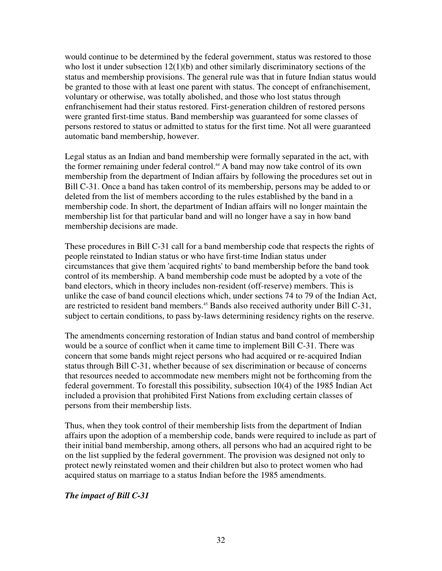would continue to be determined by the federal government, status was restored to those who lost it under subsection 12(1)(b) and other similarly discriminatory sections of the status and membership provisions. The general rule was that in future Indian status would be granted to those with at least one parent with status. The concept of enfranchisement, voluntary or otherwise, was totally abolished, and those who lost status through enfranchisement had their status restored. First-generation children of restored persons were granted first-time status. Band membership was guaranteed for some classes of persons restored to status or admitted to status for the first time. Not all were guaranteed automatic band membership, however.

Legal status as an Indian and band membership were formally separated in the act, with the former remaining under federal control. <sup>44</sup> A band may now take control of its own membership from the department of Indian affairs by following the procedures set out in Bill C-31. Once a band has taken control of its membership, persons may be added to or deleted from the list of members according to the rules established by the band in a membership code. In short, the department of Indian affairs will no longer maintain the membership list for that particular band and will no longer have a say in how band membership decisions are made.

These procedures in Bill C-31 call for a band membership code that respects the rights of people reinstated to Indian status or who have first-time Indian status under circumstances that give them 'acquired rights' to band membership before the band took control of its membership. A band membership code must be adopted by a vote of the band electors, which in theory includes non-resident (off-reserve) members. This is unlike the case of band council elections which, under sections 74 to 79 of the Indian Act, are restricted to resident band members. <sup>45</sup> Bands also received authority under Bill C-31, subject to certain conditions, to pass by-laws determining residency rights on the reserve.

The amendments concerning restoration of Indian status and band control of membership would be a source of conflict when it came time to implement Bill C-31. There was concern that some bands might reject persons who had acquired or re-acquired Indian status through Bill C-31, whether because of sex discrimination or because of concerns that resources needed to accommodate new members might not be forthcoming from the federal government. To forestall this possibility, subsection 10(4) of the 1985 Indian Act included a provision that prohibited First Nations from excluding certain classes of persons from their membership lists.

Thus, when they took control of their membership lists from the department of Indian affairs upon the adoption of a membership code, bands were required to include as part of their initial band membership, among others, all persons who had an acquired right to be on the list supplied by the federal government. The provision was designed not only to protect newly reinstated women and their children but also to protect women who had acquired status on marriage to a status Indian before the 1985 amendments.

## *The impact of Bill C-31*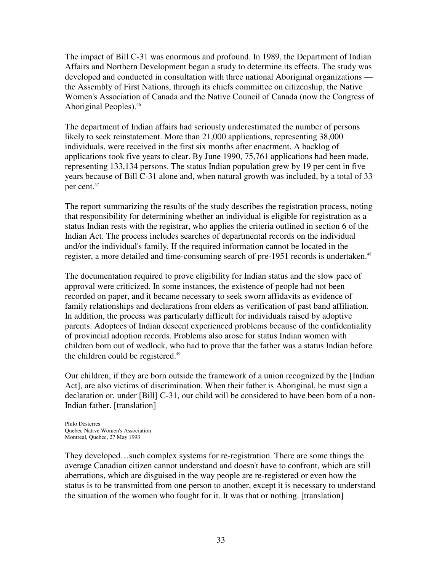The impact of Bill C-31 was enormous and profound. In 1989, the Department of Indian Affairs and Northern Development began a study to determine its effects. The study was developed and conducted in consultation with three national Aboriginal organizations the Assembly of First Nations, through its chiefs committee on citizenship, the Native Women's Association of Canada and the Native Council of Canada (now the Congress of Aboriginal Peoples). 46

The department of Indian affairs had seriously underestimated the number of persons likely to seek reinstatement. More than 21,000 applications, representing 38,000 individuals, were received in the first six months after enactment. A backlog of applications took five years to clear. By June 1990, 75,761 applications had been made, representing 133,134 persons. The status Indian population grew by 19 per cent in five years because of Bill C-31 alone and, when natural growth was included, by a total of 33 per cent. 47

The report summarizing the results of the study describes the registration process, noting that responsibility for determining whether an individual is eligible for registration as a status Indian rests with the registrar, who applies the criteria outlined in section 6 of the Indian Act. The process includes searches of departmental records on the individual and/or the individual's family. If the required information cannot be located in the register, a more detailed and time-consuming search of pre-1951 records is undertaken.<sup>48</sup>

The documentation required to prove eligibility for Indian status and the slow pace of approval were criticized. In some instances, the existence of people had not been recorded on paper, and it became necessary to seek sworn affidavits as evidence of family relationships and declarations from elders as verification of past band affiliation. In addition, the process was particularly difficult for individuals raised by adoptive parents. Adoptees of Indian descent experienced problems because of the confidentiality of provincial adoption records. Problems also arose for status Indian women with children born out of wedlock, who had to prove that the father was a status Indian before the children could be registered. 49

Our children, if they are born outside the framework of a union recognized by the [Indian Act], are also victims of discrimination. When their father is Aboriginal, he must sign a declaration or, under [Bill] C-31, our child will be considered to have been born of a non-Indian father. [translation]

Philo Desterres Quebec Native Women's Association Montreal, Quebec, 27 May 1993

They developed…such complex systems for re-registration. There are some things the average Canadian citizen cannot understand and doesn't have to confront, which are still aberrations, which are disguised in the way people are re-registered or even how the status is to be transmitted from one person to another, except it is necessary to understand the situation of the women who fought for it. It was that or nothing. [translation]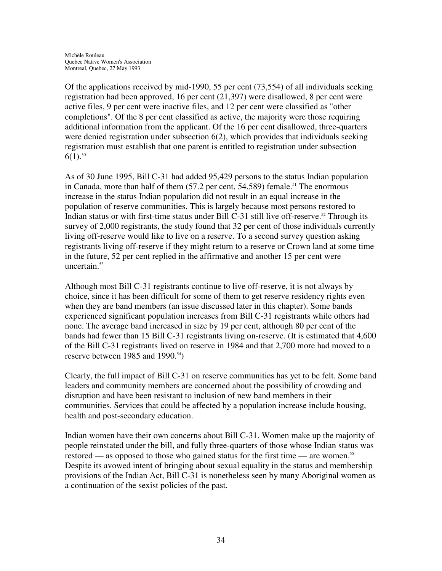Of the applications received by mid-1990, 55 per cent (73,554) of all individuals seeking registration had been approved, 16 per cent (21,397) were disallowed, 8 per cent were active files, 9 per cent were inactive files, and 12 per cent were classified as "other completions". Of the 8 per cent classified as active, the majority were those requiring additional information from the applicant. Of the 16 per cent disallowed, three-quarters were denied registration under subsection 6(2), which provides that individuals seeking registration must establish that one parent is entitled to registration under subsection  $6(1).$ <sup>50</sup>

As of 30 June 1995, Bill C-31 had added 95,429 persons to the status Indian population in Canada, more than half of them (57.2 per cent, 54,589) female.<sup>51</sup> The enormous increase in the status Indian population did not result in an equal increase in the population of reserve communities. This is largely because most persons restored to Indian status or with first-time status under Bill C-31 still live off-reserve.<sup>52</sup> Through its survey of 2,000 registrants, the study found that 32 per cent of those individuals currently living off-reserve would like to live on a reserve. To a second survey question asking registrants living off-reserve if they might return to a reserve or Crown land at some time in the future, 52 per cent replied in the affirmative and another 15 per cent were uncertain. 53

Although most Bill C-31 registrants continue to live off-reserve, it is not always by choice, since it has been difficult for some of them to get reserve residency rights even when they are band members (an issue discussed later in this chapter). Some bands experienced significant population increases from Bill C-31 registrants while others had none. The average band increased in size by 19 per cent, although 80 per cent of the bands had fewer than 15 Bill C-31 registrants living on-reserve. (It is estimated that 4,600 of the Bill C-31 registrants lived on reserve in 1984 and that 2,700 more had moved to a reserve between 1985 and 1990.<sup>54</sup>)

Clearly, the full impact of Bill C-31 on reserve communities has yet to be felt. Some band leaders and community members are concerned about the possibility of crowding and disruption and have been resistant to inclusion of new band members in their communities. Services that could be affected by a population increase include housing, health and post-secondary education.

Indian women have their own concerns about Bill C-31. Women make up the majority of people reinstated under the bill, and fully three-quarters of those whose Indian status was restored — as opposed to those who gained status for the first time — are women. 55 Despite its avowed intent of bringing about sexual equality in the status and membership provisions of the Indian Act, Bill C-31 is nonetheless seen by many Aboriginal women as a continuation of the sexist policies of the past.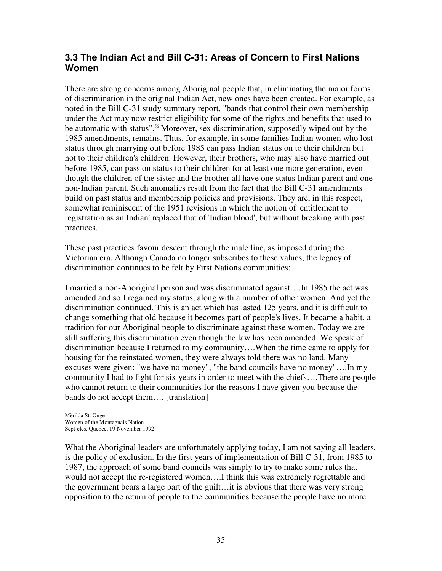## **3.3 The Indian Act and Bill C-31: Areas of Concern to First Nations Women**

There are strong concerns among Aboriginal people that, in eliminating the major forms of discrimination in the original Indian Act, new ones have been created. For example, as noted in the Bill C-31 study summary report, "bands that control their own membership under the Act may now restrict eligibility for some of the rights and benefits that used to be automatic with status". <sup>56</sup> Moreover, sex discrimination, supposedly wiped out by the 1985 amendments, remains. Thus, for example, in some families Indian women who lost status through marrying out before 1985 can pass Indian status on to their children but not to their children's children. However, their brothers, who may also have married out before 1985, can pass on status to their children for at least one more generation, even though the children of the sister and the brother all have one status Indian parent and one non-Indian parent. Such anomalies result from the fact that the Bill C-31 amendments build on past status and membership policies and provisions. They are, in this respect, somewhat reminiscent of the 1951 revisions in which the notion of 'entitlement to registration as an Indian' replaced that of 'Indian blood', but without breaking with past practices.

These past practices favour descent through the male line, as imposed during the Victorian era. Although Canada no longer subscribes to these values, the legacy of discrimination continues to be felt by First Nations communities:

I married a non-Aboriginal person and was discriminated against….In 1985 the act was amended and so I regained my status, along with a number of other women. And yet the discrimination continued. This is an act which has lasted 125 years, and it is difficult to change something that old because it becomes part of people's lives. It became a habit, a tradition for our Aboriginal people to discriminate against these women. Today we are still suffering this discrimination even though the law has been amended. We speak of discrimination because I returned to my community….When the time came to apply for housing for the reinstated women, they were always told there was no land. Many excuses were given: "we have no money", "the band councils have no money"….In my community I had to fight for six years in order to meet with the chiefs….There are people who cannot return to their communities for the reasons I have given you because the bands do not accept them…. [translation]

Mèrilda St. Onge Women of the Montagnais Nation Sept-ëles, Quebec, 19 November 1992

What the Aboriginal leaders are unfortunately applying today, I am not saying all leaders, is the policy of exclusion. In the first years of implementation of Bill C-31, from 1985 to 1987, the approach of some band councils was simply to try to make some rules that would not accept the re-registered women….I think this was extremely regrettable and the government bears a large part of the guilt…it is obvious that there was very strong opposition to the return of people to the communities because the people have no more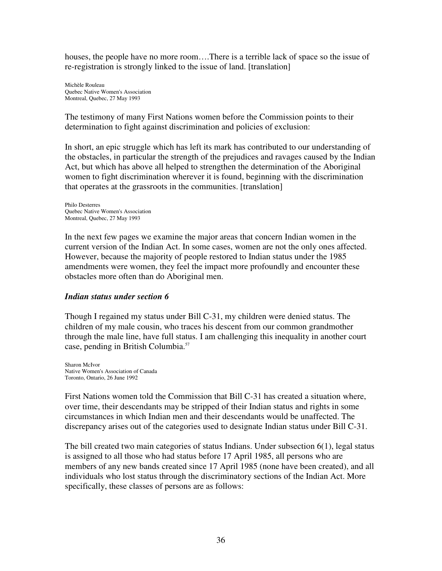houses, the people have no more room....There is a terrible lack of space so the issue of re-registration is strongly linked to the issue of land. [translation]

Michèle Rouleau Quebec Native Women's Association Montreal, Quebec, 27 May 1993

The testimony of many First Nations women before the Commission points to their determination to fight against discrimination and policies of exclusion:

In short, an epic struggle which has left its mark has contributed to our understanding of the obstacles, in particular the strength of the prejudices and ravages caused by the Indian Act, but which has above all helped to strengthen the determination of the Aboriginal women to fight discrimination wherever it is found, beginning with the discrimination that operates at the grassroots in the communities. [translation]

Philo Desterres Quebec Native Women's Association Montreal, Quebec, 27 May 1993

In the next few pages we examine the major areas that concern Indian women in the current version of the Indian Act. In some cases, women are not the only ones affected. However, because the majority of people restored to Indian status under the 1985 amendments were women, they feel the impact more profoundly and encounter these obstacles more often than do Aboriginal men.

#### *Indian status under section 6*

Though I regained my status under Bill C-31, my children were denied status. The children of my male cousin, who traces his descent from our common grandmother through the male line, have full status. I am challenging this inequality in another court case, pending in British Columbia. 57

Sharon McIvor Native Women's Association of Canada Toronto, Ontario, 26 June 1992

First Nations women told the Commission that Bill C-31 has created a situation where, over time, their descendants may be stripped of their Indian status and rights in some circumstances in which Indian men and their descendants would be unaffected. The discrepancy arises out of the categories used to designate Indian status under Bill C-31.

The bill created two main categories of status Indians. Under subsection 6(1), legal status is assigned to all those who had status before 17 April 1985, all persons who are members of any new bands created since 17 April 1985 (none have been created), and all individuals who lost status through the discriminatory sections of the Indian Act. More specifically, these classes of persons are as follows: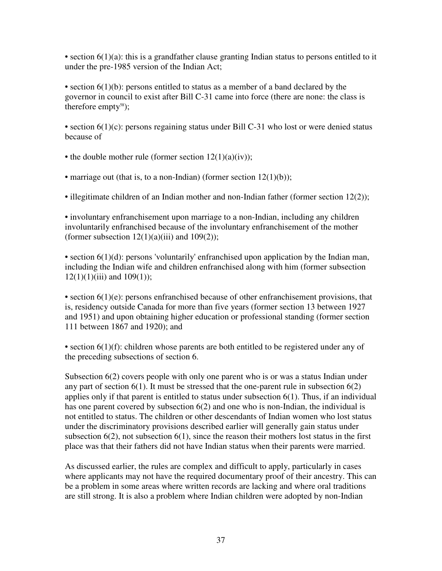• section  $6(1)(a)$ : this is a grandfather clause granting Indian status to persons entitled to it under the pre-1985 version of the Indian Act;

• section  $6(1)(b)$ : persons entitled to status as a member of a band declared by the governor in council to exist after Bill C-31 came into force (there are none: the class is therefore empty 58 );

• section 6(1)(c): persons regaining status under Bill C-31 who lost or were denied status because of

• the double mother rule (former section  $12(1)(a)(iv)$ );

• marriage out (that is, to a non-Indian) (former section  $12(1)(b)$ );

• illegitimate children of an Indian mother and non-Indian father (former section 12(2));

• involuntary enfranchisement upon marriage to a non-Indian, including any children involuntarily enfranchised because of the involuntary enfranchisement of the mother (former subsection  $12(1)(a)(iii)$  and  $109(2)$ );

• section  $6(1)(d)$ : persons 'voluntarily' enfranchised upon application by the Indian man, including the Indian wife and children enfranchised along with him (former subsection  $12(1)(1)(iii)$  and  $109(1)$ ;

• section  $6(1)(e)$ : persons enfranchised because of other enfranchisement provisions, that is, residency outside Canada for more than five years (former section 13 between 1927 and 1951) and upon obtaining higher education or professional standing (former section 111 between 1867 and 1920); and

• section 6(1)(f): children whose parents are both entitled to be registered under any of the preceding subsections of section 6.

Subsection 6(2) covers people with only one parent who is or was a status Indian under any part of section  $6(1)$ . It must be stressed that the one-parent rule in subsection  $6(2)$ applies only if that parent is entitled to status under subsection 6(1). Thus, if an individual has one parent covered by subsection 6(2) and one who is non-Indian, the individual is not entitled to status. The children or other descendants of Indian women who lost status under the discriminatory provisions described earlier will generally gain status under subsection  $6(2)$ , not subsection  $6(1)$ , since the reason their mothers lost status in the first place was that their fathers did not have Indian status when their parents were married.

As discussed earlier, the rules are complex and difficult to apply, particularly in cases where applicants may not have the required documentary proof of their ancestry. This can be a problem in some areas where written records are lacking and where oral traditions are still strong. It is also a problem where Indian children were adopted by non-Indian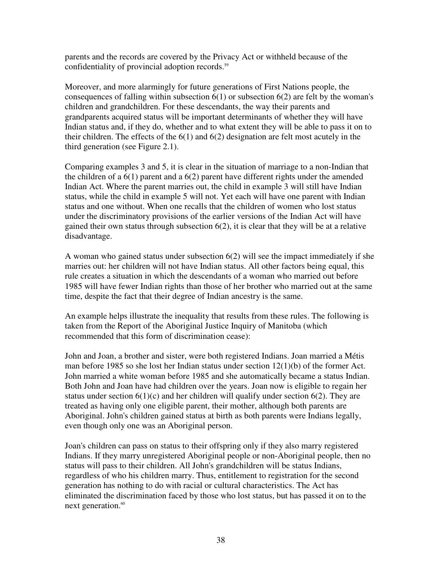parents and the records are covered by the Privacy Act or withheld because of the confidentiality of provincial adoption records. 59

Moreover, and more alarmingly for future generations of First Nations people, the consequences of falling within subsection  $6(1)$  or subsection  $6(2)$  are felt by the woman's children and grandchildren. For these descendants, the way their parents and grandparents acquired status will be important determinants of whether they will have Indian status and, if they do, whether and to what extent they will be able to pass it on to their children. The effects of the  $6(1)$  and  $6(2)$  designation are felt most acutely in the third generation (see Figure 2.1).

Comparing examples 3 and 5, it is clear in the situation of marriage to a non-Indian that the children of a  $6(1)$  parent and a  $6(2)$  parent have different rights under the amended Indian Act. Where the parent marries out, the child in example 3 will still have Indian status, while the child in example 5 will not. Yet each will have one parent with Indian status and one without. When one recalls that the children of women who lost status under the discriminatory provisions of the earlier versions of the Indian Act will have gained their own status through subsection 6(2), it is clear that they will be at a relative disadvantage.

A woman who gained status under subsection 6(2) will see the impact immediately if she marries out: her children will not have Indian status. All other factors being equal, this rule creates a situation in which the descendants of a woman who married out before 1985 will have fewer Indian rights than those of her brother who married out at the same time, despite the fact that their degree of Indian ancestry is the same.

An example helps illustrate the inequality that results from these rules. The following is taken from the Report of the Aboriginal Justice Inquiry of Manitoba (which recommended that this form of discrimination cease):

John and Joan, a brother and sister, were both registered Indians. Joan married a Métis man before 1985 so she lost her Indian status under section 12(1)(b) of the former Act. John married a white woman before 1985 and she automatically became a status Indian. Both John and Joan have had children over the years. Joan now is eligible to regain her status under section  $6(1)(c)$  and her children will qualify under section  $6(2)$ . They are treated as having only one eligible parent, their mother, although both parents are Aboriginal. John's children gained status at birth as both parents were Indians legally, even though only one was an Aboriginal person.

Joan's children can pass on status to their offspring only if they also marry registered Indians. If they marry unregistered Aboriginal people or non-Aboriginal people, then no status will pass to their children. All John's grandchildren will be status Indians, regardless of who his children marry. Thus, entitlement to registration for the second generation has nothing to do with racial or cultural characteristics. The Act has eliminated the discrimination faced by those who lost status, but has passed it on to the next generation. 60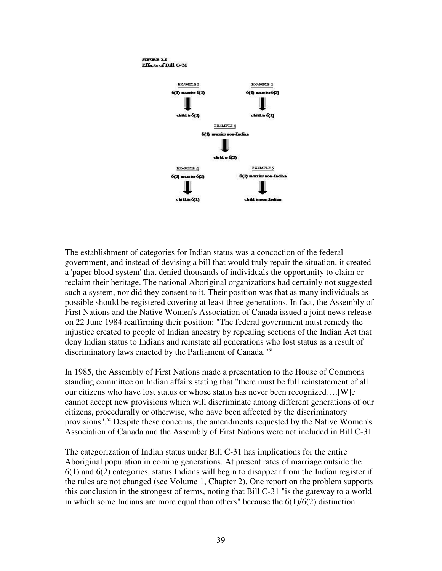

The establishment of categories for Indian status was a concoction of the federal government, and instead of devising a bill that would truly repair the situation, it created a 'paper blood system' that denied thousands of individuals the opportunity to claim or reclaim their heritage. The national Aboriginal organizations had certainly not suggested such a system, nor did they consent to it. Their position was that as many individuals as possible should be registered covering at least three generations. In fact, the Assembly of First Nations and the Native Women's Association of Canada issued a joint news release on 22 June 1984 reaffirming their position: "The federal government must remedy the injustice created to people of Indian ancestry by repealing sections of the Indian Act that deny Indian status to Indians and reinstate all generations who lost status as a result of discriminatory laws enacted by the Parliament of Canada." 61

In 1985, the Assembly of First Nations made a presentation to the House of Commons standing committee on Indian affairs stating that "there must be full reinstatement of all our citizens who have lost status or whose status has never been recognized….[W]e cannot accept new provisions which will discriminate among different generations of our citizens, procedurally or otherwise, who have been affected by the discriminatory provisions". <sup>62</sup> Despite these concerns, the amendments requested by the Native Women's Association of Canada and the Assembly of First Nations were not included in Bill C-31.

The categorization of Indian status under Bill C-31 has implications for the entire Aboriginal population in coming generations. At present rates of marriage outside the 6(1) and 6(2) categories, status Indians will begin to disappear from the Indian register if the rules are not changed (see Volume 1, Chapter 2). One report on the problem supports this conclusion in the strongest of terms, noting that Bill C-31 "is the gateway to a world in which some Indians are more equal than others" because the  $6(1)/6(2)$  distinction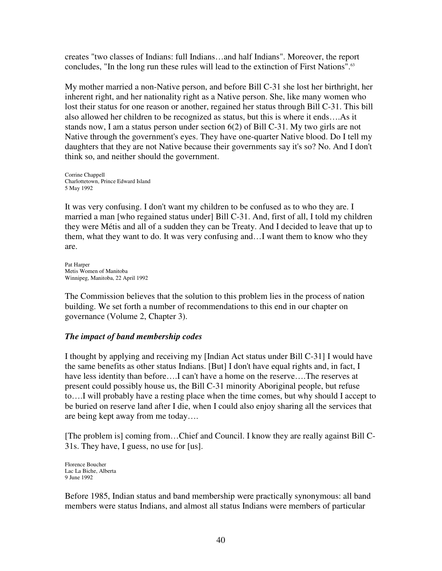creates "two classes of Indians: full Indians…and half Indians". Moreover, the report concludes, "In the long run these rules will lead to the extinction of First Nations". 63

My mother married a non-Native person, and before Bill C-31 she lost her birthright, her inherent right, and her nationality right as a Native person. She, like many women who lost their status for one reason or another, regained her status through Bill C-31. This bill also allowed her children to be recognized as status, but this is where it ends….As it stands now, I am a status person under section 6(2) of Bill C-31. My two girls are not Native through the government's eyes. They have one-quarter Native blood. Do I tell my daughters that they are not Native because their governments say it's so? No. And I don't think so, and neither should the government.

Corrine Chappell Charlottetown, Prince Edward Island 5 May 1992

It was very confusing. I don't want my children to be confused as to who they are. I married a man [who regained status under] Bill C-31. And, first of all, I told my children they were Métis and all of a sudden they can be Treaty. And I decided to leave that up to them, what they want to do. It was very confusing and…I want them to know who they are.

Pat Harper Metis Women of Manitoba Winnipeg, Manitoba, 22 April 1992

The Commission believes that the solution to this problem lies in the process of nation building. We set forth a number of recommendations to this end in our chapter on governance (Volume 2, Chapter 3).

#### *The impact of band membership codes*

I thought by applying and receiving my [Indian Act status under Bill C-31] I would have the same benefits as other status Indians. [But] I don't have equal rights and, in fact, I have less identity than before….I can't have a home on the reserve….The reserves at present could possibly house us, the Bill C-31 minority Aboriginal people, but refuse to….I will probably have a resting place when the time comes, but why should I accept to be buried on reserve land after I die, when I could also enjoy sharing all the services that are being kept away from me today….

[The problem is] coming from…Chief and Council. I know they are really against Bill C-31s. They have, I guess, no use for [us].

Florence Boucher Lac La Biche, Alberta 9 June 1992

Before 1985, Indian status and band membership were practically synonymous: all band members were status Indians, and almost all status Indians were members of particular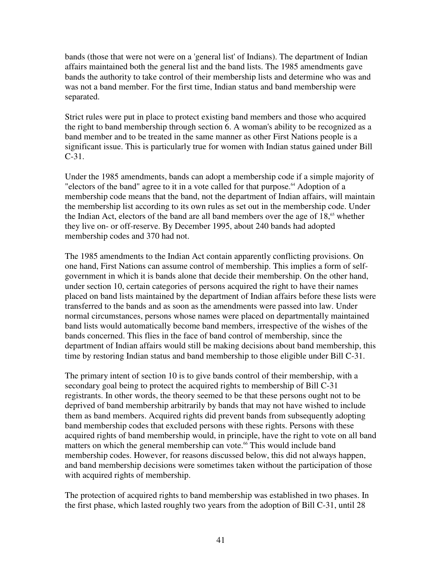bands (those that were not were on a 'general list' of Indians). The department of Indian affairs maintained both the general list and the band lists. The 1985 amendments gave bands the authority to take control of their membership lists and determine who was and was not a band member. For the first time, Indian status and band membership were separated.

Strict rules were put in place to protect existing band members and those who acquired the right to band membership through section 6. A woman's ability to be recognized as a band member and to be treated in the same manner as other First Nations people is a significant issue. This is particularly true for women with Indian status gained under Bill C-31.

Under the 1985 amendments, bands can adopt a membership code if a simple majority of "electors of the band" agree to it in a vote called for that purpose.<sup>64</sup> Adoption of a membership code means that the band, not the department of Indian affairs, will maintain the membership list according to its own rules as set out in the membership code. Under the Indian Act, electors of the band are all band members over the age of 18,<sup>65</sup> whether they live on- or off-reserve. By December 1995, about 240 bands had adopted membership codes and 370 had not.

The 1985 amendments to the Indian Act contain apparently conflicting provisions. On one hand, First Nations can assume control of membership. This implies a form of selfgovernment in which it is bands alone that decide their membership. On the other hand, under section 10, certain categories of persons acquired the right to have their names placed on band lists maintained by the department of Indian affairs before these lists were transferred to the bands and as soon as the amendments were passed into law. Under normal circumstances, persons whose names were placed on departmentally maintained band lists would automatically become band members, irrespective of the wishes of the bands concerned. This flies in the face of band control of membership, since the department of Indian affairs would still be making decisions about band membership, this time by restoring Indian status and band membership to those eligible under Bill C-31.

The primary intent of section 10 is to give bands control of their membership, with a secondary goal being to protect the acquired rights to membership of Bill C-31 registrants. In other words, the theory seemed to be that these persons ought not to be deprived of band membership arbitrarily by bands that may not have wished to include them as band members. Acquired rights did prevent bands from subsequently adopting band membership codes that excluded persons with these rights. Persons with these acquired rights of band membership would, in principle, have the right to vote on all band matters on which the general membership can vote. <sup>66</sup> This would include band membership codes. However, for reasons discussed below, this did not always happen, and band membership decisions were sometimes taken without the participation of those with acquired rights of membership.

The protection of acquired rights to band membership was established in two phases. In the first phase, which lasted roughly two years from the adoption of Bill C-31, until 28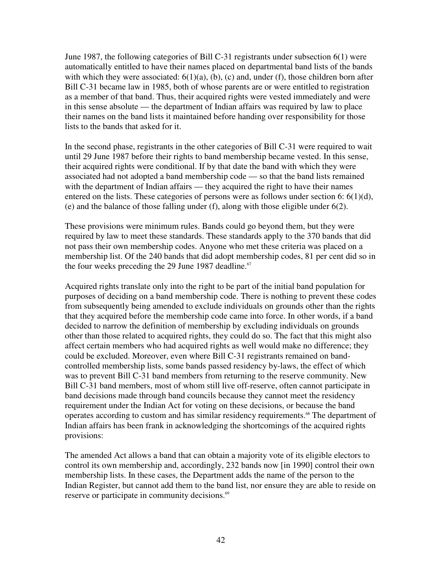June 1987, the following categories of Bill C-31 registrants under subsection 6(1) were automatically entitled to have their names placed on departmental band lists of the bands with which they were associated:  $6(1)(a)$ ,  $(b)$ ,  $(c)$  and, under  $(f)$ , those children born after Bill C-31 became law in 1985, both of whose parents are or were entitled to registration as a member of that band. Thus, their acquired rights were vested immediately and were in this sense absolute — the department of Indian affairs was required by law to place their names on the band lists it maintained before handing over responsibility for those lists to the bands that asked for it.

In the second phase, registrants in the other categories of Bill C-31 were required to wait until 29 June 1987 before their rights to band membership became vested. In this sense, their acquired rights were conditional. If by that date the band with which they were associated had not adopted a band membership code — so that the band lists remained with the department of Indian affairs — they acquired the right to have their names entered on the lists. These categories of persons were as follows under section 6:  $6(1)(d)$ , (e) and the balance of those falling under (f), along with those eligible under 6(2).

These provisions were minimum rules. Bands could go beyond them, but they were required by law to meet these standards. These standards apply to the 370 bands that did not pass their own membership codes. Anyone who met these criteria was placed on a membership list. Of the 240 bands that did adopt membership codes, 81 per cent did so in the four weeks preceding the 29 June 1987 deadline.<sup>67</sup>

Acquired rights translate only into the right to be part of the initial band population for purposes of deciding on a band membership code. There is nothing to prevent these codes from subsequently being amended to exclude individuals on grounds other than the rights that they acquired before the membership code came into force. In other words, if a band decided to narrow the definition of membership by excluding individuals on grounds other than those related to acquired rights, they could do so. The fact that this might also affect certain members who had acquired rights as well would make no difference; they could be excluded. Moreover, even where Bill C-31 registrants remained on bandcontrolled membership lists, some bands passed residency by-laws, the effect of which was to prevent Bill C-31 band members from returning to the reserve community. New Bill C-31 band members, most of whom still live off-reserve, often cannot participate in band decisions made through band councils because they cannot meet the residency requirement under the Indian Act for voting on these decisions, or because the band operates according to custom and has similar residency requirements. <sup>68</sup> The department of Indian affairs has been frank in acknowledging the shortcomings of the acquired rights provisions:

The amended Act allows a band that can obtain a majority vote of its eligible electors to control its own membership and, accordingly, 232 bands now [in 1990] control their own membership lists. In these cases, the Department adds the name of the person to the Indian Register, but cannot add them to the band list, nor ensure they are able to reside on reserve or participate in community decisions.<sup>69</sup>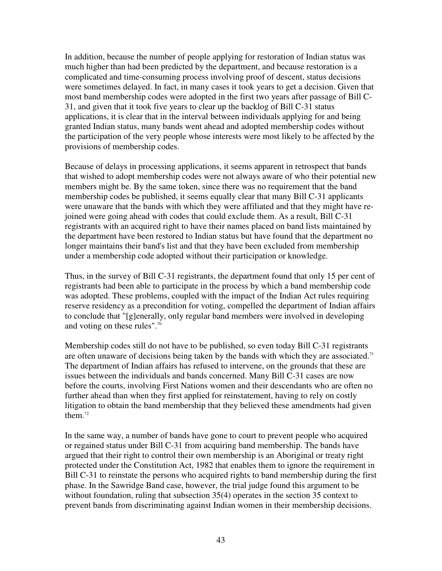In addition, because the number of people applying for restoration of Indian status was much higher than had been predicted by the department, and because restoration is a complicated and time-consuming process involving proof of descent, status decisions were sometimes delayed. In fact, in many cases it took years to get a decision. Given that most band membership codes were adopted in the first two years after passage of Bill C-31, and given that it took five years to clear up the backlog of Bill C-31 status applications, it is clear that in the interval between individuals applying for and being granted Indian status, many bands went ahead and adopted membership codes without the participation of the very people whose interests were most likely to be affected by the provisions of membership codes.

Because of delays in processing applications, it seems apparent in retrospect that bands that wished to adopt membership codes were not always aware of who their potential new members might be. By the same token, since there was no requirement that the band membership codes be published, it seems equally clear that many Bill C-31 applicants were unaware that the bands with which they were affiliated and that they might have rejoined were going ahead with codes that could exclude them. As a result, Bill C-31 registrants with an acquired right to have their names placed on band lists maintained by the department have been restored to Indian status but have found that the department no longer maintains their band's list and that they have been excluded from membership under a membership code adopted without their participation or knowledge.

Thus, in the survey of Bill C-31 registrants, the department found that only 15 per cent of registrants had been able to participate in the process by which a band membership code was adopted. These problems, coupled with the impact of the Indian Act rules requiring reserve residency as a precondition for voting, compelled the department of Indian affairs to conclude that "[g]enerally, only regular band members were involved in developing and voting on these rules". 70

Membership codes still do not have to be published, so even today Bill C-31 registrants are often unaware of decisions being taken by the bands with which they are associated.<sup>71</sup> The department of Indian affairs has refused to intervene, on the grounds that these are issues between the individuals and bands concerned. Many Bill C-31 cases are now before the courts, involving First Nations women and their descendants who are often no further ahead than when they first applied for reinstatement, having to rely on costly litigation to obtain the band membership that they believed these amendments had given them. 72

In the same way, a number of bands have gone to court to prevent people who acquired or regained status under Bill C-31 from acquiring band membership. The bands have argued that their right to control their own membership is an Aboriginal or treaty right protected under the Constitution Act, 1982 that enables them to ignore the requirement in Bill C-31 to reinstate the persons who acquired rights to band membership during the first phase. In the Sawridge Band case, however, the trial judge found this argument to be without foundation, ruling that subsection 35(4) operates in the section 35 context to prevent bands from discriminating against Indian women in their membership decisions.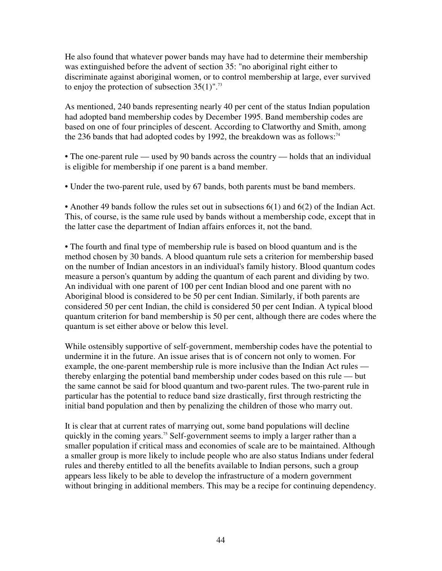He also found that whatever power bands may have had to determine their membership was extinguished before the advent of section 35: "no aboriginal right either to discriminate against aboriginal women, or to control membership at large, ever survived to enjoy the protection of subsection  $35(1)$ ".<sup>73</sup>

As mentioned, 240 bands representing nearly 40 per cent of the status Indian population had adopted band membership codes by December 1995. Band membership codes are based on one of four principles of descent. According to Clatworthy and Smith, among the 236 bands that had adopted codes by 1992, the breakdown was as follows:<sup>74</sup>

• The one-parent rule — used by 90 bands across the country — holds that an individual is eligible for membership if one parent is a band member.

• Under the two-parent rule, used by 67 bands, both parents must be band members.

• Another 49 bands follow the rules set out in subsections 6(1) and 6(2) of the Indian Act. This, of course, is the same rule used by bands without a membership code, except that in the latter case the department of Indian affairs enforces it, not the band.

• The fourth and final type of membership rule is based on blood quantum and is the method chosen by 30 bands. A blood quantum rule sets a criterion for membership based on the number of Indian ancestors in an individual's family history. Blood quantum codes measure a person's quantum by adding the quantum of each parent and dividing by two. An individual with one parent of 100 per cent Indian blood and one parent with no Aboriginal blood is considered to be 50 per cent Indian. Similarly, if both parents are considered 50 per cent Indian, the child is considered 50 per cent Indian. A typical blood quantum criterion for band membership is 50 per cent, although there are codes where the quantum is set either above or below this level.

While ostensibly supportive of self-government, membership codes have the potential to undermine it in the future. An issue arises that is of concern not only to women. For example, the one-parent membership rule is more inclusive than the Indian Act rules thereby enlarging the potential band membership under codes based on this rule — but the same cannot be said for blood quantum and two-parent rules. The two-parent rule in particular has the potential to reduce band size drastically, first through restricting the initial band population and then by penalizing the children of those who marry out.

It is clear that at current rates of marrying out, some band populations will decline quickly in the coming years. <sup>75</sup> Self-government seems to imply a larger rather than a smaller population if critical mass and economies of scale are to be maintained. Although a smaller group is more likely to include people who are also status Indians under federal rules and thereby entitled to all the benefits available to Indian persons, such a group appears less likely to be able to develop the infrastructure of a modern government without bringing in additional members. This may be a recipe for continuing dependency.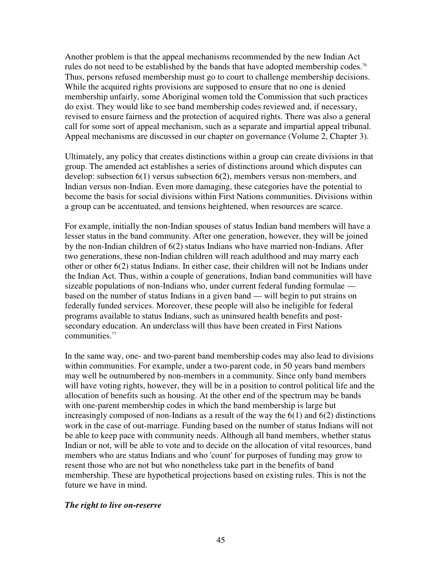Another problem is that the appeal mechanisms recommended by the new Indian Act rules do not need to be established by the bands that have adopted membership codes.<sup>76</sup> Thus, persons refused membership must go to court to challenge membership decisions. While the acquired rights provisions are supposed to ensure that no one is denied membership unfairly, some Aboriginal women told the Commission that such practices do exist. They would like to see band membership codes reviewed and, if necessary, revised to ensure fairness and the protection of acquired rights. There was also a general call for some sort of appeal mechanism, such as a separate and impartial appeal tribunal. Appeal mechanisms are discussed in our chapter on governance (Volume 2, Chapter 3).

Ultimately, any policy that creates distinctions within a group can create divisions in that group. The amended act establishes a series of distinctions around which disputes can develop: subsection 6(1) versus subsection 6(2), members versus non-members, and Indian versus non-Indian. Even more damaging, these categories have the potential to become the basis for social divisions within First Nations communities. Divisions within a group can be accentuated, and tensions heightened, when resources are scarce.

For example, initially the non-Indian spouses of status Indian band members will have a lesser status in the band community. After one generation, however, they will be joined by the non-Indian children of 6(2) status Indians who have married non-Indians. After two generations, these non-Indian children will reach adulthood and may marry each other or other 6(2) status Indians. In either case, their children will not be Indians under the Indian Act. Thus, within a couple of generations, Indian band communities will have sizeable populations of non-Indians who, under current federal funding formulae based on the number of status Indians in a given band — will begin to put strains on federally funded services. Moreover, these people will also be ineligible for federal programs available to status Indians, such as uninsured health benefits and postsecondary education. An underclass will thus have been created in First Nations communities. 77

In the same way, one- and two-parent band membership codes may also lead to divisions within communities. For example, under a two-parent code, in 50 years band members may well be outnumbered by non-members in a community. Since only band members will have voting rights, however, they will be in a position to control political life and the allocation of benefits such as housing. At the other end of the spectrum may be bands with one-parent membership codes in which the band membership is large but increasingly composed of non-Indians as a result of the way the  $6(1)$  and  $6(2)$  distinctions work in the case of out-marriage. Funding based on the number of status Indians will not be able to keep pace with community needs. Although all band members, whether status Indian or not, will be able to vote and to decide on the allocation of vital resources, band members who are status Indians and who 'count' for purposes of funding may grow to resent those who are not but who nonetheless take part in the benefits of band membership. These are hypothetical projections based on existing rules. This is not the future we have in mind.

#### *The right to live on-reserve*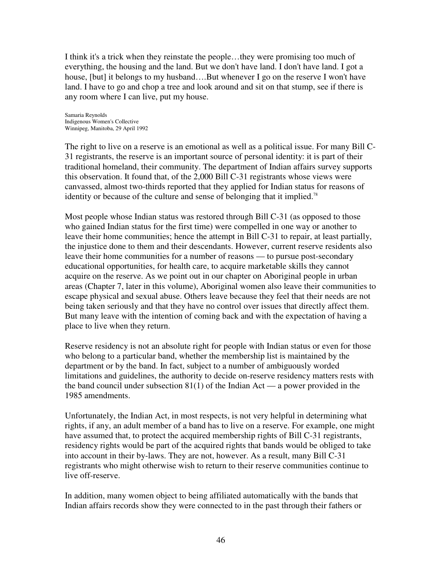I think it's a trick when they reinstate the people…they were promising too much of everything, the housing and the land. But we don't have land. I don't have land. I got a house, [but] it belongs to my husband....But whenever I go on the reserve I won't have land. I have to go and chop a tree and look around and sit on that stump, see if there is any room where I can live, put my house.

Samaria Reynolds Indigenous Women's Collective Winnipeg, Manitoba, 29 April 1992

The right to live on a reserve is an emotional as well as a political issue. For many Bill C-31 registrants, the reserve is an important source of personal identity: it is part of their traditional homeland, their community. The department of Indian affairs survey supports this observation. It found that, of the 2,000 Bill C-31 registrants whose views were canvassed, almost two-thirds reported that they applied for Indian status for reasons of identity or because of the culture and sense of belonging that it implied.<sup>78</sup>

Most people whose Indian status was restored through Bill C-31 (as opposed to those who gained Indian status for the first time) were compelled in one way or another to leave their home communities; hence the attempt in Bill C-31 to repair, at least partially, the injustice done to them and their descendants. However, current reserve residents also leave their home communities for a number of reasons — to pursue post-secondary educational opportunities, for health care, to acquire marketable skills they cannot acquire on the reserve. As we point out in our chapter on Aboriginal people in urban areas (Chapter 7, later in this volume), Aboriginal women also leave their communities to escape physical and sexual abuse. Others leave because they feel that their needs are not being taken seriously and that they have no control over issues that directly affect them. But many leave with the intention of coming back and with the expectation of having a place to live when they return.

Reserve residency is not an absolute right for people with Indian status or even for those who belong to a particular band, whether the membership list is maintained by the department or by the band. In fact, subject to a number of ambiguously worded limitations and guidelines, the authority to decide on-reserve residency matters rests with the band council under subsection  $81(1)$  of the Indian Act — a power provided in the 1985 amendments.

Unfortunately, the Indian Act, in most respects, is not very helpful in determining what rights, if any, an adult member of a band has to live on a reserve. For example, one might have assumed that, to protect the acquired membership rights of Bill C-31 registrants, residency rights would be part of the acquired rights that bands would be obliged to take into account in their by-laws. They are not, however. As a result, many Bill C-31 registrants who might otherwise wish to return to their reserve communities continue to live off-reserve.

In addition, many women object to being affiliated automatically with the bands that Indian affairs records show they were connected to in the past through their fathers or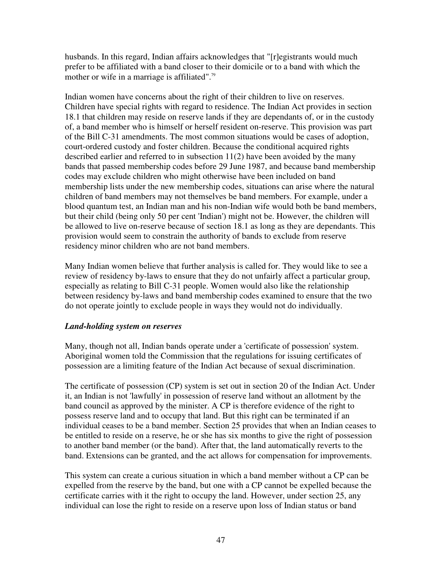husbands. In this regard, Indian affairs acknowledges that "[r]egistrants would much prefer to be affiliated with a band closer to their domicile or to a band with which the mother or wife in a marriage is affiliated".<sup>79</sup>

Indian women have concerns about the right of their children to live on reserves. Children have special rights with regard to residence. The Indian Act provides in section 18.1 that children may reside on reserve lands if they are dependants of, or in the custody of, a band member who is himself or herself resident on-reserve. This provision was part of the Bill C-31 amendments. The most common situations would be cases of adoption, court-ordered custody and foster children. Because the conditional acquired rights described earlier and referred to in subsection 11(2) have been avoided by the many bands that passed membership codes before 29 June 1987, and because band membership codes may exclude children who might otherwise have been included on band membership lists under the new membership codes, situations can arise where the natural children of band members may not themselves be band members. For example, under a blood quantum test, an Indian man and his non-Indian wife would both be band members, but their child (being only 50 per cent 'Indian') might not be. However, the children will be allowed to live on-reserve because of section 18.1 as long as they are dependants. This provision would seem to constrain the authority of bands to exclude from reserve residency minor children who are not band members.

Many Indian women believe that further analysis is called for. They would like to see a review of residency by-laws to ensure that they do not unfairly affect a particular group, especially as relating to Bill C-31 people. Women would also like the relationship between residency by-laws and band membership codes examined to ensure that the two do not operate jointly to exclude people in ways they would not do individually.

#### *Land-holding system on reserves*

Many, though not all, Indian bands operate under a 'certificate of possession' system. Aboriginal women told the Commission that the regulations for issuing certificates of possession are a limiting feature of the Indian Act because of sexual discrimination.

The certificate of possession (CP) system is set out in section 20 of the Indian Act. Under it, an Indian is not 'lawfully' in possession of reserve land without an allotment by the band council as approved by the minister. A CP is therefore evidence of the right to possess reserve land and to occupy that land. But this right can be terminated if an individual ceases to be a band member. Section 25 provides that when an Indian ceases to be entitled to reside on a reserve, he or she has six months to give the right of possession to another band member (or the band). After that, the land automatically reverts to the band. Extensions can be granted, and the act allows for compensation for improvements.

This system can create a curious situation in which a band member without a CP can be expelled from the reserve by the band, but one with a CP cannot be expelled because the certificate carries with it the right to occupy the land. However, under section 25, any individual can lose the right to reside on a reserve upon loss of Indian status or band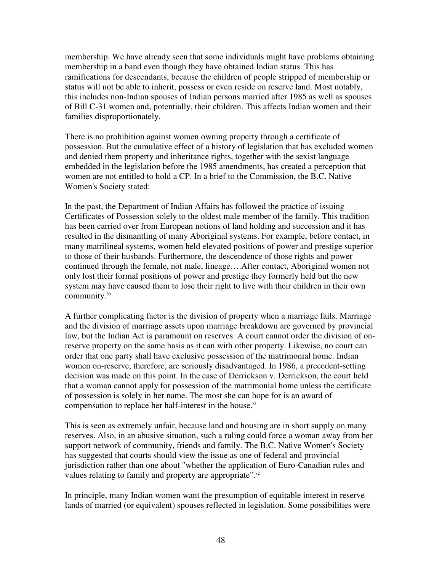membership. We have already seen that some individuals might have problems obtaining membership in a band even though they have obtained Indian status. This has ramifications for descendants, because the children of people stripped of membership or status will not be able to inherit, possess or even reside on reserve land. Most notably, this includes non-Indian spouses of Indian persons married after 1985 as well as spouses of Bill C-31 women and, potentially, their children. This affects Indian women and their families disproportionately.

There is no prohibition against women owning property through a certificate of possession. But the cumulative effect of a history of legislation that has excluded women and denied them property and inheritance rights, together with the sexist language embedded in the legislation before the 1985 amendments, has created a perception that women are not entitled to hold a CP. In a brief to the Commission, the B.C. Native Women's Society stated:

In the past, the Department of Indian Affairs has followed the practice of issuing Certificates of Possession solely to the oldest male member of the family. This tradition has been carried over from European notions of land holding and succession and it has resulted in the dismantling of many Aboriginal systems. For example, before contact, in many matrilineal systems, women held elevated positions of power and prestige superior to those of their husbands. Furthermore, the descendence of those rights and power continued through the female, not male, lineage….After contact, Aboriginal women not only lost their formal positions of power and prestige they formerly held but the new system may have caused them to lose their right to live with their children in their own community. 80

A further complicating factor is the division of property when a marriage fails. Marriage and the division of marriage assets upon marriage breakdown are governed by provincial law, but the Indian Act is paramount on reserves. A court cannot order the division of onreserve property on the same basis as it can with other property. Likewise, no court can order that one party shall have exclusive possession of the matrimonial home. Indian women on-reserve, therefore, are seriously disadvantaged. In 1986, a precedent-setting decision was made on this point. In the case of Derrickson v. Derrickson, the court held that a woman cannot apply for possession of the matrimonial home unless the certificate of possession is solely in her name. The most she can hope for is an award of compensation to replace her half-interest in the house. 81

This is seen as extremely unfair, because land and housing are in short supply on many reserves. Also, in an abusive situation, such a ruling could force a woman away from her support network of community, friends and family. The B.C. Native Women's Society has suggested that courts should view the issue as one of federal and provincial jurisdiction rather than one about "whether the application of Euro-Canadian rules and values relating to family and property are appropriate".<sup>82</sup>

In principle, many Indian women want the presumption of equitable interest in reserve lands of married (or equivalent) spouses reflected in legislation. Some possibilities were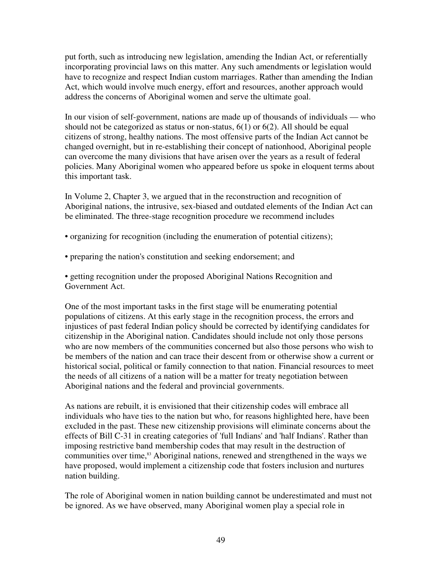put forth, such as introducing new legislation, amending the Indian Act, or referentially incorporating provincial laws on this matter. Any such amendments or legislation would have to recognize and respect Indian custom marriages. Rather than amending the Indian Act, which would involve much energy, effort and resources, another approach would address the concerns of Aboriginal women and serve the ultimate goal.

In our vision of self-government, nations are made up of thousands of individuals — who should not be categorized as status or non-status,  $6(1)$  or  $6(2)$ . All should be equal citizens of strong, healthy nations. The most offensive parts of the Indian Act cannot be changed overnight, but in re-establishing their concept of nationhood, Aboriginal people can overcome the many divisions that have arisen over the years as a result of federal policies. Many Aboriginal women who appeared before us spoke in eloquent terms about this important task.

In Volume 2, Chapter 3, we argued that in the reconstruction and recognition of Aboriginal nations, the intrusive, sex-biased and outdated elements of the Indian Act can be eliminated. The three-stage recognition procedure we recommend includes

- organizing for recognition (including the enumeration of potential citizens);
- preparing the nation's constitution and seeking endorsement; and
- getting recognition under the proposed Aboriginal Nations Recognition and Government Act.

One of the most important tasks in the first stage will be enumerating potential populations of citizens. At this early stage in the recognition process, the errors and injustices of past federal Indian policy should be corrected by identifying candidates for citizenship in the Aboriginal nation. Candidates should include not only those persons who are now members of the communities concerned but also those persons who wish to be members of the nation and can trace their descent from or otherwise show a current or historical social, political or family connection to that nation. Financial resources to meet the needs of all citizens of a nation will be a matter for treaty negotiation between Aboriginal nations and the federal and provincial governments.

As nations are rebuilt, it is envisioned that their citizenship codes will embrace all individuals who have ties to the nation but who, for reasons highlighted here, have been excluded in the past. These new citizenship provisions will eliminate concerns about the effects of Bill C-31 in creating categories of 'full Indians' and 'half Indians'. Rather than imposing restrictive band membership codes that may result in the destruction of communities over time, <sup>83</sup> Aboriginal nations, renewed and strengthened in the ways we have proposed, would implement a citizenship code that fosters inclusion and nurtures nation building.

The role of Aboriginal women in nation building cannot be underestimated and must not be ignored. As we have observed, many Aboriginal women play a special role in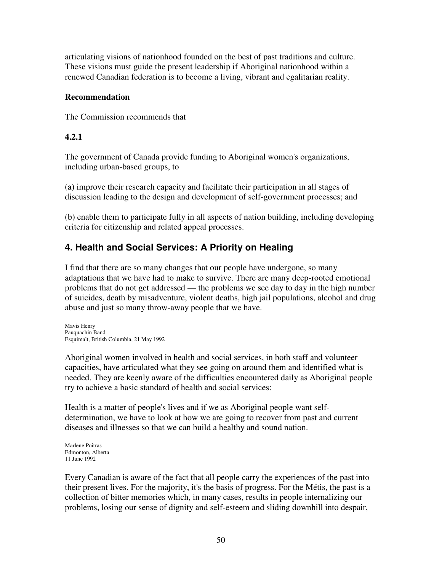articulating visions of nationhood founded on the best of past traditions and culture. These visions must guide the present leadership if Aboriginal nationhood within a renewed Canadian federation is to become a living, vibrant and egalitarian reality.

#### **Recommendation**

The Commission recommends that

### **4.2.1**

The government of Canada provide funding to Aboriginal women's organizations, including urban-based groups, to

(a) improve their research capacity and facilitate their participation in all stages of discussion leading to the design and development of self-government processes; and

(b) enable them to participate fully in all aspects of nation building, including developing criteria for citizenship and related appeal processes.

# **4. Health and Social Services: A Priority on Healing**

I find that there are so many changes that our people have undergone, so many adaptations that we have had to make to survive. There are many deep-rooted emotional problems that do not get addressed — the problems we see day to day in the high number of suicides, death by misadventure, violent deaths, high jail populations, alcohol and drug abuse and just so many throw-away people that we have.

Mavis Henry Pauquachin Band Esquimalt, British Columbia, 21 May 1992

Aboriginal women involved in health and social services, in both staff and volunteer capacities, have articulated what they see going on around them and identified what is needed. They are keenly aware of the difficulties encountered daily as Aboriginal people try to achieve a basic standard of health and social services:

Health is a matter of people's lives and if we as Aboriginal people want selfdetermination, we have to look at how we are going to recover from past and current diseases and illnesses so that we can build a healthy and sound nation.

Marlene Poitras Edmonton, Alberta 11 June 1992

Every Canadian is aware of the fact that all people carry the experiences of the past into their present lives. For the majority, it's the basis of progress. For the Métis, the past is a collection of bitter memories which, in many cases, results in people internalizing our problems, losing our sense of dignity and self-esteem and sliding downhill into despair,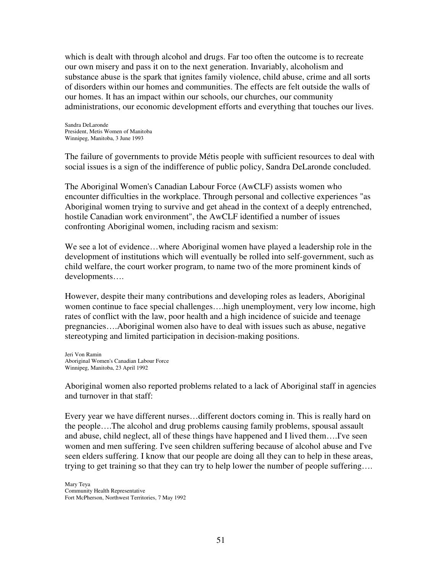which is dealt with through alcohol and drugs. Far too often the outcome is to recreate our own misery and pass it on to the next generation. Invariably, alcoholism and substance abuse is the spark that ignites family violence, child abuse, crime and all sorts of disorders within our homes and communities. The effects are felt outside the walls of our homes. It has an impact within our schools, our churches, our community administrations, our economic development efforts and everything that touches our lives.

Sandra DeLaronde President, Metis Women of Manitoba Winnipeg, Manitoba, 3 June 1993

The failure of governments to provide Métis people with sufficient resources to deal with social issues is a sign of the indifference of public policy, Sandra DeLaronde concluded.

The Aboriginal Women's Canadian Labour Force (AwCLF) assists women who encounter difficulties in the workplace. Through personal and collective experiences "as Aboriginal women trying to survive and get ahead in the context of a deeply entrenched, hostile Canadian work environment", the AwCLF identified a number of issues confronting Aboriginal women, including racism and sexism:

We see a lot of evidence…where Aboriginal women have played a leadership role in the development of institutions which will eventually be rolled into self-government, such as child welfare, the court worker program, to name two of the more prominent kinds of developments….

However, despite their many contributions and developing roles as leaders, Aboriginal women continue to face special challenges….high unemployment, very low income, high rates of conflict with the law, poor health and a high incidence of suicide and teenage pregnancies….Aboriginal women also have to deal with issues such as abuse, negative stereotyping and limited participation in decision-making positions.

Jeri Von Ramin Aboriginal Women's Canadian Labour Force Winnipeg, Manitoba, 23 April 1992

Aboriginal women also reported problems related to a lack of Aboriginal staff in agencies and turnover in that staff:

Every year we have different nurses…different doctors coming in. This is really hard on the people….The alcohol and drug problems causing family problems, spousal assault and abuse, child neglect, all of these things have happened and I lived them….I've seen women and men suffering. I've seen children suffering because of alcohol abuse and I've seen elders suffering. I know that our people are doing all they can to help in these areas, trying to get training so that they can try to help lower the number of people suffering….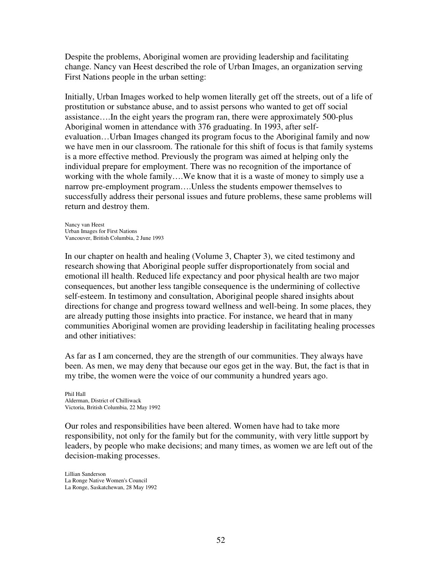Despite the problems, Aboriginal women are providing leadership and facilitating change. Nancy van Heest described the role of Urban Images, an organization serving First Nations people in the urban setting:

Initially, Urban Images worked to help women literally get off the streets, out of a life of prostitution or substance abuse, and to assist persons who wanted to get off social assistance….In the eight years the program ran, there were approximately 500-plus Aboriginal women in attendance with 376 graduating. In 1993, after selfevaluation…Urban Images changed its program focus to the Aboriginal family and now we have men in our classroom. The rationale for this shift of focus is that family systems is a more effective method. Previously the program was aimed at helping only the individual prepare for employment. There was no recognition of the importance of working with the whole family….We know that it is a waste of money to simply use a narrow pre-employment program….Unless the students empower themselves to successfully address their personal issues and future problems, these same problems will return and destroy them.

Nancy van Heest Urban Images for First Nations Vancouver, British Columbia, 2 June 1993

In our chapter on health and healing (Volume 3, Chapter 3), we cited testimony and research showing that Aboriginal people suffer disproportionately from social and emotional ill health. Reduced life expectancy and poor physical health are two major consequences, but another less tangible consequence is the undermining of collective self-esteem. In testimony and consultation, Aboriginal people shared insights about directions for change and progress toward wellness and well-being. In some places, they are already putting those insights into practice. For instance, we heard that in many communities Aboriginal women are providing leadership in facilitating healing processes and other initiatives:

As far as I am concerned, they are the strength of our communities. They always have been. As men, we may deny that because our egos get in the way. But, the fact is that in my tribe, the women were the voice of our community a hundred years ago.

Phil Hall Alderman, District of Chilliwack Victoria, British Columbia, 22 May 1992

Our roles and responsibilities have been altered. Women have had to take more responsibility, not only for the family but for the community, with very little support by leaders, by people who make decisions; and many times, as women we are left out of the decision-making processes.

Lillian Sanderson La Ronge Native Women's Council La Ronge, Saskatchewan, 28 May 1992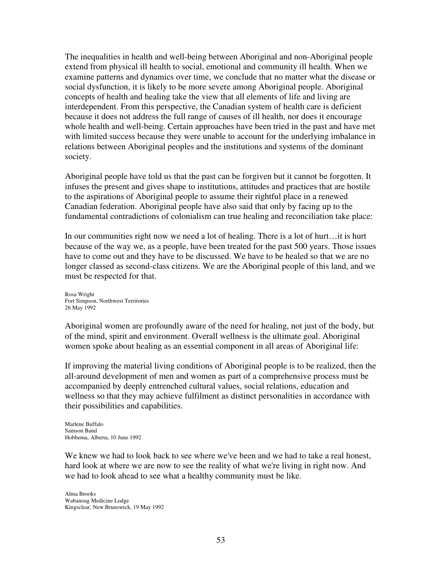The inequalities in health and well-being between Aboriginal and non-Aboriginal people extend from physical ill health to social, emotional and community ill health. When we examine patterns and dynamics over time, we conclude that no matter what the disease or social dysfunction, it is likely to be more severe among Aboriginal people. Aboriginal concepts of health and healing take the view that all elements of life and living are interdependent. From this perspective, the Canadian system of health care is deficient because it does not address the full range of causes of ill health, nor does it encourage whole health and well-being. Certain approaches have been tried in the past and have met with limited success because they were unable to account for the underlying imbalance in relations between Aboriginal peoples and the institutions and systems of the dominant society.

Aboriginal people have told us that the past can be forgiven but it cannot be forgotten. It infuses the present and gives shape to institutions, attitudes and practices that are hostile to the aspirations of Aboriginal people to assume their rightful place in a renewed Canadian federation. Aboriginal people have also said that only by facing up to the fundamental contradictions of colonialism can true healing and reconciliation take place:

In our communities right now we need a lot of healing. There is a lot of hurt…it is hurt because of the way we, as a people, have been treated for the past 500 years. Those issues have to come out and they have to be discussed. We have to be healed so that we are no longer classed as second-class citizens. We are the Aboriginal people of this land, and we must be respected for that.

Rosa Wright Fort Simpson, Northwest Territories 26 May 1992

Aboriginal women are profoundly aware of the need for healing, not just of the body, but of the mind, spirit and environment. Overall wellness is the ultimate goal. Aboriginal women spoke about healing as an essential component in all areas of Aboriginal life:

If improving the material living conditions of Aboriginal people is to be realized, then the all-around development of men and women as part of a comprehensive process must be accompanied by deeply entrenched cultural values, social relations, education and wellness so that they may achieve fulfilment as distinct personalities in accordance with their possibilities and capabilities.

Marlene Buffalo Samson Band Hobbema, Alberta, 10 June 1992

We knew we had to look back to see where we've been and we had to take a real honest, hard look at where we are now to see the reality of what we're living in right now. And we had to look ahead to see what a healthy community must be like.

Alma Brooks Wabanoag Medicine Lodge Kingsclear, New Brunswick, 19 May 1992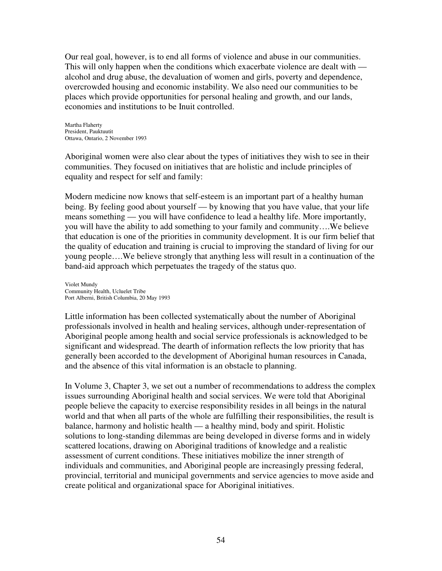Our real goal, however, is to end all forms of violence and abuse in our communities. This will only happen when the conditions which exacerbate violence are dealt with alcohol and drug abuse, the devaluation of women and girls, poverty and dependence, overcrowded housing and economic instability. We also need our communities to be places which provide opportunities for personal healing and growth, and our lands, economies and institutions to be Inuit controlled.

Martha Flaherty President, Pauktuutit Ottawa, Ontario, 2 November 1993

Aboriginal women were also clear about the types of initiatives they wish to see in their communities. They focused on initiatives that are holistic and include principles of equality and respect for self and family:

Modern medicine now knows that self-esteem is an important part of a healthy human being. By feeling good about yourself — by knowing that you have value, that your life means something — you will have confidence to lead a healthy life. More importantly, you will have the ability to add something to your family and community….We believe that education is one of the priorities in community development. It is our firm belief that the quality of education and training is crucial to improving the standard of living for our young people….We believe strongly that anything less will result in a continuation of the band-aid approach which perpetuates the tragedy of the status quo.

Violet Mundy Community Health, Ucluelet Tribe Port Alberni, British Columbia, 20 May 1993

Little information has been collected systematically about the number of Aboriginal professionals involved in health and healing services, although under-representation of Aboriginal people among health and social service professionals is acknowledged to be significant and widespread. The dearth of information reflects the low priority that has generally been accorded to the development of Aboriginal human resources in Canada, and the absence of this vital information is an obstacle to planning.

In Volume 3, Chapter 3, we set out a number of recommendations to address the complex issues surrounding Aboriginal health and social services. We were told that Aboriginal people believe the capacity to exercise responsibility resides in all beings in the natural world and that when all parts of the whole are fulfilling their responsibilities, the result is balance, harmony and holistic health — a healthy mind, body and spirit. Holistic solutions to long-standing dilemmas are being developed in diverse forms and in widely scattered locations, drawing on Aboriginal traditions of knowledge and a realistic assessment of current conditions. These initiatives mobilize the inner strength of individuals and communities, and Aboriginal people are increasingly pressing federal, provincial, territorial and municipal governments and service agencies to move aside and create political and organizational space for Aboriginal initiatives.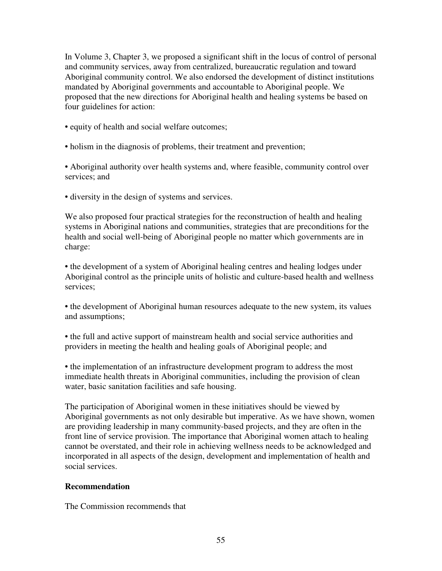In Volume 3, Chapter 3, we proposed a significant shift in the locus of control of personal and community services, away from centralized, bureaucratic regulation and toward Aboriginal community control. We also endorsed the development of distinct institutions mandated by Aboriginal governments and accountable to Aboriginal people. We proposed that the new directions for Aboriginal health and healing systems be based on four guidelines for action:

- equity of health and social welfare outcomes;
- holism in the diagnosis of problems, their treatment and prevention;

• Aboriginal authority over health systems and, where feasible, community control over services; and

• diversity in the design of systems and services.

We also proposed four practical strategies for the reconstruction of health and healing systems in Aboriginal nations and communities, strategies that are preconditions for the health and social well-being of Aboriginal people no matter which governments are in charge:

• the development of a system of Aboriginal healing centres and healing lodges under Aboriginal control as the principle units of holistic and culture-based health and wellness services;

• the development of Aboriginal human resources adequate to the new system, its values and assumptions;

• the full and active support of mainstream health and social service authorities and providers in meeting the health and healing goals of Aboriginal people; and

• the implementation of an infrastructure development program to address the most immediate health threats in Aboriginal communities, including the provision of clean water, basic sanitation facilities and safe housing.

The participation of Aboriginal women in these initiatives should be viewed by Aboriginal governments as not only desirable but imperative. As we have shown, women are providing leadership in many community-based projects, and they are often in the front line of service provision. The importance that Aboriginal women attach to healing cannot be overstated, and their role in achieving wellness needs to be acknowledged and incorporated in all aspects of the design, development and implementation of health and social services.

#### **Recommendation**

The Commission recommends that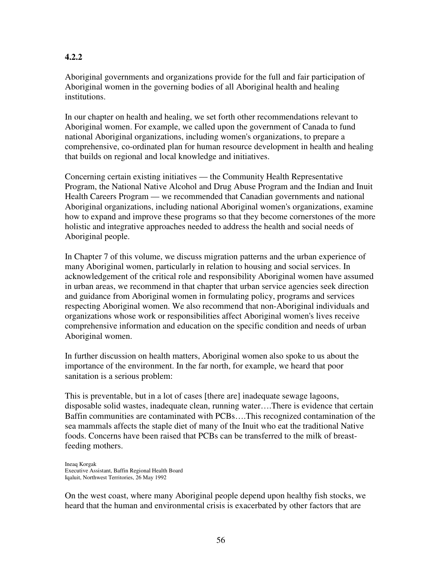#### **4.2.2**

Aboriginal governments and organizations provide for the full and fair participation of Aboriginal women in the governing bodies of all Aboriginal health and healing institutions.

In our chapter on health and healing, we set forth other recommendations relevant to Aboriginal women. For example, we called upon the government of Canada to fund national Aboriginal organizations, including women's organizations, to prepare a comprehensive, co-ordinated plan for human resource development in health and healing that builds on regional and local knowledge and initiatives.

Concerning certain existing initiatives — the Community Health Representative Program, the National Native Alcohol and Drug Abuse Program and the Indian and Inuit Health Careers Program — we recommended that Canadian governments and national Aboriginal organizations, including national Aboriginal women's organizations, examine how to expand and improve these programs so that they become cornerstones of the more holistic and integrative approaches needed to address the health and social needs of Aboriginal people.

In Chapter 7 of this volume, we discuss migration patterns and the urban experience of many Aboriginal women, particularly in relation to housing and social services. In acknowledgement of the critical role and responsibility Aboriginal women have assumed in urban areas, we recommend in that chapter that urban service agencies seek direction and guidance from Aboriginal women in formulating policy, programs and services respecting Aboriginal women. We also recommend that non-Aboriginal individuals and organizations whose work or responsibilities affect Aboriginal women's lives receive comprehensive information and education on the specific condition and needs of urban Aboriginal women.

In further discussion on health matters, Aboriginal women also spoke to us about the importance of the environment. In the far north, for example, we heard that poor sanitation is a serious problem:

This is preventable, but in a lot of cases [there are] inadequate sewage lagoons, disposable solid wastes, inadequate clean, running water….There is evidence that certain Baffin communities are contaminated with PCBs….This recognized contamination of the sea mammals affects the staple diet of many of the Inuit who eat the traditional Native foods. Concerns have been raised that PCBs can be transferred to the milk of breastfeeding mothers.

Ineaq Korgak Executive Assistant, Baffin Regional Health Board Iqaluit, Northwest Territories, 26 May 1992

On the west coast, where many Aboriginal people depend upon healthy fish stocks, we heard that the human and environmental crisis is exacerbated by other factors that are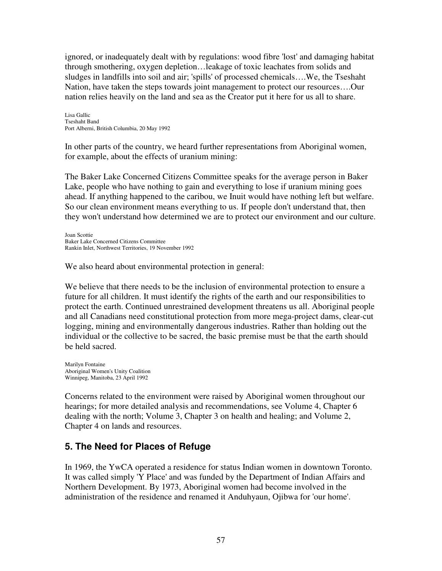ignored, or inadequately dealt with by regulations: wood fibre 'lost' and damaging habitat through smothering, oxygen depletion…leakage of toxic leachates from solids and sludges in landfills into soil and air; 'spills' of processed chemicals….We, the Tseshaht Nation, have taken the steps towards joint management to protect our resources….Our nation relies heavily on the land and sea as the Creator put it here for us all to share.

Lisa Gallic Tseshaht Band Port Alberni, British Columbia, 20 May 1992

In other parts of the country, we heard further representations from Aboriginal women, for example, about the effects of uranium mining:

The Baker Lake Concerned Citizens Committee speaks for the average person in Baker Lake, people who have nothing to gain and everything to lose if uranium mining goes ahead. If anything happened to the caribou, we Inuit would have nothing left but welfare. So our clean environment means everything to us. If people don't understand that, then they won't understand how determined we are to protect our environment and our culture.

Joan Scottie Baker Lake Concerned Citizens Committee Rankin Inlet, Northwest Territories, 19 November 1992

We also heard about environmental protection in general:

We believe that there needs to be the inclusion of environmental protection to ensure a future for all children. It must identify the rights of the earth and our responsibilities to protect the earth. Continued unrestrained development threatens us all. Aboriginal people and all Canadians need constitutional protection from more mega-project dams, clear-cut logging, mining and environmentally dangerous industries. Rather than holding out the individual or the collective to be sacred, the basic premise must be that the earth should be held sacred.

Marilyn Fontaine Aboriginal Women's Unity Coalition Winnipeg, Manitoba, 23 April 1992

Concerns related to the environment were raised by Aboriginal women throughout our hearings; for more detailed analysis and recommendations, see Volume 4, Chapter 6 dealing with the north; Volume 3, Chapter 3 on health and healing; and Volume 2, Chapter 4 on lands and resources.

## **5. The Need for Places of Refuge**

In 1969, the YwCA operated a residence for status Indian women in downtown Toronto. It was called simply 'Y Place' and was funded by the Department of Indian Affairs and Northern Development. By 1973, Aboriginal women had become involved in the administration of the residence and renamed it Anduhyaun, Ojibwa for 'our home'.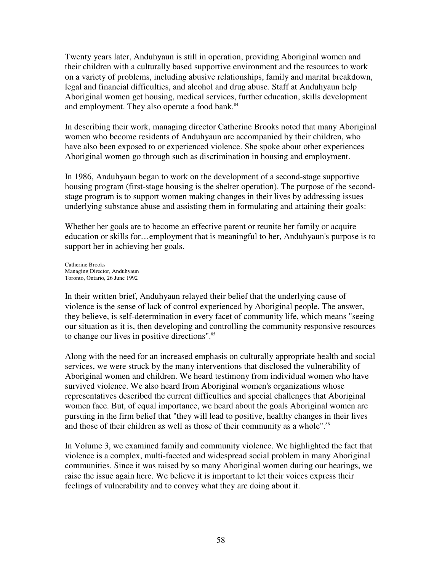Twenty years later, Anduhyaun is still in operation, providing Aboriginal women and their children with a culturally based supportive environment and the resources to work on a variety of problems, including abusive relationships, family and marital breakdown, legal and financial difficulties, and alcohol and drug abuse. Staff at Anduhyaun help Aboriginal women get housing, medical services, further education, skills development and employment. They also operate a food bank.<sup>84</sup>

In describing their work, managing director Catherine Brooks noted that many Aboriginal women who become residents of Anduhyaun are accompanied by their children, who have also been exposed to or experienced violence. She spoke about other experiences Aboriginal women go through such as discrimination in housing and employment.

In 1986, Anduhyaun began to work on the development of a second-stage supportive housing program (first-stage housing is the shelter operation). The purpose of the secondstage program is to support women making changes in their lives by addressing issues underlying substance abuse and assisting them in formulating and attaining their goals:

Whether her goals are to become an effective parent or reunite her family or acquire education or skills for…employment that is meaningful to her, Anduhyaun's purpose is to support her in achieving her goals.

Catherine Brooks Managing Director, Anduhyaun Toronto, Ontario, 26 June 1992

In their written brief, Anduhyaun relayed their belief that the underlying cause of violence is the sense of lack of control experienced by Aboriginal people. The answer, they believe, is self-determination in every facet of community life, which means "seeing our situation as it is, then developing and controlling the community responsive resources to change our lives in positive directions".<sup>85</sup>

Along with the need for an increased emphasis on culturally appropriate health and social services, we were struck by the many interventions that disclosed the vulnerability of Aboriginal women and children. We heard testimony from individual women who have survived violence. We also heard from Aboriginal women's organizations whose representatives described the current difficulties and special challenges that Aboriginal women face. But, of equal importance, we heard about the goals Aboriginal women are pursuing in the firm belief that "they will lead to positive, healthy changes in their lives and those of their children as well as those of their community as a whole".<sup>86</sup>

In Volume 3, we examined family and community violence. We highlighted the fact that violence is a complex, multi-faceted and widespread social problem in many Aboriginal communities. Since it was raised by so many Aboriginal women during our hearings, we raise the issue again here. We believe it is important to let their voices express their feelings of vulnerability and to convey what they are doing about it.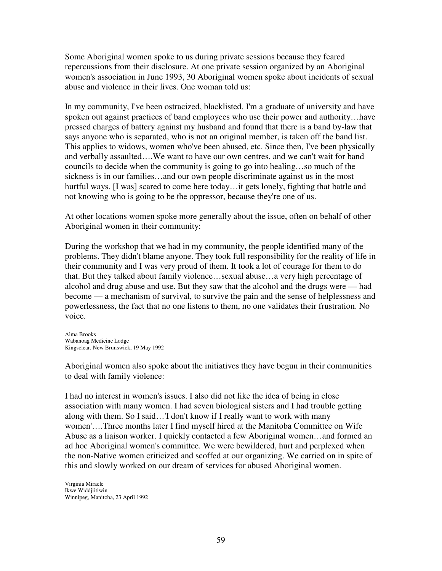Some Aboriginal women spoke to us during private sessions because they feared repercussions from their disclosure. At one private session organized by an Aboriginal women's association in June 1993, 30 Aboriginal women spoke about incidents of sexual abuse and violence in their lives. One woman told us:

In my community, I've been ostracized, blacklisted. I'm a graduate of university and have spoken out against practices of band employees who use their power and authority…have pressed charges of battery against my husband and found that there is a band by-law that says anyone who is separated, who is not an original member, is taken off the band list. This applies to widows, women who've been abused, etc. Since then, I've been physically and verbally assaulted….We want to have our own centres, and we can't wait for band councils to decide when the community is going to go into healing…so much of the sickness is in our families…and our own people discriminate against us in the most hurtful ways. [I was] scared to come here today...it gets lonely, fighting that battle and not knowing who is going to be the oppressor, because they're one of us.

At other locations women spoke more generally about the issue, often on behalf of other Aboriginal women in their community:

During the workshop that we had in my community, the people identified many of the problems. They didn't blame anyone. They took full responsibility for the reality of life in their community and I was very proud of them. It took a lot of courage for them to do that. But they talked about family violence…sexual abuse…a very high percentage of alcohol and drug abuse and use. But they saw that the alcohol and the drugs were — had become — a mechanism of survival, to survive the pain and the sense of helplessness and powerlessness, the fact that no one listens to them, no one validates their frustration. No voice.

Alma Brooks Wabanoag Medicine Lodge Kingsclear, New Brunswick, 19 May 1992

Aboriginal women also spoke about the initiatives they have begun in their communities to deal with family violence:

I had no interest in women's issues. I also did not like the idea of being in close association with many women. I had seven biological sisters and I had trouble getting along with them. So I said…'I don't know if I really want to work with many women'….Three months later I find myself hired at the Manitoba Committee on Wife Abuse as a liaison worker. I quickly contacted a few Aboriginal women…and formed an ad hoc Aboriginal women's committee. We were bewildered, hurt and perplexed when the non-Native women criticized and scoffed at our organizing. We carried on in spite of this and slowly worked on our dream of services for abused Aboriginal women.

Virginia Miracle Ikwe Widdjiitiwin Winnipeg, Manitoba, 23 April 1992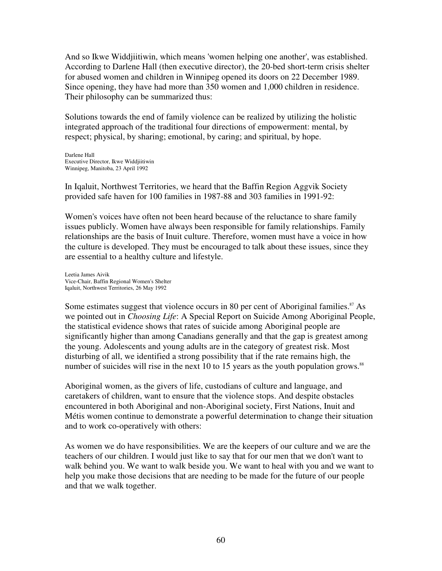And so Ikwe Widdjiitiwin, which means 'women helping one another', was established. According to Darlene Hall (then executive director), the 20-bed short-term crisis shelter for abused women and children in Winnipeg opened its doors on 22 December 1989. Since opening, they have had more than 350 women and 1,000 children in residence. Their philosophy can be summarized thus:

Solutions towards the end of family violence can be realized by utilizing the holistic integrated approach of the traditional four directions of empowerment: mental, by respect; physical, by sharing; emotional, by caring; and spiritual, by hope.

Darlene Hall Executive Director, Ikwe Widdjiitiwin Winnipeg, Manitoba, 23 April 1992

In Iqaluit, Northwest Territories, we heard that the Baffin Region Aggvik Society provided safe haven for 100 families in 1987-88 and 303 families in 1991-92:

Women's voices have often not been heard because of the reluctance to share family issues publicly. Women have always been responsible for family relationships. Family relationships are the basis of Inuit culture. Therefore, women must have a voice in how the culture is developed. They must be encouraged to talk about these issues, since they are essential to a healthy culture and lifestyle.

Leetia James Aivik Vice-Chair, Baffin Regional Women's Shelter Iqaluit, Northwest Territories, 26 May 1992

Some estimates suggest that violence occurs in 80 per cent of Aboriginal families.<sup>87</sup> As we pointed out in *Choosing Life*: A Special Report on Suicide Among Aboriginal People, the statistical evidence shows that rates of suicide among Aboriginal people are significantly higher than among Canadians generally and that the gap is greatest among the young. Adolescents and young adults are in the category of greatest risk. Most disturbing of all, we identified a strong possibility that if the rate remains high, the number of suicides will rise in the next 10 to 15 years as the youth population grows.<sup>88</sup>

Aboriginal women, as the givers of life, custodians of culture and language, and caretakers of children, want to ensure that the violence stops. And despite obstacles encountered in both Aboriginal and non-Aboriginal society, First Nations, Inuit and Métis women continue to demonstrate a powerful determination to change their situation and to work co-operatively with others:

As women we do have responsibilities. We are the keepers of our culture and we are the teachers of our children. I would just like to say that for our men that we don't want to walk behind you. We want to walk beside you. We want to heal with you and we want to help you make those decisions that are needing to be made for the future of our people and that we walk together.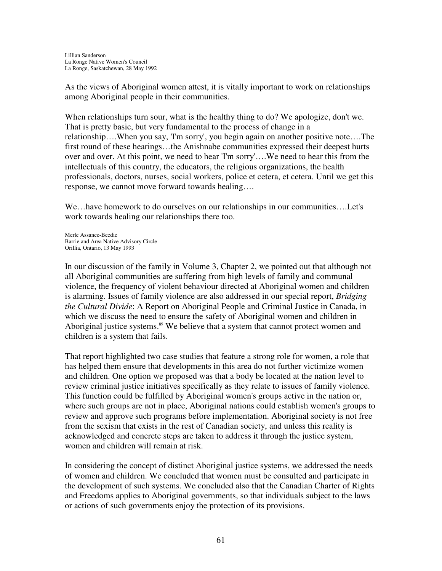As the views of Aboriginal women attest, it is vitally important to work on relationships among Aboriginal people in their communities.

When relationships turn sour, what is the healthy thing to do? We apologize, don't we. That is pretty basic, but very fundamental to the process of change in a relationship….When you say, 'I'm sorry', you begin again on another positive note….The first round of these hearings…the Anishnabe communities expressed their deepest hurts over and over. At this point, we need to hear 'I'm sorry'….We need to hear this from the intellectuals of this country, the educators, the religious organizations, the health professionals, doctors, nurses, social workers, police et cetera, et cetera. Until we get this response, we cannot move forward towards healing….

We…have homework to do ourselves on our relationships in our communities….Let's work towards healing our relationships there too.

Merle Assance-Beedie Barrie and Area Native Advisory Circle Orillia, Ontario, 13 May 1993

In our discussion of the family in Volume 3, Chapter 2, we pointed out that although not all Aboriginal communities are suffering from high levels of family and communal violence, the frequency of violent behaviour directed at Aboriginal women and children is alarming. Issues of family violence are also addressed in our special report, *Bridging the Cultural Divide*: A Report on Aboriginal People and Criminal Justice in Canada, in which we discuss the need to ensure the safety of Aboriginal women and children in Aboriginal justice systems. <sup>89</sup> We believe that a system that cannot protect women and children is a system that fails.

That report highlighted two case studies that feature a strong role for women, a role that has helped them ensure that developments in this area do not further victimize women and children. One option we proposed was that a body be located at the nation level to review criminal justice initiatives specifically as they relate to issues of family violence. This function could be fulfilled by Aboriginal women's groups active in the nation or, where such groups are not in place, Aboriginal nations could establish women's groups to review and approve such programs before implementation. Aboriginal society is not free from the sexism that exists in the rest of Canadian society, and unless this reality is acknowledged and concrete steps are taken to address it through the justice system, women and children will remain at risk.

In considering the concept of distinct Aboriginal justice systems, we addressed the needs of women and children. We concluded that women must be consulted and participate in the development of such systems. We concluded also that the Canadian Charter of Rights and Freedoms applies to Aboriginal governments, so that individuals subject to the laws or actions of such governments enjoy the protection of its provisions.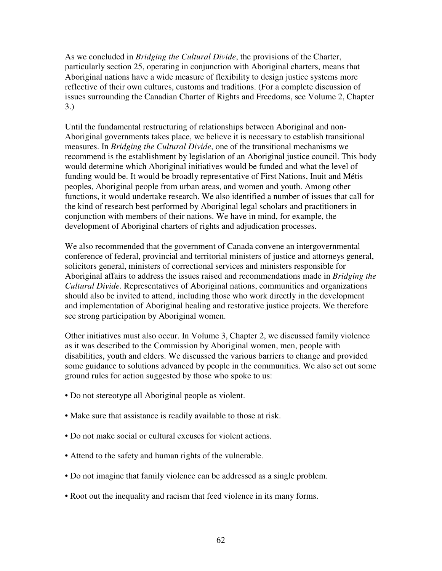As we concluded in *Bridging the Cultural Divide*, the provisions of the Charter, particularly section 25, operating in conjunction with Aboriginal charters, means that Aboriginal nations have a wide measure of flexibility to design justice systems more reflective of their own cultures, customs and traditions. (For a complete discussion of issues surrounding the Canadian Charter of Rights and Freedoms, see Volume 2, Chapter 3.)

Until the fundamental restructuring of relationships between Aboriginal and non-Aboriginal governments takes place, we believe it is necessary to establish transitional measures. In *Bridging the Cultural Divide*, one of the transitional mechanisms we recommend is the establishment by legislation of an Aboriginal justice council. This body would determine which Aboriginal initiatives would be funded and what the level of funding would be. It would be broadly representative of First Nations, Inuit and Métis peoples, Aboriginal people from urban areas, and women and youth. Among other functions, it would undertake research. We also identified a number of issues that call for the kind of research best performed by Aboriginal legal scholars and practitioners in conjunction with members of their nations. We have in mind, for example, the development of Aboriginal charters of rights and adjudication processes.

We also recommended that the government of Canada convene an intergovernmental conference of federal, provincial and territorial ministers of justice and attorneys general, solicitors general, ministers of correctional services and ministers responsible for Aboriginal affairs to address the issues raised and recommendations made in *Bridging the Cultural Divide*. Representatives of Aboriginal nations, communities and organizations should also be invited to attend, including those who work directly in the development and implementation of Aboriginal healing and restorative justice projects. We therefore see strong participation by Aboriginal women.

Other initiatives must also occur. In Volume 3, Chapter 2, we discussed family violence as it was described to the Commission by Aboriginal women, men, people with disabilities, youth and elders. We discussed the various barriers to change and provided some guidance to solutions advanced by people in the communities. We also set out some ground rules for action suggested by those who spoke to us:

- Do not stereotype all Aboriginal people as violent.
- Make sure that assistance is readily available to those at risk.
- Do not make social or cultural excuses for violent actions.
- Attend to the safety and human rights of the vulnerable.
- Do not imagine that family violence can be addressed as a single problem.
- Root out the inequality and racism that feed violence in its many forms.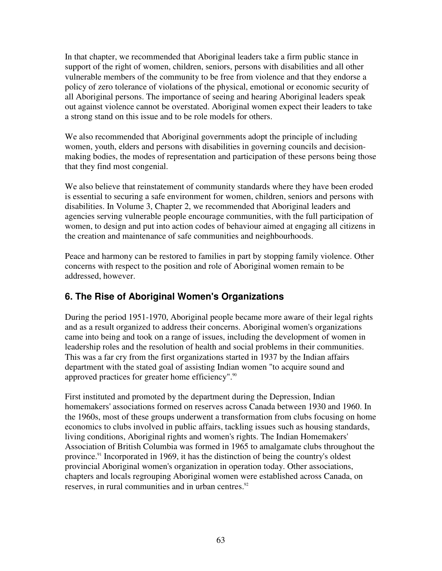In that chapter, we recommended that Aboriginal leaders take a firm public stance in support of the right of women, children, seniors, persons with disabilities and all other vulnerable members of the community to be free from violence and that they endorse a policy of zero tolerance of violations of the physical, emotional or economic security of all Aboriginal persons. The importance of seeing and hearing Aboriginal leaders speak out against violence cannot be overstated. Aboriginal women expect their leaders to take a strong stand on this issue and to be role models for others.

We also recommended that Aboriginal governments adopt the principle of including women, youth, elders and persons with disabilities in governing councils and decisionmaking bodies, the modes of representation and participation of these persons being those that they find most congenial.

We also believe that reinstatement of community standards where they have been eroded is essential to securing a safe environment for women, children, seniors and persons with disabilities. In Volume 3, Chapter 2, we recommended that Aboriginal leaders and agencies serving vulnerable people encourage communities, with the full participation of women, to design and put into action codes of behaviour aimed at engaging all citizens in the creation and maintenance of safe communities and neighbourhoods.

Peace and harmony can be restored to families in part by stopping family violence. Other concerns with respect to the position and role of Aboriginal women remain to be addressed, however.

## **6. The Rise of Aboriginal Women's Organizations**

During the period 1951-1970, Aboriginal people became more aware of their legal rights and as a result organized to address their concerns. Aboriginal women's organizations came into being and took on a range of issues, including the development of women in leadership roles and the resolution of health and social problems in their communities. This was a far cry from the first organizations started in 1937 by the Indian affairs department with the stated goal of assisting Indian women "to acquire sound and approved practices for greater home efficiency". 90

First instituted and promoted by the department during the Depression, Indian homemakers' associations formed on reserves across Canada between 1930 and 1960. In the 1960s, most of these groups underwent a transformation from clubs focusing on home economics to clubs involved in public affairs, tackling issues such as housing standards, living conditions, Aboriginal rights and women's rights. The Indian Homemakers' Association of British Columbia was formed in 1965 to amalgamate clubs throughout the province. 91 Incorporated in 1969, it has the distinction of being the country's oldest provincial Aboriginal women's organization in operation today. Other associations, chapters and locals regrouping Aboriginal women were established across Canada, on reserves, in rural communities and in urban centres.<sup>92</sup>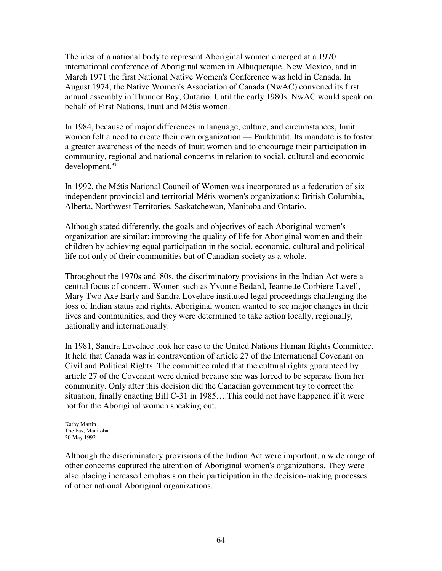The idea of a national body to represent Aboriginal women emerged at a 1970 international conference of Aboriginal women in Albuquerque, New Mexico, and in March 1971 the first National Native Women's Conference was held in Canada. In August 1974, the Native Women's Association of Canada (NwAC) convened its first annual assembly in Thunder Bay, Ontario. Until the early 1980s, NwAC would speak on behalf of First Nations, Inuit and Métis women.

In 1984, because of major differences in language, culture, and circumstances, Inuit women felt a need to create their own organization — Pauktuutit. Its mandate is to foster a greater awareness of the needs of Inuit women and to encourage their participation in community, regional and national concerns in relation to social, cultural and economic development. 93

In 1992, the Métis National Council of Women was incorporated as a federation of six independent provincial and territorial Métis women's organizations: British Columbia, Alberta, Northwest Territories, Saskatchewan, Manitoba and Ontario.

Although stated differently, the goals and objectives of each Aboriginal women's organization are similar: improving the quality of life for Aboriginal women and their children by achieving equal participation in the social, economic, cultural and political life not only of their communities but of Canadian society as a whole.

Throughout the 1970s and '80s, the discriminatory provisions in the Indian Act were a central focus of concern. Women such as Yvonne Bedard, Jeannette Corbiere-Lavell, Mary Two Axe Early and Sandra Lovelace instituted legal proceedings challenging the loss of Indian status and rights. Aboriginal women wanted to see major changes in their lives and communities, and they were determined to take action locally, regionally, nationally and internationally:

In 1981, Sandra Lovelace took her case to the United Nations Human Rights Committee. It held that Canada was in contravention of article 27 of the International Covenant on Civil and Political Rights. The committee ruled that the cultural rights guaranteed by article 27 of the Covenant were denied because she was forced to be separate from her community. Only after this decision did the Canadian government try to correct the situation, finally enacting Bill C-31 in 1985….This could not have happened if it were not for the Aboriginal women speaking out.

Kathy Martin The Pas, Manitoba 20 May 1992

Although the discriminatory provisions of the Indian Act were important, a wide range of other concerns captured the attention of Aboriginal women's organizations. They were also placing increased emphasis on their participation in the decision-making processes of other national Aboriginal organizations.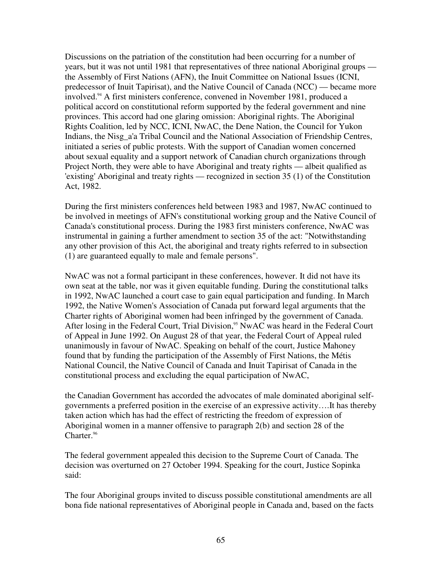Discussions on the patriation of the constitution had been occurring for a number of years, but it was not until 1981 that representatives of three national Aboriginal groups the Assembly of First Nations (AFN), the Inuit Committee on National Issues (ICNI, predecessor of Inuit Tapirisat), and the Native Council of Canada (NCC) — became more involved. <sup>94</sup> A first ministers conference, convened in November 1981, produced a political accord on constitutional reform supported by the federal government and nine provinces. This accord had one glaring omission: Aboriginal rights. The Aboriginal Rights Coalition, led by NCC, ICNI, NwAC, the Dene Nation, the Council for Yukon Indians, the Nisg\_a'a Tribal Council and the National Association of Friendship Centres, initiated a series of public protests. With the support of Canadian women concerned about sexual equality and a support network of Canadian church organizations through Project North, they were able to have Aboriginal and treaty rights — albeit qualified as 'existing' Aboriginal and treaty rights — recognized in section 35 (1) of the Constitution Act, 1982.

During the first ministers conferences held between 1983 and 1987, NwAC continued to be involved in meetings of AFN's constitutional working group and the Native Council of Canada's constitutional process. During the 1983 first ministers conference, NwAC was instrumental in gaining a further amendment to section 35 of the act: "Notwithstanding any other provision of this Act, the aboriginal and treaty rights referred to in subsection (1) are guaranteed equally to male and female persons".

NwAC was not a formal participant in these conferences, however. It did not have its own seat at the table, nor was it given equitable funding. During the constitutional talks in 1992, NwAC launched a court case to gain equal participation and funding. In March 1992, the Native Women's Association of Canada put forward legal arguments that the Charter rights of Aboriginal women had been infringed by the government of Canada. After losing in the Federal Court, Trial Division, <sup>95</sup> NwAC was heard in the Federal Court of Appeal in June 1992. On August 28 of that year, the Federal Court of Appeal ruled unanimously in favour of NwAC. Speaking on behalf of the court, Justice Mahoney found that by funding the participation of the Assembly of First Nations, the Métis National Council, the Native Council of Canada and Inuit Tapirisat of Canada in the constitutional process and excluding the equal participation of NwAC,

the Canadian Government has accorded the advocates of male dominated aboriginal selfgovernments a preferred position in the exercise of an expressive activity….It has thereby taken action which has had the effect of restricting the freedom of expression of Aboriginal women in a manner offensive to paragraph 2(b) and section 28 of the Charter. 96

The federal government appealed this decision to the Supreme Court of Canada. The decision was overturned on 27 October 1994. Speaking for the court, Justice Sopinka said:

The four Aboriginal groups invited to discuss possible constitutional amendments are all bona fide national representatives of Aboriginal people in Canada and, based on the facts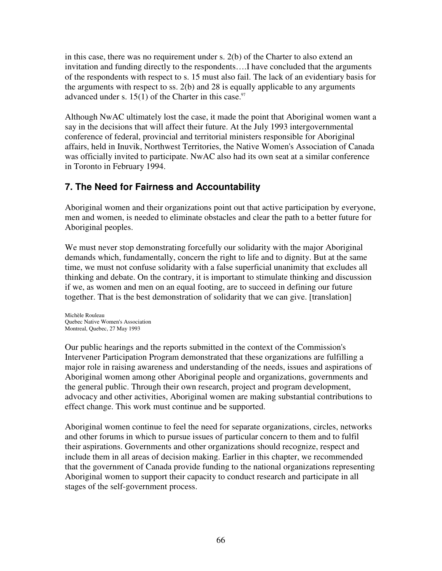in this case, there was no requirement under s. 2(b) of the Charter to also extend an invitation and funding directly to the respondents….I have concluded that the arguments of the respondents with respect to s. 15 must also fail. The lack of an evidentiary basis for the arguments with respect to ss. 2(b) and 28 is equally applicable to any arguments advanced under s.  $15(1)$  of the Charter in this case.<sup>97</sup>

Although NwAC ultimately lost the case, it made the point that Aboriginal women want a say in the decisions that will affect their future. At the July 1993 intergovernmental conference of federal, provincial and territorial ministers responsible for Aboriginal affairs, held in Inuvik, Northwest Territories, the Native Women's Association of Canada was officially invited to participate. NwAC also had its own seat at a similar conference in Toronto in February 1994.

## **7. The Need for Fairness and Accountability**

Aboriginal women and their organizations point out that active participation by everyone, men and women, is needed to eliminate obstacles and clear the path to a better future for Aboriginal peoples.

We must never stop demonstrating forcefully our solidarity with the major Aboriginal demands which, fundamentally, concern the right to life and to dignity. But at the same time, we must not confuse solidarity with a false superficial unanimity that excludes all thinking and debate. On the contrary, it is important to stimulate thinking and discussion if we, as women and men on an equal footing, are to succeed in defining our future together. That is the best demonstration of solidarity that we can give. [translation]

Michèle Rouleau Quebec Native Women's Association Montreal, Quebec, 27 May 1993

Our public hearings and the reports submitted in the context of the Commission's Intervener Participation Program demonstrated that these organizations are fulfilling a major role in raising awareness and understanding of the needs, issues and aspirations of Aboriginal women among other Aboriginal people and organizations, governments and the general public. Through their own research, project and program development, advocacy and other activities, Aboriginal women are making substantial contributions to effect change. This work must continue and be supported.

Aboriginal women continue to feel the need for separate organizations, circles, networks and other forums in which to pursue issues of particular concern to them and to fulfil their aspirations. Governments and other organizations should recognize, respect and include them in all areas of decision making. Earlier in this chapter, we recommended that the government of Canada provide funding to the national organizations representing Aboriginal women to support their capacity to conduct research and participate in all stages of the self-government process.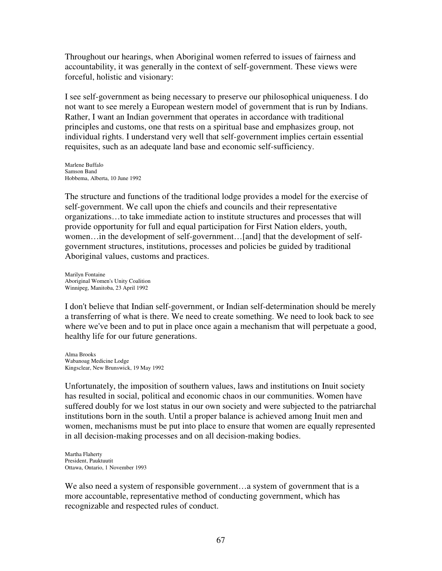Throughout our hearings, when Aboriginal women referred to issues of fairness and accountability, it was generally in the context of self-government. These views were forceful, holistic and visionary:

I see self-government as being necessary to preserve our philosophical uniqueness. I do not want to see merely a European western model of government that is run by Indians. Rather, I want an Indian government that operates in accordance with traditional principles and customs, one that rests on a spiritual base and emphasizes group, not individual rights. I understand very well that self-government implies certain essential requisites, such as an adequate land base and economic self-sufficiency.

Marlene Buffalo Samson Band Hobbema, Alberta, 10 June 1992

The structure and functions of the traditional lodge provides a model for the exercise of self-government. We call upon the chiefs and councils and their representative organizations…to take immediate action to institute structures and processes that will provide opportunity for full and equal participation for First Nation elders, youth, women...in the development of self-government...[and] that the development of selfgovernment structures, institutions, processes and policies be guided by traditional Aboriginal values, customs and practices.

Marilyn Fontaine Aboriginal Women's Unity Coalition Winnipeg, Manitoba, 23 April 1992

I don't believe that Indian self-government, or Indian self-determination should be merely a transferring of what is there. We need to create something. We need to look back to see where we've been and to put in place once again a mechanism that will perpetuate a good, healthy life for our future generations.

Alma Brooks Wabanoag Medicine Lodge Kingsclear, New Brunswick, 19 May 1992

Unfortunately, the imposition of southern values, laws and institutions on Inuit society has resulted in social, political and economic chaos in our communities. Women have suffered doubly for we lost status in our own society and were subjected to the patriarchal institutions born in the south. Until a proper balance is achieved among Inuit men and women, mechanisms must be put into place to ensure that women are equally represented in all decision-making processes and on all decision-making bodies.

Martha Flaherty President, Pauktuutit Ottawa, Ontario, 1 November 1993

We also need a system of responsible government...a system of government that is a more accountable, representative method of conducting government, which has recognizable and respected rules of conduct.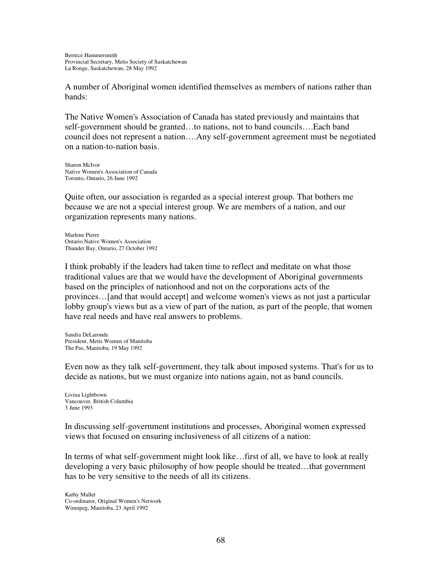A number of Aboriginal women identified themselves as members of nations rather than bands:

The Native Women's Association of Canada has stated previously and maintains that self-government should be granted…to nations, not to band councils….Each band council does not represent a nation….Any self-government agreement must be negotiated on a nation-to-nation basis.

Sharon McIvor Native Women's Association of Canada Toronto, Ontario, 26 June 1992

Quite often, our association is regarded as a special interest group. That bothers me because we are not a special interest group. We are members of a nation, and our organization represents many nations.

Marlene Pierre Ontario Native Women's Association Thunder Bay, Ontario, 27 October 1992

I think probably if the leaders had taken time to reflect and meditate on what those traditional values are that we would have the development of Aboriginal governments based on the principles of nationhood and not on the corporations acts of the provinces…[and that would accept] and welcome women's views as not just a particular lobby group's views but as a view of part of the nation, as part of the people, that women have real needs and have real answers to problems.

Sandra DeLaronde President, Metis Women of Manitoba The Pas, Manitoba, 19 May 1992

Even now as they talk self-government, they talk about imposed systems. That's for us to decide as nations, but we must organize into nations again, not as band councils.

Livina Lightbown Vancouver, British Columbia 3 June 1993

In discussing self-government institutions and processes, Aboriginal women expressed views that focused on ensuring inclusiveness of all citizens of a nation:

In terms of what self-government might look like…first of all, we have to look at really developing a very basic philosophy of how people should be treated…that government has to be very sensitive to the needs of all its citizens.

Kathy Mallet Co-ordinator, Original Women's Network Winnipeg, Manitoba, 23 April 1992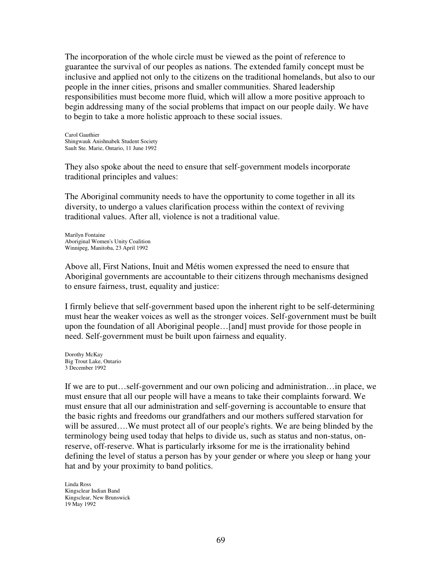The incorporation of the whole circle must be viewed as the point of reference to guarantee the survival of our peoples as nations. The extended family concept must be inclusive and applied not only to the citizens on the traditional homelands, but also to our people in the inner cities, prisons and smaller communities. Shared leadership responsibilities must become more fluid, which will allow a more positive approach to begin addressing many of the social problems that impact on our people daily. We have to begin to take a more holistic approach to these social issues.

Carol Gauthier Shingwauk Anishnabek Student Society Sault Ste. Marie, Ontario, 11 June 1992

They also spoke about the need to ensure that self-government models incorporate traditional principles and values:

The Aboriginal community needs to have the opportunity to come together in all its diversity, to undergo a values clarification process within the context of reviving traditional values. After all, violence is not a traditional value.

Marilyn Fontaine Aboriginal Women's Unity Coalition Winnipeg, Manitoba, 23 April 1992

Above all, First Nations, Inuit and Métis women expressed the need to ensure that Aboriginal governments are accountable to their citizens through mechanisms designed to ensure fairness, trust, equality and justice:

I firmly believe that self-government based upon the inherent right to be self-determining must hear the weaker voices as well as the stronger voices. Self-government must be built upon the foundation of all Aboriginal people…[and] must provide for those people in need. Self-government must be built upon fairness and equality.

Dorothy McKay Big Trout Lake, Ontario 3 December 1992

If we are to put…self-government and our own policing and administration…in place, we must ensure that all our people will have a means to take their complaints forward. We must ensure that all our administration and self-governing is accountable to ensure that the basic rights and freedoms our grandfathers and our mothers suffered starvation for will be assured….We must protect all of our people's rights. We are being blinded by the terminology being used today that helps to divide us, such as status and non-status, onreserve, off-reserve. What is particularly irksome for me is the irrationality behind defining the level of status a person has by your gender or where you sleep or hang your hat and by your proximity to band politics.

Linda Ross Kingsclear Indian Band Kingsclear, New Brunswick 19 May 1992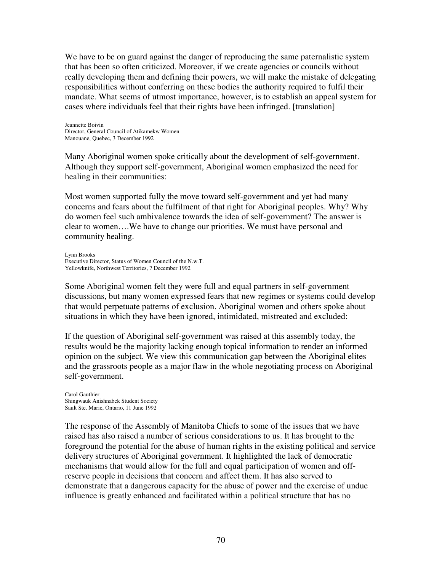We have to be on guard against the danger of reproducing the same paternalistic system that has been so often criticized. Moreover, if we create agencies or councils without really developing them and defining their powers, we will make the mistake of delegating responsibilities without conferring on these bodies the authority required to fulfil their mandate. What seems of utmost importance, however, is to establish an appeal system for cases where individuals feel that their rights have been infringed. [translation]

Jeannette Boivin Director, General Council of Atikamekw Women Manouane, Quebec, 3 December 1992

Many Aboriginal women spoke critically about the development of self-government. Although they support self-government, Aboriginal women emphasized the need for healing in their communities:

Most women supported fully the move toward self-government and yet had many concerns and fears about the fulfilment of that right for Aboriginal peoples. Why? Why do women feel such ambivalence towards the idea of self-government? The answer is clear to women….We have to change our priorities. We must have personal and community healing.

Lynn Brooks Executive Director, Status of Women Council of the N.w.T. Yellowknife, Northwest Territories, 7 December 1992

Some Aboriginal women felt they were full and equal partners in self-government discussions, but many women expressed fears that new regimes or systems could develop that would perpetuate patterns of exclusion. Aboriginal women and others spoke about situations in which they have been ignored, intimidated, mistreated and excluded:

If the question of Aboriginal self-government was raised at this assembly today, the results would be the majority lacking enough topical information to render an informed opinion on the subject. We view this communication gap between the Aboriginal elites and the grassroots people as a major flaw in the whole negotiating process on Aboriginal self-government.

Carol Gauthier Shingwauk Anishnabek Student Society Sault Ste. Marie, Ontario, 11 June 1992

The response of the Assembly of Manitoba Chiefs to some of the issues that we have raised has also raised a number of serious considerations to us. It has brought to the foreground the potential for the abuse of human rights in the existing political and service delivery structures of Aboriginal government. It highlighted the lack of democratic mechanisms that would allow for the full and equal participation of women and offreserve people in decisions that concern and affect them. It has also served to demonstrate that a dangerous capacity for the abuse of power and the exercise of undue influence is greatly enhanced and facilitated within a political structure that has no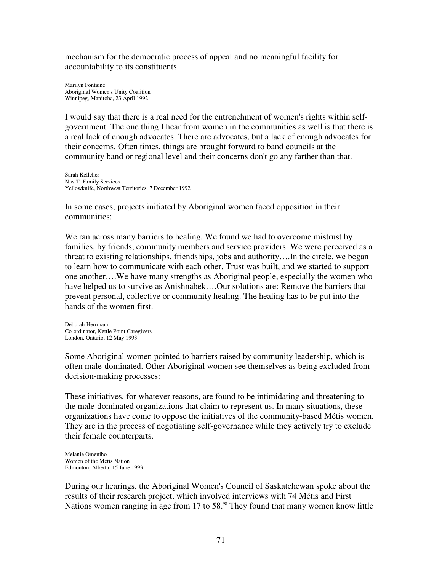mechanism for the democratic process of appeal and no meaningful facility for accountability to its constituents.

Marilyn Fontaine Aboriginal Women's Unity Coalition Winnipeg, Manitoba, 23 April 1992

I would say that there is a real need for the entrenchment of women's rights within selfgovernment. The one thing I hear from women in the communities as well is that there is a real lack of enough advocates. There are advocates, but a lack of enough advocates for their concerns. Often times, things are brought forward to band councils at the community band or regional level and their concerns don't go any farther than that.

Sarah Kelleher N.w.T. Family Services Yellowknife, Northwest Territories, 7 December 1992

In some cases, projects initiated by Aboriginal women faced opposition in their communities:

We ran across many barriers to healing. We found we had to overcome mistrust by families, by friends, community members and service providers. We were perceived as a threat to existing relationships, friendships, jobs and authority….In the circle, we began to learn how to communicate with each other. Trust was built, and we started to support one another….We have many strengths as Aboriginal people, especially the women who have helped us to survive as Anishnabek….Our solutions are: Remove the barriers that prevent personal, collective or community healing. The healing has to be put into the hands of the women first.

Deborah Herrmann Co-ordinator, Kettle Point Caregivers London, Ontario, 12 May 1993

Some Aboriginal women pointed to barriers raised by community leadership, which is often male-dominated. Other Aboriginal women see themselves as being excluded from decision-making processes:

These initiatives, for whatever reasons, are found to be intimidating and threatening to the male-dominated organizations that claim to represent us. In many situations, these organizations have come to oppose the initiatives of the community-based Métis women. They are in the process of negotiating self-governance while they actively try to exclude their female counterparts.

Melanie Omeniho Women of the Metis Nation Edmonton, Alberta, 15 June 1993

During our hearings, the Aboriginal Women's Council of Saskatchewan spoke about the results of their research project, which involved interviews with 74 Métis and First Nations women ranging in age from 17 to 58.<sup>98</sup> They found that many women know little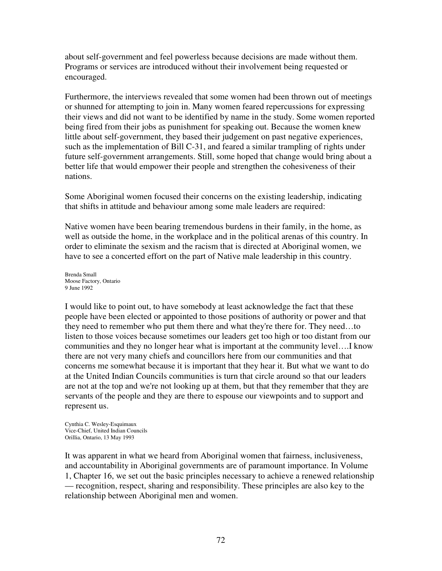about self-government and feel powerless because decisions are made without them. Programs or services are introduced without their involvement being requested or encouraged.

Furthermore, the interviews revealed that some women had been thrown out of meetings or shunned for attempting to join in. Many women feared repercussions for expressing their views and did not want to be identified by name in the study. Some women reported being fired from their jobs as punishment for speaking out. Because the women knew little about self-government, they based their judgement on past negative experiences, such as the implementation of Bill C-31, and feared a similar trampling of rights under future self-government arrangements. Still, some hoped that change would bring about a better life that would empower their people and strengthen the cohesiveness of their nations.

Some Aboriginal women focused their concerns on the existing leadership, indicating that shifts in attitude and behaviour among some male leaders are required:

Native women have been bearing tremendous burdens in their family, in the home, as well as outside the home, in the workplace and in the political arenas of this country. In order to eliminate the sexism and the racism that is directed at Aboriginal women, we have to see a concerted effort on the part of Native male leadership in this country.

Brenda Small Moose Factory, Ontario 9 June 1992

I would like to point out, to have somebody at least acknowledge the fact that these people have been elected or appointed to those positions of authority or power and that they need to remember who put them there and what they're there for. They need…to listen to those voices because sometimes our leaders get too high or too distant from our communities and they no longer hear what is important at the community level….I know there are not very many chiefs and councillors here from our communities and that concerns me somewhat because it is important that they hear it. But what we want to do at the United Indian Councils communities is turn that circle around so that our leaders are not at the top and we're not looking up at them, but that they remember that they are servants of the people and they are there to espouse our viewpoints and to support and represent us.

Cynthia C. Wesley-Esquimaux Vice-Chief, United Indian Councils Orillia, Ontario, 13 May 1993

It was apparent in what we heard from Aboriginal women that fairness, inclusiveness, and accountability in Aboriginal governments are of paramount importance. In Volume 1, Chapter 16, we set out the basic principles necessary to achieve a renewed relationship — recognition, respect, sharing and responsibility. These principles are also key to the relationship between Aboriginal men and women.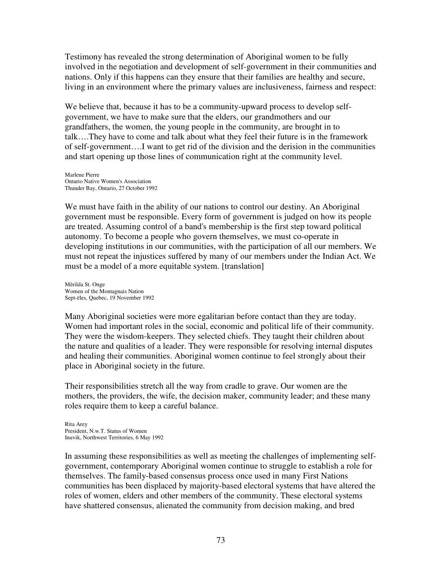Testimony has revealed the strong determination of Aboriginal women to be fully involved in the negotiation and development of self-government in their communities and nations. Only if this happens can they ensure that their families are healthy and secure, living in an environment where the primary values are inclusiveness, fairness and respect:

We believe that, because it has to be a community-upward process to develop selfgovernment, we have to make sure that the elders, our grandmothers and our grandfathers, the women, the young people in the community, are brought in to talk….They have to come and talk about what they feel their future is in the framework of self-government….I want to get rid of the division and the derision in the communities and start opening up those lines of communication right at the community level.

Marlene Pierre Ontario Native Women's Association Thunder Bay, Ontario, 27 October 1992

We must have faith in the ability of our nations to control our destiny. An Aboriginal government must be responsible. Every form of government is judged on how its people are treated. Assuming control of a band's membership is the first step toward political autonomy. To become a people who govern themselves, we must co-operate in developing institutions in our communities, with the participation of all our members. We must not repeat the injustices suffered by many of our members under the Indian Act. We must be a model of a more equitable system. [translation]

Mèrilda St. Onge Women of the Montagnais Nation Sept-ëles, Quebec, 19 November 1992

Many Aboriginal societies were more egalitarian before contact than they are today. Women had important roles in the social, economic and political life of their community. They were the wisdom-keepers. They selected chiefs. They taught their children about the nature and qualities of a leader. They were responsible for resolving internal disputes and healing their communities. Aboriginal women continue to feel strongly about their place in Aboriginal society in the future.

Their responsibilities stretch all the way from cradle to grave. Our women are the mothers, the providers, the wife, the decision maker, community leader; and these many roles require them to keep a careful balance.

Rita Arey President, N.w.T. Status of Women Inuvik, Northwest Territories, 6 May 1992

In assuming these responsibilities as well as meeting the challenges of implementing selfgovernment, contemporary Aboriginal women continue to struggle to establish a role for themselves. The family-based consensus process once used in many First Nations communities has been displaced by majority-based electoral systems that have altered the roles of women, elders and other members of the community. These electoral systems have shattered consensus, alienated the community from decision making, and bred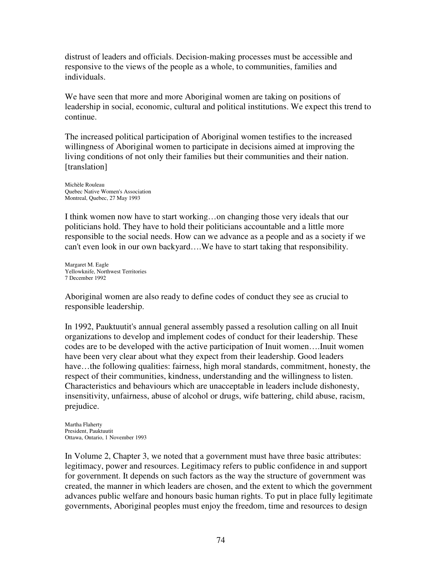distrust of leaders and officials. Decision-making processes must be accessible and responsive to the views of the people as a whole, to communities, families and individuals.

We have seen that more and more Aboriginal women are taking on positions of leadership in social, economic, cultural and political institutions. We expect this trend to continue.

The increased political participation of Aboriginal women testifies to the increased willingness of Aboriginal women to participate in decisions aimed at improving the living conditions of not only their families but their communities and their nation. [translation]

Michèle Rouleau Quebec Native Women's Association Montreal, Quebec, 27 May 1993

I think women now have to start working…on changing those very ideals that our politicians hold. They have to hold their politicians accountable and a little more responsible to the social needs. How can we advance as a people and as a society if we can't even look in our own backyard….We have to start taking that responsibility.

Margaret M. Eagle Yellowknife, Northwest Territories 7 December 1992

Aboriginal women are also ready to define codes of conduct they see as crucial to responsible leadership.

In 1992, Pauktuutit's annual general assembly passed a resolution calling on all Inuit organizations to develop and implement codes of conduct for their leadership. These codes are to be developed with the active participation of Inuit women….Inuit women have been very clear about what they expect from their leadership. Good leaders have...the following qualities: fairness, high moral standards, commitment, honesty, the respect of their communities, kindness, understanding and the willingness to listen. Characteristics and behaviours which are unacceptable in leaders include dishonesty, insensitivity, unfairness, abuse of alcohol or drugs, wife battering, child abuse, racism, prejudice.

Martha Flaherty President, Pauktuutit Ottawa, Ontario, 1 November 1993

In Volume 2, Chapter 3, we noted that a government must have three basic attributes: legitimacy, power and resources. Legitimacy refers to public confidence in and support for government. It depends on such factors as the way the structure of government was created, the manner in which leaders are chosen, and the extent to which the government advances public welfare and honours basic human rights. To put in place fully legitimate governments, Aboriginal peoples must enjoy the freedom, time and resources to design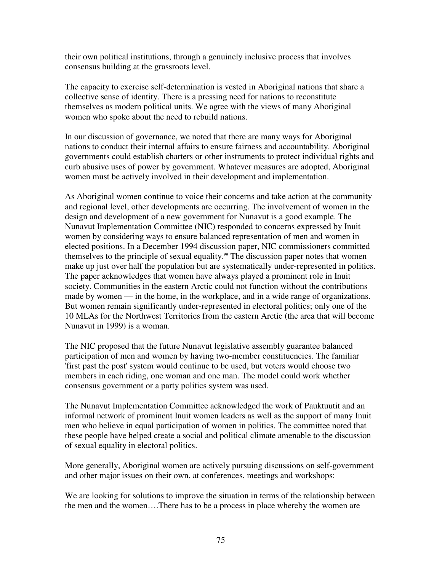their own political institutions, through a genuinely inclusive process that involves consensus building at the grassroots level.

The capacity to exercise self-determination is vested in Aboriginal nations that share a collective sense of identity. There is a pressing need for nations to reconstitute themselves as modern political units. We agree with the views of many Aboriginal women who spoke about the need to rebuild nations.

In our discussion of governance, we noted that there are many ways for Aboriginal nations to conduct their internal affairs to ensure fairness and accountability. Aboriginal governments could establish charters or other instruments to protect individual rights and curb abusive uses of power by government. Whatever measures are adopted, Aboriginal women must be actively involved in their development and implementation.

As Aboriginal women continue to voice their concerns and take action at the community and regional level, other developments are occurring. The involvement of women in the design and development of a new government for Nunavut is a good example. The Nunavut Implementation Committee (NIC) responded to concerns expressed by Inuit women by considering ways to ensure balanced representation of men and women in elected positions. In a December 1994 discussion paper, NIC commissioners committed themselves to the principle of sexual equality. <sup>99</sup> The discussion paper notes that women make up just over half the population but are systematically under-represented in politics. The paper acknowledges that women have always played a prominent role in Inuit society. Communities in the eastern Arctic could not function without the contributions made by women — in the home, in the workplace, and in a wide range of organizations. But women remain significantly under-represented in electoral politics; only one of the 10 MLAs for the Northwest Territories from the eastern Arctic (the area that will become Nunavut in 1999) is a woman.

The NIC proposed that the future Nunavut legislative assembly guarantee balanced participation of men and women by having two-member constituencies. The familiar 'first past the post' system would continue to be used, but voters would choose two members in each riding, one woman and one man. The model could work whether consensus government or a party politics system was used.

The Nunavut Implementation Committee acknowledged the work of Pauktuutit and an informal network of prominent Inuit women leaders as well as the support of many Inuit men who believe in equal participation of women in politics. The committee noted that these people have helped create a social and political climate amenable to the discussion of sexual equality in electoral politics.

More generally, Aboriginal women are actively pursuing discussions on self-government and other major issues on their own, at conferences, meetings and workshops:

We are looking for solutions to improve the situation in terms of the relationship between the men and the women….There has to be a process in place whereby the women are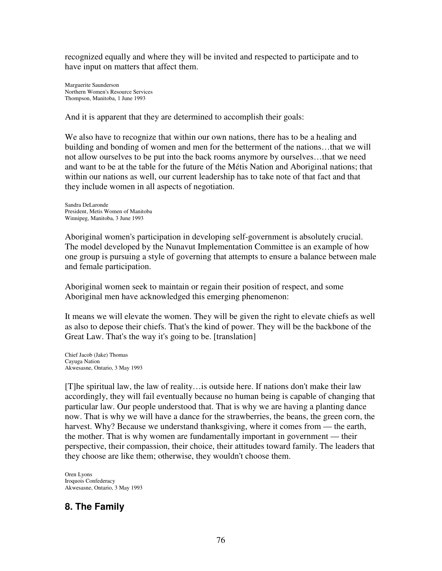recognized equally and where they will be invited and respected to participate and to have input on matters that affect them.

Marguerite Saunderson Northern Women's Resource Services Thompson, Manitoba, 1 June 1993

And it is apparent that they are determined to accomplish their goals:

We also have to recognize that within our own nations, there has to be a healing and building and bonding of women and men for the betterment of the nations…that we will not allow ourselves to be put into the back rooms anymore by ourselves…that we need and want to be at the table for the future of the Métis Nation and Aboriginal nations; that within our nations as well, our current leadership has to take note of that fact and that they include women in all aspects of negotiation.

Sandra DeLaronde President, Metis Women of Manitoba Winnipeg, Manitoba, 3 June 1993

Aboriginal women's participation in developing self-government is absolutely crucial. The model developed by the Nunavut Implementation Committee is an example of how one group is pursuing a style of governing that attempts to ensure a balance between male and female participation.

Aboriginal women seek to maintain or regain their position of respect, and some Aboriginal men have acknowledged this emerging phenomenon:

It means we will elevate the women. They will be given the right to elevate chiefs as well as also to depose their chiefs. That's the kind of power. They will be the backbone of the Great Law. That's the way it's going to be. [translation]

Chief Jacob (Jake) Thomas Cayuga Nation Akwesasne, Ontario, 3 May 1993

[T]he spiritual law, the law of reality…is outside here. If nations don't make their law accordingly, they will fail eventually because no human being is capable of changing that particular law. Our people understood that. That is why we are having a planting dance now. That is why we will have a dance for the strawberries, the beans, the green corn, the harvest. Why? Because we understand thanksgiving, where it comes from — the earth, the mother. That is why women are fundamentally important in government — their perspective, their compassion, their choice, their attitudes toward family. The leaders that they choose are like them; otherwise, they wouldn't choose them.

Oren Lyons Iroquois Confederacy Akwesasne, Ontario, 3 May 1993

# **8. The Family**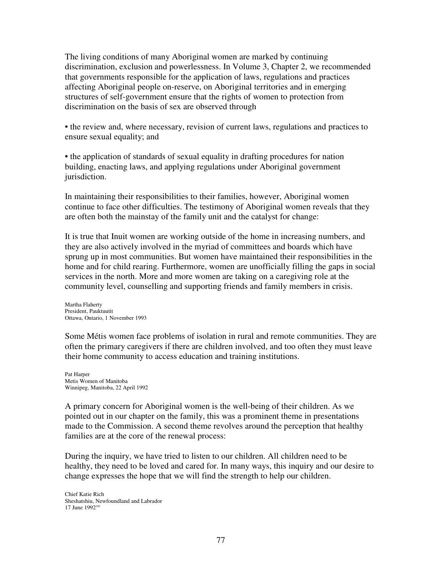The living conditions of many Aboriginal women are marked by continuing discrimination, exclusion and powerlessness. In Volume 3, Chapter 2, we recommended that governments responsible for the application of laws, regulations and practices affecting Aboriginal people on-reserve, on Aboriginal territories and in emerging structures of self-government ensure that the rights of women to protection from discrimination on the basis of sex are observed through

• the review and, where necessary, revision of current laws, regulations and practices to ensure sexual equality; and

• the application of standards of sexual equality in drafting procedures for nation building, enacting laws, and applying regulations under Aboriginal government jurisdiction.

In maintaining their responsibilities to their families, however, Aboriginal women continue to face other difficulties. The testimony of Aboriginal women reveals that they are often both the mainstay of the family unit and the catalyst for change:

It is true that Inuit women are working outside of the home in increasing numbers, and they are also actively involved in the myriad of committees and boards which have sprung up in most communities. But women have maintained their responsibilities in the home and for child rearing. Furthermore, women are unofficially filling the gaps in social services in the north. More and more women are taking on a caregiving role at the community level, counselling and supporting friends and family members in crisis.

Martha Flaherty President, Pauktuutit Ottawa, Ontario, 1 November 1993

Some Métis women face problems of isolation in rural and remote communities. They are often the primary caregivers if there are children involved, and too often they must leave their home community to access education and training institutions.

Pat Harper Metis Women of Manitoba Winnipeg, Manitoba, 22 April 1992

A primary concern for Aboriginal women is the well-being of their children. As we pointed out in our chapter on the family, this was a prominent theme in presentations made to the Commission. A second theme revolves around the perception that healthy families are at the core of the renewal process:

During the inquiry, we have tried to listen to our children. All children need to be healthy, they need to be loved and cared for. In many ways, this inquiry and our desire to change expresses the hope that we will find the strength to help our children.

Chief Katie Rich Sheshatshiu, Newfoundland and Labrador 17 June 1992<sup>100</sup>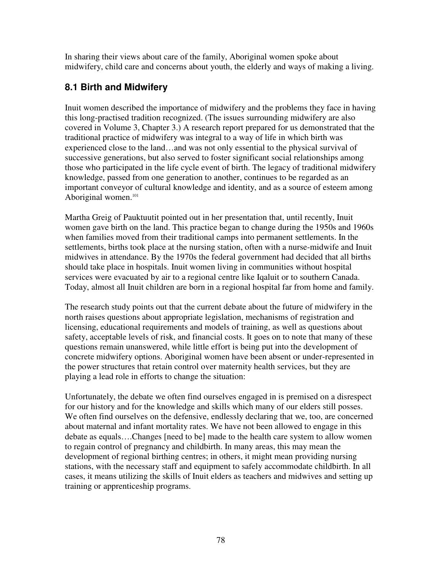In sharing their views about care of the family, Aboriginal women spoke about midwifery, child care and concerns about youth, the elderly and ways of making a living.

## **8.1 Birth and Midwifery**

Inuit women described the importance of midwifery and the problems they face in having this long-practised tradition recognized. (The issues surrounding midwifery are also covered in Volume 3, Chapter 3.) A research report prepared for us demonstrated that the traditional practice of midwifery was integral to a way of life in which birth was experienced close to the land…and was not only essential to the physical survival of successive generations, but also served to foster significant social relationships among those who participated in the life cycle event of birth. The legacy of traditional midwifery knowledge, passed from one generation to another, continues to be regarded as an important conveyor of cultural knowledge and identity, and as a source of esteem among Aboriginal women. 101

Martha Greig of Pauktuutit pointed out in her presentation that, until recently, Inuit women gave birth on the land. This practice began to change during the 1950s and 1960s when families moved from their traditional camps into permanent settlements. In the settlements, births took place at the nursing station, often with a nurse-midwife and Inuit midwives in attendance. By the 1970s the federal government had decided that all births should take place in hospitals. Inuit women living in communities without hospital services were evacuated by air to a regional centre like Iqaluit or to southern Canada. Today, almost all Inuit children are born in a regional hospital far from home and family.

The research study points out that the current debate about the future of midwifery in the north raises questions about appropriate legislation, mechanisms of registration and licensing, educational requirements and models of training, as well as questions about safety, acceptable levels of risk, and financial costs. It goes on to note that many of these questions remain unanswered, while little effort is being put into the development of concrete midwifery options. Aboriginal women have been absent or under-represented in the power structures that retain control over maternity health services, but they are playing a lead role in efforts to change the situation:

Unfortunately, the debate we often find ourselves engaged in is premised on a disrespect for our history and for the knowledge and skills which many of our elders still posses. We often find ourselves on the defensive, endlessly declaring that we, too, are concerned about maternal and infant mortality rates. We have not been allowed to engage in this debate as equals….Changes [need to be] made to the health care system to allow women to regain control of pregnancy and childbirth. In many areas, this may mean the development of regional birthing centres; in others, it might mean providing nursing stations, with the necessary staff and equipment to safely accommodate childbirth. In all cases, it means utilizing the skills of Inuit elders as teachers and midwives and setting up training or apprenticeship programs.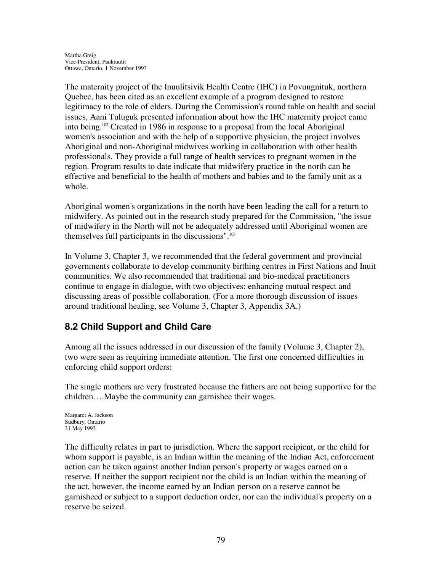The maternity project of the Inuulitsivik Health Centre (IHC) in Povungnituk, northern Quebec, has been cited as an excellent example of a program designed to restore legitimacy to the role of elders. During the Commission's round table on health and social issues, Aani Tuluguk presented information about how the IHC maternity project came into being. <sup>102</sup> Created in 1986 in response to a proposal from the local Aboriginal women's association and with the help of a supportive physician, the project involves Aboriginal and non-Aboriginal midwives working in collaboration with other health professionals. They provide a full range of health services to pregnant women in the region. Program results to date indicate that midwifery practice in the north can be effective and beneficial to the health of mothers and babies and to the family unit as a whole.

Aboriginal women's organizations in the north have been leading the call for a return to midwifery. As pointed out in the research study prepared for the Commission, "the issue of midwifery in the North will not be adequately addressed until Aboriginal women are themselves full participants in the discussions". 103

In Volume 3, Chapter 3, we recommended that the federal government and provincial governments collaborate to develop community birthing centres in First Nations and Inuit communities. We also recommended that traditional and bio-medical practitioners continue to engage in dialogue, with two objectives: enhancing mutual respect and discussing areas of possible collaboration. (For a more thorough discussion of issues around traditional healing, see Volume 3, Chapter 3, Appendix 3A.)

# **8.2 Child Support and Child Care**

Among all the issues addressed in our discussion of the family (Volume 3, Chapter 2), two were seen as requiring immediate attention. The first one concerned difficulties in enforcing child support orders:

The single mothers are very frustrated because the fathers are not being supportive for the children….Maybe the community can garnishee their wages.

Margaret A. Jackson Sudbury, Ontario 31 May 1993

The difficulty relates in part to jurisdiction. Where the support recipient, or the child for whom support is payable, is an Indian within the meaning of the Indian Act, enforcement action can be taken against another Indian person's property or wages earned on a reserve. If neither the support recipient nor the child is an Indian within the meaning of the act, however, the income earned by an Indian person on a reserve cannot be garnisheed or subject to a support deduction order, nor can the individual's property on a reserve be seized.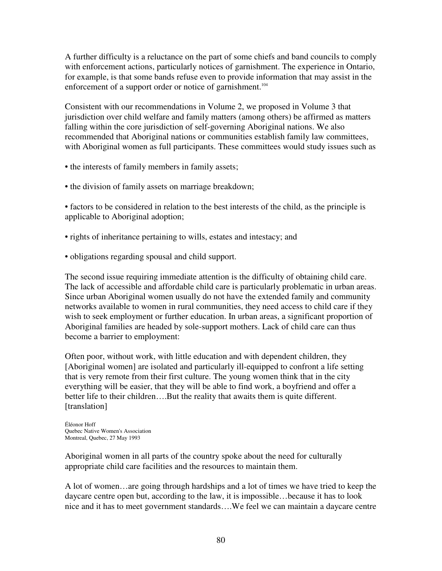A further difficulty is a reluctance on the part of some chiefs and band councils to comply with enforcement actions, particularly notices of garnishment. The experience in Ontario, for example, is that some bands refuse even to provide information that may assist in the enforcement of a support order or notice of garnishment.<sup>104</sup>

Consistent with our recommendations in Volume 2, we proposed in Volume 3 that jurisdiction over child welfare and family matters (among others) be affirmed as matters falling within the core jurisdiction of self-governing Aboriginal nations. We also recommended that Aboriginal nations or communities establish family law committees, with Aboriginal women as full participants. These committees would study issues such as

- the interests of family members in family assets;
- the division of family assets on marriage breakdown;

• factors to be considered in relation to the best interests of the child, as the principle is applicable to Aboriginal adoption;

- rights of inheritance pertaining to wills, estates and intestacy; and
- obligations regarding spousal and child support.

The second issue requiring immediate attention is the difficulty of obtaining child care. The lack of accessible and affordable child care is particularly problematic in urban areas. Since urban Aboriginal women usually do not have the extended family and community networks available to women in rural communities, they need access to child care if they wish to seek employment or further education. In urban areas, a significant proportion of Aboriginal families are headed by sole-support mothers. Lack of child care can thus become a barrier to employment:

Often poor, without work, with little education and with dependent children, they [Aboriginal women] are isolated and particularly ill-equipped to confront a life setting that is very remote from their first culture. The young women think that in the city everything will be easier, that they will be able to find work, a boyfriend and offer a better life to their children….But the reality that awaits them is quite different. [translation]

Éléonor Hoff Quebec Native Women's Association Montreal, Quebec, 27 May 1993

Aboriginal women in all parts of the country spoke about the need for culturally appropriate child care facilities and the resources to maintain them.

A lot of women…are going through hardships and a lot of times we have tried to keep the daycare centre open but, according to the law, it is impossible…because it has to look nice and it has to meet government standards….We feel we can maintain a daycare centre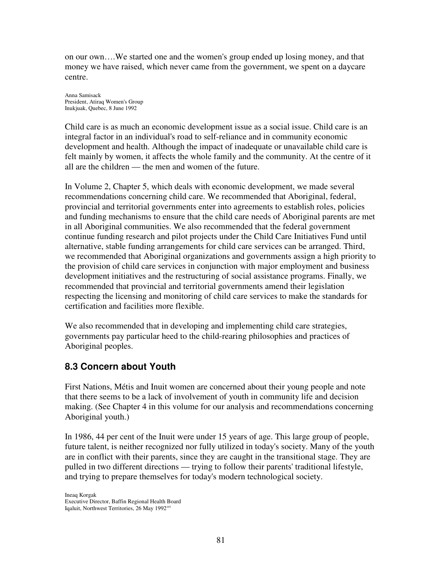on our own….We started one and the women's group ended up losing money, and that money we have raised, which never came from the government, we spent on a daycare centre.

Anna Samisack President, Atiraq Women's Group Inukjuak, Quebec, 8 June 1992

Child care is as much an economic development issue as a social issue. Child care is an integral factor in an individual's road to self-reliance and in community economic development and health. Although the impact of inadequate or unavailable child care is felt mainly by women, it affects the whole family and the community. At the centre of it all are the children — the men and women of the future.

In Volume 2, Chapter 5, which deals with economic development, we made several recommendations concerning child care. We recommended that Aboriginal, federal, provincial and territorial governments enter into agreements to establish roles, policies and funding mechanisms to ensure that the child care needs of Aboriginal parents are met in all Aboriginal communities. We also recommended that the federal government continue funding research and pilot projects under the Child Care Initiatives Fund until alternative, stable funding arrangements for child care services can be arranged. Third, we recommended that Aboriginal organizations and governments assign a high priority to the provision of child care services in conjunction with major employment and business development initiatives and the restructuring of social assistance programs. Finally, we recommended that provincial and territorial governments amend their legislation respecting the licensing and monitoring of child care services to make the standards for certification and facilities more flexible.

We also recommended that in developing and implementing child care strategies, governments pay particular heed to the child-rearing philosophies and practices of Aboriginal peoples.

## **8.3 Concern about Youth**

First Nations, Métis and Inuit women are concerned about their young people and note that there seems to be a lack of involvement of youth in community life and decision making. (See Chapter 4 in this volume for our analysis and recommendations concerning Aboriginal youth.)

In 1986, 44 per cent of the Inuit were under 15 years of age. This large group of people, future talent, is neither recognized nor fully utilized in today's society. Many of the youth are in conflict with their parents, since they are caught in the transitional stage. They are pulled in two different directions — trying to follow their parents' traditional lifestyle, and trying to prepare themselves for today's modern technological society.

Ineaq Korgak Executive Director, Baffin Regional Health Board Iqaluit, Northwest Territories, 26 May 1992<sup>105</sup>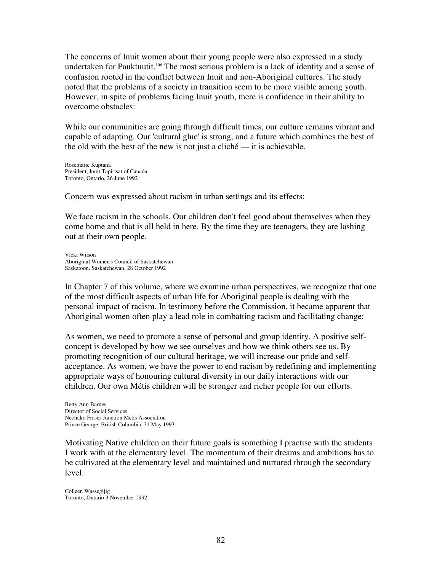The concerns of Inuit women about their young people were also expressed in a study undertaken for Pauktuutit. <sup>106</sup> The most serious problem is a lack of identity and a sense of confusion rooted in the conflict between Inuit and non-Aboriginal cultures. The study noted that the problems of a society in transition seem to be more visible among youth. However, in spite of problems facing Inuit youth, there is confidence in their ability to overcome obstacles:

While our communities are going through difficult times, our culture remains vibrant and capable of adapting. Our 'cultural glue' is strong, and a future which combines the best of the old with the best of the new is not just a cliché — it is achievable.

Rosemarie Kuptana President, Inuit Tapirisat of Canada Toronto, Ontario, 26 June 1992

Concern was expressed about racism in urban settings and its effects:

We face racism in the schools. Our children don't feel good about themselves when they come home and that is all held in here. By the time they are teenagers, they are lashing out at their own people.

Vicki Wilson Aboriginal Women's Council of Saskatchewan Saskatoon, Saskatchewan, 28 October 1992

In Chapter 7 of this volume, where we examine urban perspectives, we recognize that one of the most difficult aspects of urban life for Aboriginal people is dealing with the personal impact of racism. In testimony before the Commission, it became apparent that Aboriginal women often play a lead role in combatting racism and facilitating change:

As women, we need to promote a sense of personal and group identity. A positive selfconcept is developed by how we see ourselves and how we think others see us. By promoting recognition of our cultural heritage, we will increase our pride and selfacceptance. As women, we have the power to end racism by redefining and implementing appropriate ways of honouring cultural diversity in our daily interactions with our children. Our own Métis children will be stronger and richer people for our efforts.

Betty Ann Barnes Director of Social Services Nechako Fraser Junction Metis Association Prince George, British Columbia, 31 May 1993

Motivating Native children on their future goals is something I practise with the students I work with at the elementary level. The momentum of their dreams and ambitions has to be cultivated at the elementary level and maintained and nurtured through the secondary level.

Colleen Wassegijig Toronto, Ontario 3 November 1992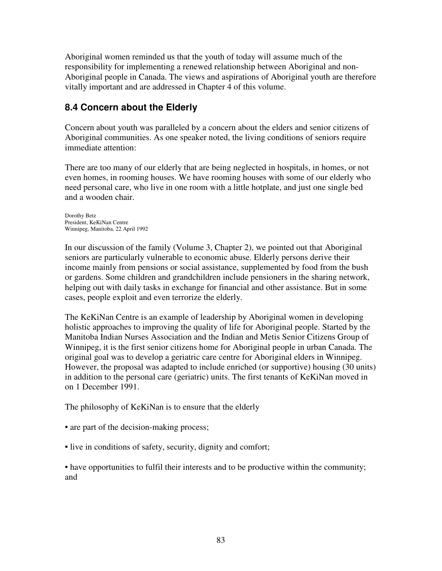Aboriginal women reminded us that the youth of today will assume much of the responsibility for implementing a renewed relationship between Aboriginal and non-Aboriginal people in Canada. The views and aspirations of Aboriginal youth are therefore vitally important and are addressed in Chapter 4 of this volume.

## **8.4 Concern about the Elderly**

Concern about youth was paralleled by a concern about the elders and senior citizens of Aboriginal communities. As one speaker noted, the living conditions of seniors require immediate attention:

There are too many of our elderly that are being neglected in hospitals, in homes, or not even homes, in rooming houses. We have rooming houses with some of our elderly who need personal care, who live in one room with a little hotplate, and just one single bed and a wooden chair.

Dorothy Betz President, KeKiNan Centre Winnipeg, Manitoba, 22 April 1992

In our discussion of the family (Volume 3, Chapter 2), we pointed out that Aboriginal seniors are particularly vulnerable to economic abuse. Elderly persons derive their income mainly from pensions or social assistance, supplemented by food from the bush or gardens. Some children and grandchildren include pensioners in the sharing network, helping out with daily tasks in exchange for financial and other assistance. But in some cases, people exploit and even terrorize the elderly.

The KeKiNan Centre is an example of leadership by Aboriginal women in developing holistic approaches to improving the quality of life for Aboriginal people. Started by the Manitoba Indian Nurses Association and the Indian and Metis Senior Citizens Group of Winnipeg, it is the first senior citizens home for Aboriginal people in urban Canada. The original goal was to develop a geriatric care centre for Aboriginal elders in Winnipeg. However, the proposal was adapted to include enriched (or supportive) housing (30 units) in addition to the personal care (geriatric) units. The first tenants of KeKiNan moved in on 1 December 1991.

The philosophy of KeKiNan is to ensure that the elderly

- are part of the decision-making process;
- live in conditions of safety, security, dignity and comfort;

• have opportunities to fulfil their interests and to be productive within the community; and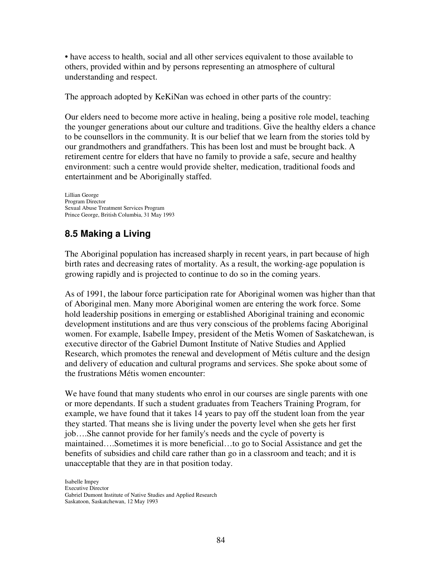• have access to health, social and all other services equivalent to those available to others, provided within and by persons representing an atmosphere of cultural understanding and respect.

The approach adopted by KeKiNan was echoed in other parts of the country:

Our elders need to become more active in healing, being a positive role model, teaching the younger generations about our culture and traditions. Give the healthy elders a chance to be counsellors in the community. It is our belief that we learn from the stories told by our grandmothers and grandfathers. This has been lost and must be brought back. A retirement centre for elders that have no family to provide a safe, secure and healthy environment: such a centre would provide shelter, medication, traditional foods and entertainment and be Aboriginally staffed.

Lillian George Program Director Sexual Abuse Treatment Services Program Prince George, British Columbia, 31 May 1993

## **8.5 Making a Living**

The Aboriginal population has increased sharply in recent years, in part because of high birth rates and decreasing rates of mortality. As a result, the working-age population is growing rapidly and is projected to continue to do so in the coming years.

As of 1991, the labour force participation rate for Aboriginal women was higher than that of Aboriginal men. Many more Aboriginal women are entering the work force. Some hold leadership positions in emerging or established Aboriginal training and economic development institutions and are thus very conscious of the problems facing Aboriginal women. For example, Isabelle Impey, president of the Metis Women of Saskatchewan, is executive director of the Gabriel Dumont Institute of Native Studies and Applied Research, which promotes the renewal and development of Métis culture and the design and delivery of education and cultural programs and services. She spoke about some of the frustrations Métis women encounter:

We have found that many students who enrol in our courses are single parents with one or more dependants. If such a student graduates from Teachers Training Program, for example, we have found that it takes 14 years to pay off the student loan from the year they started. That means she is living under the poverty level when she gets her first job….She cannot provide for her family's needs and the cycle of poverty is maintained….Sometimes it is more beneficial…to go to Social Assistance and get the benefits of subsidies and child care rather than go in a classroom and teach; and it is unacceptable that they are in that position today.

Isabelle Impey Executive Director Gabriel Dumont Institute of Native Studies and Applied Research Saskatoon, Saskatchewan, 12 May 1993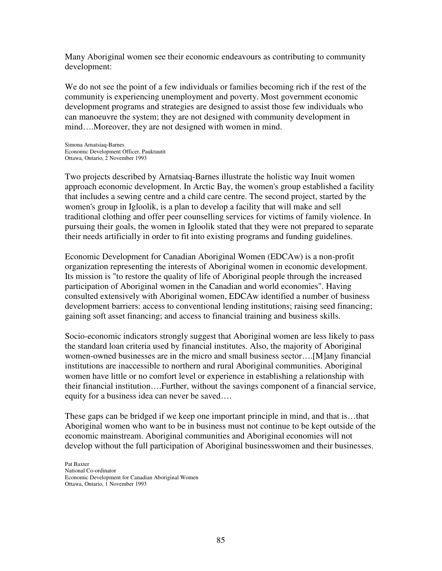Many Aboriginal women see their economic endeavours as contributing to community development:

We do not see the point of a few individuals or families becoming rich if the rest of the community is experiencing unemployment and poverty. Most government economic development programs and strategies are designed to assist those few individuals who can manoeuvre the system; they are not designed with community development in mind….Moreover, they are not designed with women in mind.

Simona Arnatsiaq-Barnes Economic Development Officer, Pauktuutit Ottawa, Ontario, 2 November 1993

Two projects described by Arnatsiaq-Barnes illustrate the holistic way Inuit women approach economic development. In Arctic Bay, the women's group established a facility that includes a sewing centre and a child care centre. The second project, started by the women's group in Igloolik, is a plan to develop a facility that will make and sell traditional clothing and offer peer counselling services for victims of family violence. In pursuing their goals, the women in Igloolik stated that they were not prepared to separate their needs artificially in order to fit into existing programs and funding guidelines.

Economic Development for Canadian Aboriginal Women (EDCAw) is a non-profit organization representing the interests of Aboriginal women in economic development. Its mission is "to restore the quality of life of Aboriginal people through the increased participation of Aboriginal women in the Canadian and world economies". Having consulted extensively with Aboriginal women, EDCAw identified a number of business development barriers: access to conventional lending institutions; raising seed financing; gaining soft asset financing; and access to financial training and business skills.

Socio-economic indicators strongly suggest that Aboriginal women are less likely to pass the standard loan criteria used by financial institutes. Also, the majority of Aboriginal women-owned businesses are in the micro and small business sector….[M]any financial institutions are inaccessible to northern and rural Aboriginal communities. Aboriginal women have little or no comfort level or experience in establishing a relationship with their financial institution….Further, without the savings component of a financial service, equity for a business idea can never be saved….

These gaps can be bridged if we keep one important principle in mind, and that is…that Aboriginal women who want to be in business must not continue to be kept outside of the economic mainstream. Aboriginal communities and Aboriginal economies will not develop without the full participation of Aboriginal businesswomen and their businesses.

#### Pat Baxter National Co-ordinator Economic Development for Canadian Aboriginal Women Ottawa, Ontario, 1 November 1993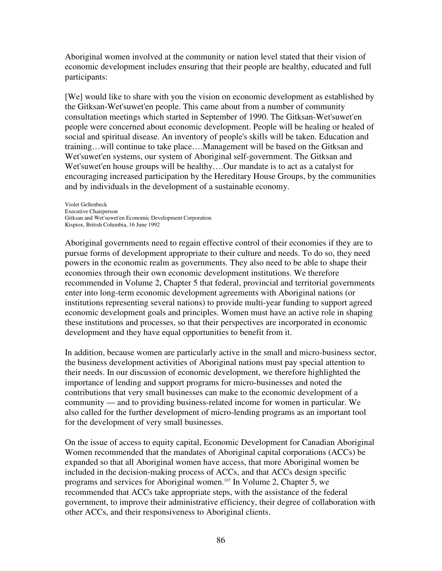Aboriginal women involved at the community or nation level stated that their vision of economic development includes ensuring that their people are healthy, educated and full participants:

[We] would like to share with you the vision on economic development as established by the Gitksan-Wet'suwet'en people. This came about from a number of community consultation meetings which started in September of 1990. The Gitksan-Wet'suwet'en people were concerned about economic development. People will be healing or healed of social and spiritual disease. An inventory of people's skills will be taken. Education and training…will continue to take place….Management will be based on the Gitksan and Wet'suwet'en systems, our system of Aboriginal self-government. The Gitksan and Wet'suwet'en house groups will be healthy….Our mandate is to act as a catalyst for encouraging increased participation by the Hereditary House Groups, by the communities and by individuals in the development of a sustainable economy.

Violet Gellenbeck Executive Chairperson Gitksan and Wet'suwet'en Economic Development Corporation Kispiox, British Columbia, 16 June 1992

Aboriginal governments need to regain effective control of their economies if they are to pursue forms of development appropriate to their culture and needs. To do so, they need powers in the economic realm as governments. They also need to be able to shape their economies through their own economic development institutions. We therefore recommended in Volume 2, Chapter 5 that federal, provincial and territorial governments enter into long-term economic development agreements with Aboriginal nations (or institutions representing several nations) to provide multi-year funding to support agreed economic development goals and principles. Women must have an active role in shaping these institutions and processes, so that their perspectives are incorporated in economic development and they have equal opportunities to benefit from it.

In addition, because women are particularly active in the small and micro-business sector, the business development activities of Aboriginal nations must pay special attention to their needs. In our discussion of economic development, we therefore highlighted the importance of lending and support programs for micro-businesses and noted the contributions that very small businesses can make to the economic development of a community — and to providing business-related income for women in particular. We also called for the further development of micro-lending programs as an important tool for the development of very small businesses.

On the issue of access to equity capital, Economic Development for Canadian Aboriginal Women recommended that the mandates of Aboriginal capital corporations (ACCs) be expanded so that all Aboriginal women have access, that more Aboriginal women be included in the decision-making process of ACCs, and that ACCs design specific programs and services for Aboriginal women. 107 In Volume 2, Chapter 5, we recommended that ACCs take appropriate steps, with the assistance of the federal government, to improve their administrative efficiency, their degree of collaboration with other ACCs, and their responsiveness to Aboriginal clients.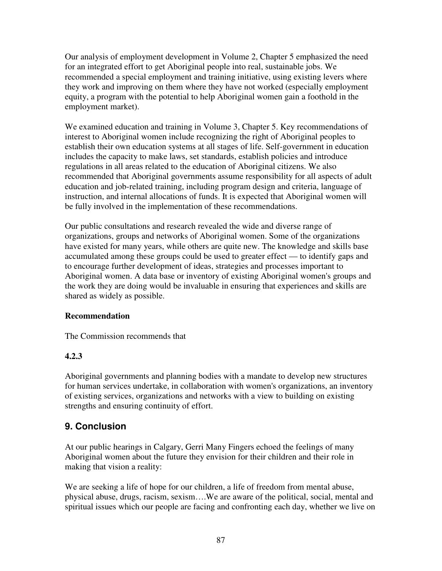Our analysis of employment development in Volume 2, Chapter 5 emphasized the need for an integrated effort to get Aboriginal people into real, sustainable jobs. We recommended a special employment and training initiative, using existing levers where they work and improving on them where they have not worked (especially employment equity, a program with the potential to help Aboriginal women gain a foothold in the employment market).

We examined education and training in Volume 3, Chapter 5. Key recommendations of interest to Aboriginal women include recognizing the right of Aboriginal peoples to establish their own education systems at all stages of life. Self-government in education includes the capacity to make laws, set standards, establish policies and introduce regulations in all areas related to the education of Aboriginal citizens. We also recommended that Aboriginal governments assume responsibility for all aspects of adult education and job-related training, including program design and criteria, language of instruction, and internal allocations of funds. It is expected that Aboriginal women will be fully involved in the implementation of these recommendations.

Our public consultations and research revealed the wide and diverse range of organizations, groups and networks of Aboriginal women. Some of the organizations have existed for many years, while others are quite new. The knowledge and skills base accumulated among these groups could be used to greater effect — to identify gaps and to encourage further development of ideas, strategies and processes important to Aboriginal women. A data base or inventory of existing Aboriginal women's groups and the work they are doing would be invaluable in ensuring that experiences and skills are shared as widely as possible.

### **Recommendation**

The Commission recommends that

### **4.2.3**

Aboriginal governments and planning bodies with a mandate to develop new structures for human services undertake, in collaboration with women's organizations, an inventory of existing services, organizations and networks with a view to building on existing strengths and ensuring continuity of effort.

## **9. Conclusion**

At our public hearings in Calgary, Gerri Many Fingers echoed the feelings of many Aboriginal women about the future they envision for their children and their role in making that vision a reality:

We are seeking a life of hope for our children, a life of freedom from mental abuse, physical abuse, drugs, racism, sexism….We are aware of the political, social, mental and spiritual issues which our people are facing and confronting each day, whether we live on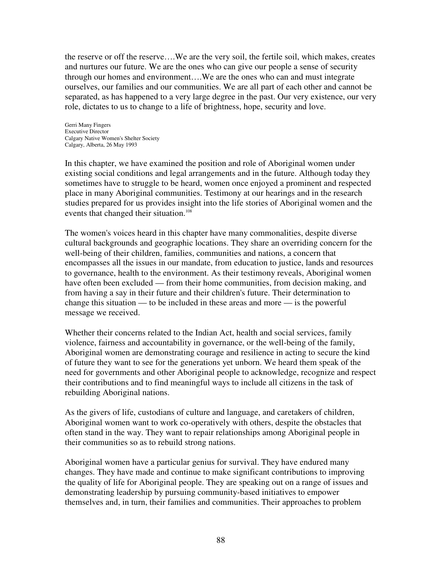the reserve or off the reserve….We are the very soil, the fertile soil, which makes, creates and nurtures our future. We are the ones who can give our people a sense of security through our homes and environment….We are the ones who can and must integrate ourselves, our families and our communities. We are all part of each other and cannot be separated, as has happened to a very large degree in the past. Our very existence, our very role, dictates to us to change to a life of brightness, hope, security and love.

Gerri Many Fingers Executive Director Calgary Native Women's Shelter Society Calgary, Alberta, 26 May 1993

In this chapter, we have examined the position and role of Aboriginal women under existing social conditions and legal arrangements and in the future. Although today they sometimes have to struggle to be heard, women once enjoyed a prominent and respected place in many Aboriginal communities. Testimony at our hearings and in the research studies prepared for us provides insight into the life stories of Aboriginal women and the events that changed their situation. 108

The women's voices heard in this chapter have many commonalities, despite diverse cultural backgrounds and geographic locations. They share an overriding concern for the well-being of their children, families, communities and nations, a concern that encompasses all the issues in our mandate, from education to justice, lands and resources to governance, health to the environment. As their testimony reveals, Aboriginal women have often been excluded — from their home communities, from decision making, and from having a say in their future and their children's future. Their determination to change this situation — to be included in these areas and more — is the powerful message we received.

Whether their concerns related to the Indian Act, health and social services, family violence, fairness and accountability in governance, or the well-being of the family, Aboriginal women are demonstrating courage and resilience in acting to secure the kind of future they want to see for the generations yet unborn. We heard them speak of the need for governments and other Aboriginal people to acknowledge, recognize and respect their contributions and to find meaningful ways to include all citizens in the task of rebuilding Aboriginal nations.

As the givers of life, custodians of culture and language, and caretakers of children, Aboriginal women want to work co-operatively with others, despite the obstacles that often stand in the way. They want to repair relationships among Aboriginal people in their communities so as to rebuild strong nations.

Aboriginal women have a particular genius for survival. They have endured many changes. They have made and continue to make significant contributions to improving the quality of life for Aboriginal people. They are speaking out on a range of issues and demonstrating leadership by pursuing community-based initiatives to empower themselves and, in turn, their families and communities. Their approaches to problem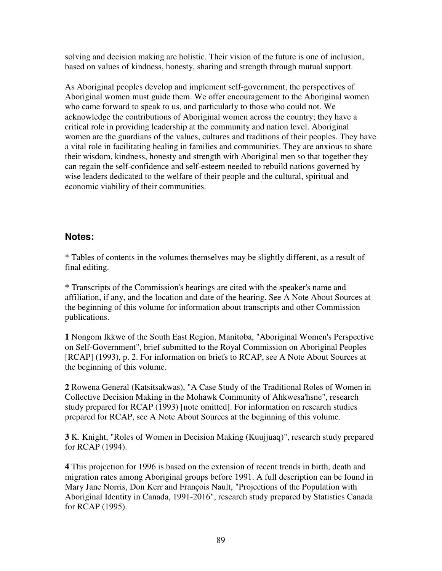solving and decision making are holistic. Their vision of the future is one of inclusion, based on values of kindness, honesty, sharing and strength through mutual support.

As Aboriginal peoples develop and implement self-government, the perspectives of Aboriginal women must guide them. We offer encouragement to the Aboriginal women who came forward to speak to us, and particularly to those who could not. We acknowledge the contributions of Aboriginal women across the country; they have a critical role in providing leadership at the community and nation level. Aboriginal women are the guardians of the values, cultures and traditions of their peoples. They have a vital role in facilitating healing in families and communities. They are anxious to share their wisdom, kindness, honesty and strength with Aboriginal men so that together they can regain the self-confidence and self-esteem needed to rebuild nations governed by wise leaders dedicated to the welfare of their people and the cultural, spiritual and economic viability of their communities.

### **Notes:**

\* Tables of contents in the volumes themselves may be slightly different, as a result of final editing.

**\*** Transcripts of the Commission's hearings are cited with the speaker's name and affiliation, if any, and the location and date of the hearing. See A Note About Sources at the beginning of this volume for information about transcripts and other Commission publications.

**1** Nongom Ikkwe of the South East Region, Manitoba, "Aboriginal Women's Perspective on Self-Government", brief submitted to the Royal Commission on Aboriginal Peoples [RCAP] (1993), p. 2. For information on briefs to RCAP, see A Note About Sources at the beginning of this volume.

**2** Rowena General (Katsitsakwas), "A Case Study of the Traditional Roles of Women in Collective Decision Making in the Mohawk Community of Ahkwesa'hsne", research study prepared for RCAP (1993) [note omitted]. For information on research studies prepared for RCAP, see A Note About Sources at the beginning of this volume.

**3** K. Knight, "Roles of Women in Decision Making (Kuujjuaq)", research study prepared for RCAP (1994).

**4** This projection for 1996 is based on the extension of recent trends in birth, death and migration rates among Aboriginal groups before 1991. A full description can be found in Mary Jane Norris, Don Kerr and François Nault, "Projections of the Population with Aboriginal Identity in Canada, 1991-2016", research study prepared by Statistics Canada for RCAP (1995).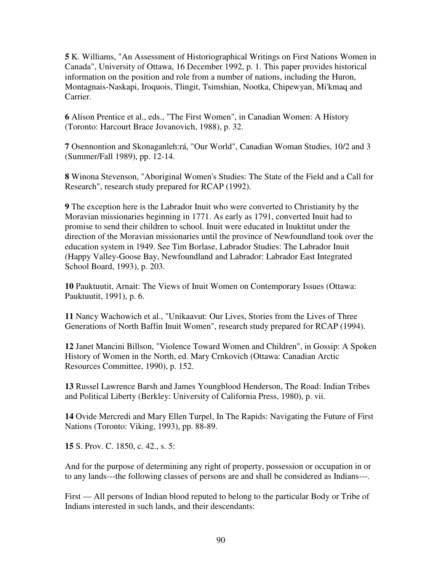**5** K. Williams, "An Assessment of Historiographical Writings on First Nations Women in Canada", University of Ottawa, 16 December 1992, p. 1. This paper provides historical information on the position and role from a number of nations, including the Huron, Montagnais-Naskapi, Iroquois, Tlingit, Tsimshian, Nootka, Chipewyan, Mi'kmaq and Carrier.

**6** Alison Prentice et al., eds., "The First Women", in Canadian Women: A History (Toronto: Harcourt Brace Jovanovich, 1988), p. 32.

**7** Osennontion and Skonaganleh:rá, "Our World", Canadian Woman Studies, 10/2 and 3 (Summer/Fall 1989), pp. 12-14.

**8** Winona Stevenson, "Aboriginal Women's Studies: The State of the Field and a Call for Research", research study prepared for RCAP (1992).

**9** The exception here is the Labrador Inuit who were converted to Christianity by the Moravian missionaries beginning in 1771. As early as 1791, converted Inuit had to promise to send their children to school. Inuit were educated in Inuktitut under the direction of the Moravian missionaries until the province of Newfoundland took over the education system in 1949. See Tim Borlase, Labrador Studies: The Labrador Inuit (Happy Valley-Goose Bay, Newfoundland and Labrador: Labrador East Integrated School Board, 1993), p. 203.

**10** Pauktuutit, Arnait: The Views of Inuit Women on Contemporary Issues (Ottawa: Pauktuutit, 1991), p. 6.

**11** Nancy Wachowich et al., "Unikaavut: Our Lives, Stories from the Lives of Three Generations of North Baffin Inuit Women", research study prepared for RCAP (1994).

**12** Janet Mancini Billson, "Violence Toward Women and Children", in Gossip: A Spoken History of Women in the North, ed. Mary Crnkovich (Ottawa: Canadian Arctic Resources Committee, 1990), p. 152.

**13** Russel Lawrence Barsh and James Youngblood Henderson, The Road: Indian Tribes and Political Liberty (Berkley: University of California Press, 1980), p. vii.

**14** Ovide Mercredi and Mary Ellen Turpel, In The Rapids: Navigating the Future of First Nations (Toronto: Viking, 1993), pp. 88-89.

**15** S. Prov. C. 1850, c. 42., s. 5:

And for the purpose of determining any right of property, possession or occupation in or to any lands---the following classes of persons are and shall be considered as Indians---.

First — All persons of Indian blood reputed to belong to the particular Body or Tribe of Indians interested in such lands, and their descendants: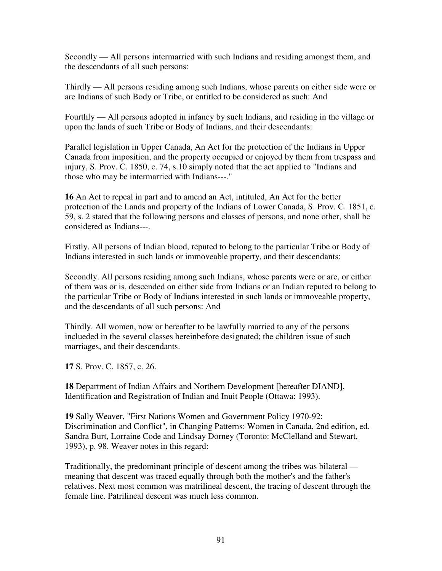Secondly — All persons intermarried with such Indians and residing amongst them, and the descendants of all such persons:

Thirdly — All persons residing among such Indians, whose parents on either side were or are Indians of such Body or Tribe, or entitled to be considered as such: And

Fourthly — All persons adopted in infancy by such Indians, and residing in the village or upon the lands of such Tribe or Body of Indians, and their descendants:

Parallel legislation in Upper Canada, An Act for the protection of the Indians in Upper Canada from imposition, and the property occupied or enjoyed by them from trespass and injury, S. Prov. C. 1850, c. 74, s.10 simply noted that the act applied to "Indians and those who may be intermarried with Indians---."

**16** An Act to repeal in part and to amend an Act, intituled, An Act for the better protection of the Lands and property of the Indians of Lower Canada, S. Prov. C. 1851, c. 59, s. 2 stated that the following persons and classes of persons, and none other, shall be considered as Indians---.

Firstly. All persons of Indian blood, reputed to belong to the particular Tribe or Body of Indians interested in such lands or immoveable property, and their descendants:

Secondly. All persons residing among such Indians, whose parents were or are, or either of them was or is, descended on either side from Indians or an Indian reputed to belong to the particular Tribe or Body of Indians interested in such lands or immoveable property, and the descendants of all such persons: And

Thirdly. All women, now or hereafter to be lawfully married to any of the persons inclueded in the several classes hereinbefore designated; the children issue of such marriages, and their descendants.

**17** S. Prov. C. 1857, c. 26.

**18** Department of Indian Affairs and Northern Development [hereafter DIAND], Identification and Registration of Indian and Inuit People (Ottawa: 1993).

**19** Sally Weaver, "First Nations Women and Government Policy 1970-92: Discrimination and Conflict", in Changing Patterns: Women in Canada, 2nd edition, ed. Sandra Burt, Lorraine Code and Lindsay Dorney (Toronto: McClelland and Stewart, 1993), p. 98. Weaver notes in this regard:

Traditionally, the predominant principle of descent among the tribes was bilateral meaning that descent was traced equally through both the mother's and the father's relatives. Next most common was matrilineal descent, the tracing of descent through the female line. Patrilineal descent was much less common.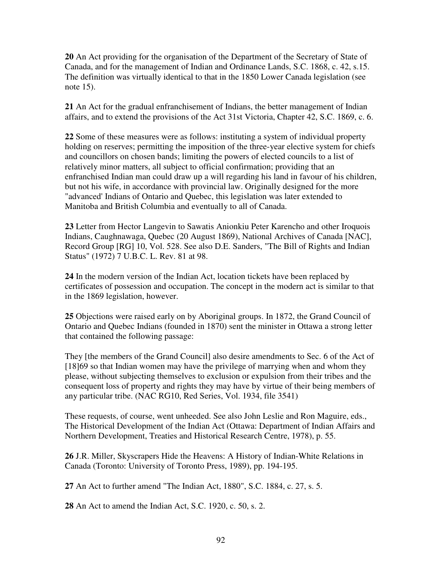**20** An Act providing for the organisation of the Department of the Secretary of State of Canada, and for the management of Indian and Ordinance Lands, S.C. 1868, c. 42, s.15. The definition was virtually identical to that in the 1850 Lower Canada legislation (see note 15).

**21** An Act for the gradual enfranchisement of Indians, the better management of Indian affairs, and to extend the provisions of the Act 31st Victoria, Chapter 42, S.C. 1869, c. 6.

**22** Some of these measures were as follows: instituting a system of individual property holding on reserves; permitting the imposition of the three-year elective system for chiefs and councillors on chosen bands; limiting the powers of elected councils to a list of relatively minor matters, all subject to official confirmation; providing that an enfranchised Indian man could draw up a will regarding his land in favour of his children, but not his wife, in accordance with provincial law. Originally designed for the more "advanced' Indians of Ontario and Quebec, this legislation was later extended to Manitoba and British Columbia and eventually to all of Canada.

**23** Letter from Hector Langevin to Sawatis Anionkiu Peter Karencho and other Iroquois Indians, Caughnawaga, Quebec (20 August 1869), National Archives of Canada [NAC], Record Group [RG] 10, Vol. 528. See also D.E. Sanders, "The Bill of Rights and Indian Status" (1972) 7 U.B.C. L. Rev. 81 at 98.

**24** In the modern version of the Indian Act, location tickets have been replaced by certificates of possession and occupation. The concept in the modern act is similar to that in the 1869 legislation, however.

**25** Objections were raised early on by Aboriginal groups. In 1872, the Grand Council of Ontario and Quebec Indians (founded in 1870) sent the minister in Ottawa a strong letter that contained the following passage:

They [the members of the Grand Council] also desire amendments to Sec. 6 of the Act of [18]69 so that Indian women may have the privilege of marrying when and whom they please, without subjecting themselves to exclusion or expulsion from their tribes and the consequent loss of property and rights they may have by virtue of their being members of any particular tribe. (NAC RG10, Red Series, Vol. 1934, file 3541)

These requests, of course, went unheeded. See also John Leslie and Ron Maguire, eds., The Historical Development of the Indian Act (Ottawa: Department of Indian Affairs and Northern Development, Treaties and Historical Research Centre, 1978), p. 55.

**26** J.R. Miller, Skyscrapers Hide the Heavens: A History of Indian-White Relations in Canada (Toronto: University of Toronto Press, 1989), pp. 194-195.

**27** An Act to further amend "The Indian Act, 1880", S.C. 1884, c. 27, s. 5.

**28** An Act to amend the Indian Act, S.C. 1920, c. 50, s. 2.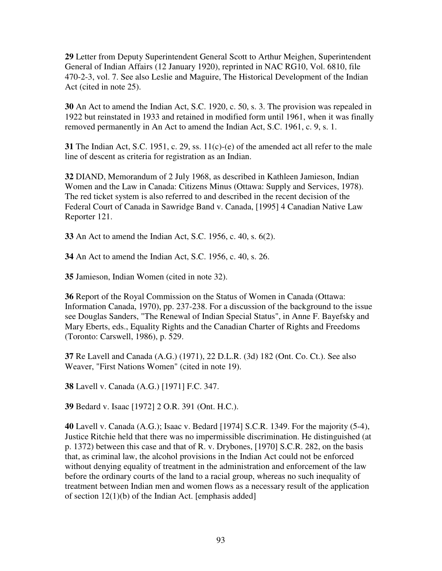**29** Letter from Deputy Superintendent General Scott to Arthur Meighen, Superintendent General of Indian Affairs (12 January 1920), reprinted in NAC RG10, Vol. 6810, file 470-2-3, vol. 7. See also Leslie and Maguire, The Historical Development of the Indian Act (cited in note 25).

**30** An Act to amend the Indian Act, S.C. 1920, c. 50, s. 3. The provision was repealed in 1922 but reinstated in 1933 and retained in modified form until 1961, when it was finally removed permanently in An Act to amend the Indian Act, S.C. 1961, c. 9, s. 1.

**31** The Indian Act, S.C. 1951, c. 29, ss. 11(c)-(e) of the amended act all refer to the male line of descent as criteria for registration as an Indian.

**32** DIAND, Memorandum of 2 July 1968, as described in Kathleen Jamieson, Indian Women and the Law in Canada: Citizens Minus (Ottawa: Supply and Services, 1978). The red ticket system is also referred to and described in the recent decision of the Federal Court of Canada in Sawridge Band v. Canada, [1995] 4 Canadian Native Law Reporter 121.

**33** An Act to amend the Indian Act, S.C. 1956, c. 40, s. 6(2).

**34** An Act to amend the Indian Act, S.C. 1956, c. 40, s. 26.

**35** Jamieson, Indian Women (cited in note 32).

**36** Report of the Royal Commission on the Status of Women in Canada (Ottawa: Information Canada, 1970), pp. 237-238. For a discussion of the background to the issue see Douglas Sanders, "The Renewal of Indian Special Status", in Anne F. Bayefsky and Mary Eberts, eds., Equality Rights and the Canadian Charter of Rights and Freedoms (Toronto: Carswell, 1986), p. 529.

**37** Re Lavell and Canada (A.G.) (1971), 22 D.L.R. (3d) 182 (Ont. Co. Ct.). See also Weaver, "First Nations Women" (cited in note 19).

**38** Lavell v. Canada (A.G.) [1971] F.C. 347.

**39** Bedard v. Isaac [1972] 2 O.R. 391 (Ont. H.C.).

**40** Lavell v. Canada (A.G.); Isaac v. Bedard [1974] S.C.R. 1349. For the majority (5-4), Justice Ritchie held that there was no impermissible discrimination. He distinguished (at p. 1372) between this case and that of R. v. Drybones, [1970] S.C.R. 282, on the basis that, as criminal law, the alcohol provisions in the Indian Act could not be enforced without denying equality of treatment in the administration and enforcement of the law before the ordinary courts of the land to a racial group, whereas no such inequality of treatment between Indian men and women flows as a necessary result of the application of section 12(1)(b) of the Indian Act. [emphasis added]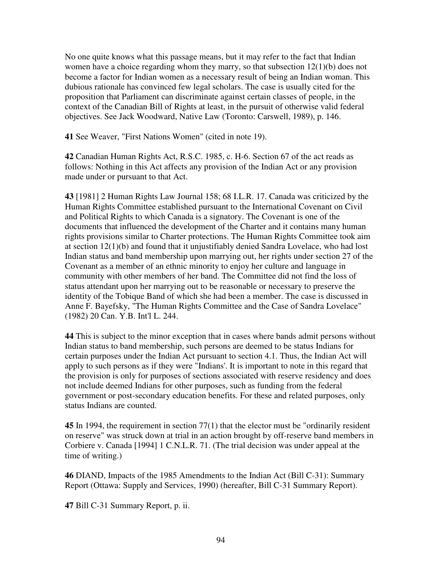No one quite knows what this passage means, but it may refer to the fact that Indian women have a choice regarding whom they marry, so that subsection 12(1)(b) does not become a factor for Indian women as a necessary result of being an Indian woman. This dubious rationale has convinced few legal scholars. The case is usually cited for the proposition that Parliament can discriminate against certain classes of people, in the context of the Canadian Bill of Rights at least, in the pursuit of otherwise valid federal objectives. See Jack Woodward, Native Law (Toronto: Carswell, 1989), p. 146.

**41** See Weaver, "First Nations Women" (cited in note 19).

**42** Canadian Human Rights Act, R.S.C. 1985, c. H-6. Section 67 of the act reads as follows: Nothing in this Act affects any provision of the Indian Act or any provision made under or pursuant to that Act.

**43** [1981] 2 Human Rights Law Journal 158; 68 I.L.R. 17. Canada was criticized by the Human Rights Committee established pursuant to the International Covenant on Civil and Political Rights to which Canada is a signatory. The Covenant is one of the documents that influenced the development of the Charter and it contains many human rights provisions similar to Charter protections. The Human Rights Committee took aim at section 12(1)(b) and found that it unjustifiably denied Sandra Lovelace, who had lost Indian status and band membership upon marrying out, her rights under section 27 of the Covenant as a member of an ethnic minority to enjoy her culture and language in community with other members of her band. The Committee did not find the loss of status attendant upon her marrying out to be reasonable or necessary to preserve the identity of the Tobique Band of which she had been a member. The case is discussed in Anne F. Bayefsky, "The Human Rights Committee and the Case of Sandra Lovelace" (1982) 20 Can. Y.B. Int'l L. 244.

**44** This is subject to the minor exception that in cases where bands admit persons without Indian status to band membership, such persons are deemed to be status Indians for certain purposes under the Indian Act pursuant to section 4.1. Thus, the Indian Act will apply to such persons as if they were "Indians'. It is important to note in this regard that the provision is only for purposes of sections associated with reserve residency and does not include deemed Indians for other purposes, such as funding from the federal government or post-secondary education benefits. For these and related purposes, only status Indians are counted.

**45** In 1994, the requirement in section 77(1) that the elector must be "ordinarily resident on reserve" was struck down at trial in an action brought by off-reserve band members in Corbiere v. Canada [1994] 1 C.N.L.R. 71. (The trial decision was under appeal at the time of writing.)

**46** DIAND, Impacts of the 1985 Amendments to the Indian Act (Bill C-31): Summary Report (Ottawa: Supply and Services, 1990) (hereafter, Bill C-31 Summary Report).

**47** Bill C-31 Summary Report, p. ii.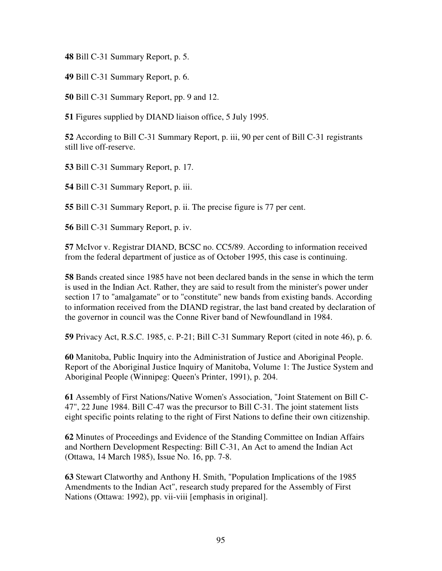**48** Bill C-31 Summary Report, p. 5.

**49** Bill C-31 Summary Report, p. 6.

**50** Bill C-31 Summary Report, pp. 9 and 12.

**51** Figures supplied by DIAND liaison office, 5 July 1995.

**52** According to Bill C-31 Summary Report, p. iii, 90 per cent of Bill C-31 registrants still live off-reserve.

**53** Bill C-31 Summary Report, p. 17.

**54** Bill C-31 Summary Report, p. iii.

**55** Bill C-31 Summary Report, p. ii. The precise figure is 77 per cent.

**56** Bill C-31 Summary Report, p. iv.

**57** McIvor v. Registrar DIAND, BCSC no. CC5/89. According to information received from the federal department of justice as of October 1995, this case is continuing.

**58** Bands created since 1985 have not been declared bands in the sense in which the term is used in the Indian Act. Rather, they are said to result from the minister's power under section 17 to "amalgamate" or to "constitute" new bands from existing bands. According to information received from the DIAND registrar, the last band created by declaration of the governor in council was the Conne River band of Newfoundland in 1984.

**59** Privacy Act, R.S.C. 1985, c. P-21; Bill C-31 Summary Report (cited in note 46), p. 6.

**60** Manitoba, Public Inquiry into the Administration of Justice and Aboriginal People. Report of the Aboriginal Justice Inquiry of Manitoba, Volume 1: The Justice System and Aboriginal People (Winnipeg: Queen's Printer, 1991), p. 204.

**61** Assembly of First Nations/Native Women's Association, "Joint Statement on Bill C-47", 22 June 1984. Bill C-47 was the precursor to Bill C-31. The joint statement lists eight specific points relating to the right of First Nations to define their own citizenship.

**62** Minutes of Proceedings and Evidence of the Standing Committee on Indian Affairs and Northern Development Respecting: Bill C-31, An Act to amend the Indian Act (Ottawa, 14 March 1985), Issue No. 16, pp. 7-8.

**63** Stewart Clatworthy and Anthony H. Smith, "Population Implications of the 1985 Amendments to the Indian Act", research study prepared for the Assembly of First Nations (Ottawa: 1992), pp. vii-viii [emphasis in original].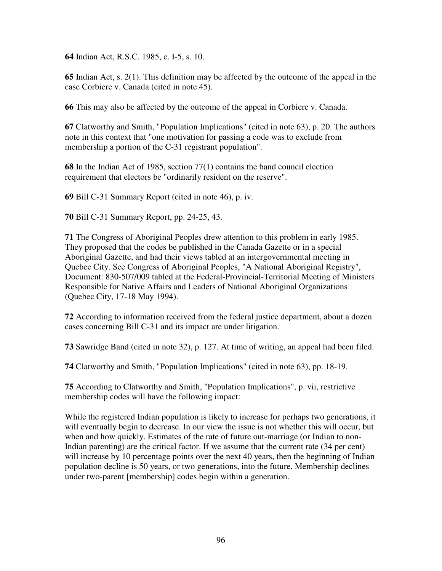**64** Indian Act, R.S.C. 1985, c. I-5, s. 10.

**65** Indian Act, s. 2(1). This definition may be affected by the outcome of the appeal in the case Corbiere v. Canada (cited in note 45).

**66** This may also be affected by the outcome of the appeal in Corbiere v. Canada.

**67** Clatworthy and Smith, "Population Implications" (cited in note 63), p. 20. The authors note in this context that "one motivation for passing a code was to exclude from membership a portion of the C-31 registrant population".

**68** In the Indian Act of 1985, section 77(1) contains the band council election requirement that electors be "ordinarily resident on the reserve".

**69** Bill C-31 Summary Report (cited in note 46), p. iv.

**70** Bill C-31 Summary Report, pp. 24-25, 43.

**71** The Congress of Aboriginal Peoples drew attention to this problem in early 1985. They proposed that the codes be published in the Canada Gazette or in a special Aboriginal Gazette, and had their views tabled at an intergovernmental meeting in Quebec City. See Congress of Aboriginal Peoples, "A National Aboriginal Registry", Document: 830-507/009 tabled at the Federal-Provincial-Territorial Meeting of Ministers Responsible for Native Affairs and Leaders of National Aboriginal Organizations (Quebec City, 17-18 May 1994).

**72** According to information received from the federal justice department, about a dozen cases concerning Bill C-31 and its impact are under litigation.

**73** Sawridge Band (cited in note 32), p. 127. At time of writing, an appeal had been filed.

**74** Clatworthy and Smith, "Population Implications" (cited in note 63), pp. 18-19.

**75** According to Clatworthy and Smith, "Population Implications", p. vii, restrictive membership codes will have the following impact:

While the registered Indian population is likely to increase for perhaps two generations, it will eventually begin to decrease. In our view the issue is not whether this will occur, but when and how quickly. Estimates of the rate of future out-marriage (or Indian to non-Indian parenting) are the critical factor. If we assume that the current rate (34 per cent) will increase by 10 percentage points over the next 40 years, then the beginning of Indian population decline is 50 years, or two generations, into the future. Membership declines under two-parent [membership] codes begin within a generation.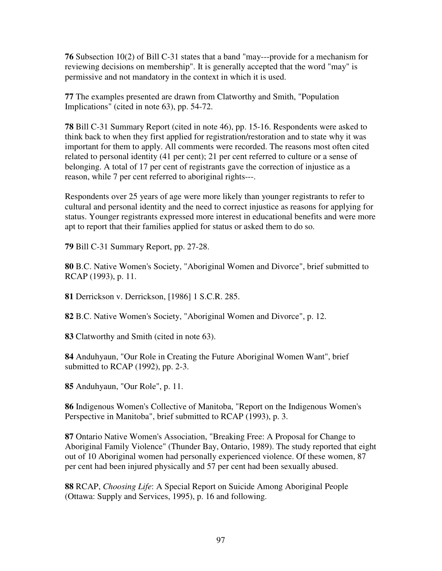**76** Subsection 10(2) of Bill C-31 states that a band "may---provide for a mechanism for reviewing decisions on membership". It is generally accepted that the word "may" is permissive and not mandatory in the context in which it is used.

**77** The examples presented are drawn from Clatworthy and Smith, "Population Implications" (cited in note 63), pp. 54-72.

**78** Bill C-31 Summary Report (cited in note 46), pp. 15-16. Respondents were asked to think back to when they first applied for registration/restoration and to state why it was important for them to apply. All comments were recorded. The reasons most often cited related to personal identity (41 per cent); 21 per cent referred to culture or a sense of belonging. A total of 17 per cent of registrants gave the correction of injustice as a reason, while 7 per cent referred to aboriginal rights---.

Respondents over 25 years of age were more likely than younger registrants to refer to cultural and personal identity and the need to correct injustice as reasons for applying for status. Younger registrants expressed more interest in educational benefits and were more apt to report that their families applied for status or asked them to do so.

**79** Bill C-31 Summary Report, pp. 27-28.

**80** B.C. Native Women's Society, "Aboriginal Women and Divorce", brief submitted to RCAP (1993), p. 11.

**81** Derrickson v. Derrickson, [1986] 1 S.C.R. 285.

**82** B.C. Native Women's Society, "Aboriginal Women and Divorce", p. 12.

**83** Clatworthy and Smith (cited in note 63).

**84** Anduhyaun, "Our Role in Creating the Future Aboriginal Women Want", brief submitted to RCAP (1992), pp. 2-3.

**85** Anduhyaun, "Our Role", p. 11.

**86** Indigenous Women's Collective of Manitoba, "Report on the Indigenous Women's Perspective in Manitoba", brief submitted to RCAP (1993), p. 3.

**87** Ontario Native Women's Association, "Breaking Free: A Proposal for Change to Aboriginal Family Violence" (Thunder Bay, Ontario, 1989). The study reported that eight out of 10 Aboriginal women had personally experienced violence. Of these women, 87 per cent had been injured physically and 57 per cent had been sexually abused.

**88** RCAP, *Choosing Life*: A Special Report on Suicide Among Aboriginal People (Ottawa: Supply and Services, 1995), p. 16 and following.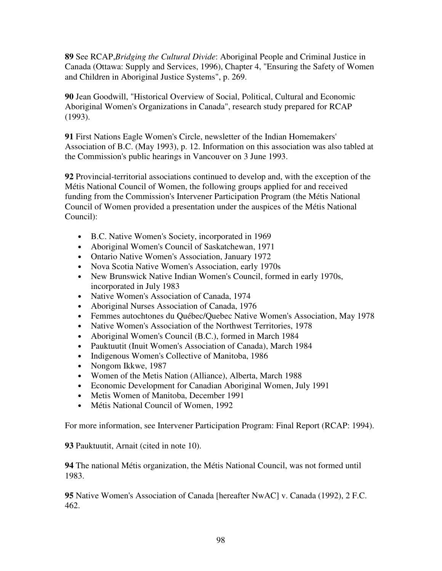**89** See RCAP,*Bridging the Cultural Divide*: Aboriginal People and Criminal Justice in Canada (Ottawa: Supply and Services, 1996), Chapter 4, "Ensuring the Safety of Women and Children in Aboriginal Justice Systems", p. 269.

**90** Jean Goodwill, "Historical Overview of Social, Political, Cultural and Economic Aboriginal Women's Organizations in Canada", research study prepared for RCAP (1993).

**91** First Nations Eagle Women's Circle, newsletter of the Indian Homemakers' Association of B.C. (May 1993), p. 12. Information on this association was also tabled at the Commission's public hearings in Vancouver on 3 June 1993.

**92** Provincial-territorial associations continued to develop and, with the exception of the Métis National Council of Women, the following groups applied for and received funding from the Commission's Intervener Participation Program (the Métis National Council of Women provided a presentation under the auspices of the Métis National Council):

- B.C. Native Women's Society, incorporated in 1969
- Aboriginal Women's Council of Saskatchewan, 1971
- Ontario Native Women's Association, January 1972
- Nova Scotia Native Women's Association, early 1970s
- New Brunswick Native Indian Women's Council, formed in early 1970s, incorporated in July 1983
- Native Women's Association of Canada, 1974
- Aboriginal Nurses Association of Canada, 1976
- Femmes autochtones du Québec/Quebec Native Women's Association, May 1978
- Native Women's Association of the Northwest Territories, 1978
- Aboriginal Women's Council (B.C.), formed in March 1984
- Pauktuutit (Inuit Women's Association of Canada), March 1984
- Indigenous Women's Collective of Manitoba, 1986
- Nongom Ikkwe, 1987
- Women of the Metis Nation (Alliance), Alberta, March 1988
- Economic Development for Canadian Aboriginal Women, July 1991
- Metis Women of Manitoba, December 1991
- Métis National Council of Women, 1992

For more information, see Intervener Participation Program: Final Report (RCAP: 1994).

**93** Pauktuutit, Arnait (cited in note 10).

**94** The national Métis organization, the Métis National Council, was not formed until 1983.

**95** Native Women's Association of Canada [hereafter NwAC] v. Canada (1992), 2 F.C. 462.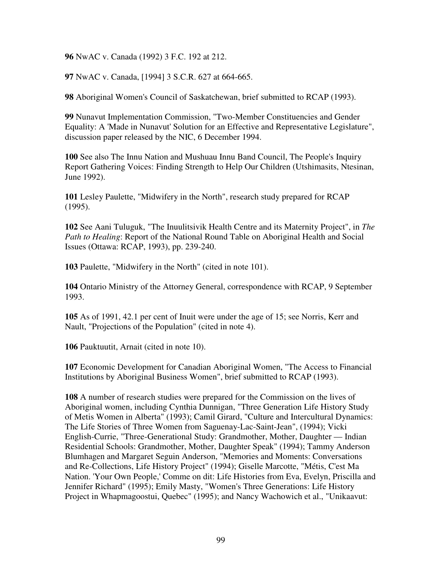**96** NwAC v. Canada (1992) 3 F.C. 192 at 212.

**97** NwAC v. Canada, [1994] 3 S.C.R. 627 at 664-665.

**98** Aboriginal Women's Council of Saskatchewan, brief submitted to RCAP (1993).

**99** Nunavut Implementation Commission, "Two-Member Constituencies and Gender Equality: A 'Made in Nunavut' Solution for an Effective and Representative Legislature", discussion paper released by the NIC, 6 December 1994.

**100** See also The Innu Nation and Mushuau Innu Band Council, The People's Inquiry Report Gathering Voices: Finding Strength to Help Our Children (Utshimasits, Ntesinan, June 1992).

**101** Lesley Paulette, "Midwifery in the North", research study prepared for RCAP (1995).

**102** See Aani Tuluguk, "The Inuulitsivik Health Centre and its Maternity Project", in *The Path to Healing*: Report of the National Round Table on Aboriginal Health and Social Issues (Ottawa: RCAP, 1993), pp. 239-240.

**103** Paulette, "Midwifery in the North" (cited in note 101).

**104** Ontario Ministry of the Attorney General, correspondence with RCAP, 9 September 1993.

**105** As of 1991, 42.1 per cent of Inuit were under the age of 15; see Norris, Kerr and Nault, "Projections of the Population" (cited in note 4).

**106** Pauktuutit, Arnait (cited in note 10).

**107** Economic Development for Canadian Aboriginal Women, "The Access to Financial Institutions by Aboriginal Business Women", brief submitted to RCAP (1993).

**108** A number of research studies were prepared for the Commission on the lives of Aboriginal women, including Cynthia Dunnigan, "Three Generation Life History Study of Metis Women in Alberta" (1993); Camil Girard, "Culture and Intercultural Dynamics: The Life Stories of Three Women from Saguenay-Lac-Saint-Jean", (1994); Vicki English-Currie, "Three-Generational Study: Grandmother, Mother, Daughter — Indian Residential Schools: Grandmother, Mother, Daughter Speak" (1994); Tammy Anderson Blumhagen and Margaret Seguin Anderson, "Memories and Moments: Conversations and Re-Collections, Life History Project" (1994); Giselle Marcotte, "Métis, C'est Ma Nation. 'Your Own People,' Comme on dit: Life Histories from Eva, Evelyn, Priscilla and Jennifer Richard" (1995); Emily Masty, "Women's Three Generations: Life History Project in Whapmagoostui, Quebec" (1995); and Nancy Wachowich et al., "Unikaavut: